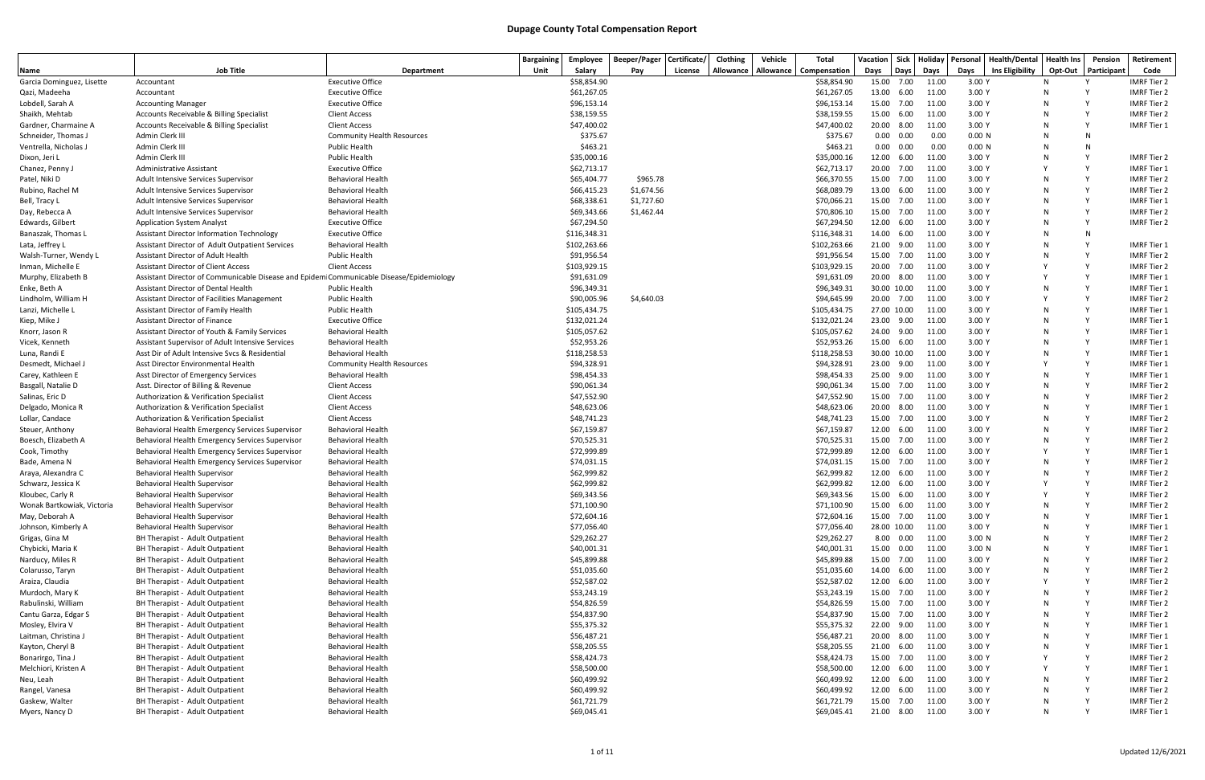|                                  |                                                                                         |                                                      | <b>Bargaining</b> | Employee                   | Beeper/Pager | Certificate/ | Clothing  | Vehicle | Total                      | Vacation            |            | Sick Holiday   | Personal         | <b>Health/Dental</b>   | <b>Health Ins</b> | Pension                      | Retirement                               |
|----------------------------------|-----------------------------------------------------------------------------------------|------------------------------------------------------|-------------------|----------------------------|--------------|--------------|-----------|---------|----------------------------|---------------------|------------|----------------|------------------|------------------------|-------------------|------------------------------|------------------------------------------|
| Name                             | <b>Job Title</b>                                                                        | Department                                           | Unit              | Salary                     | Pay          | License      | Allowance |         | Allowance   Compensation   | Days                | Days       | Days           | Days             | <b>Ins Eligibility</b> | Opt-Out           | Participant                  | Code                                     |
| Garcia Dominguez, Lisette        | Accountant                                                                              | <b>Executive Office</b>                              |                   | \$58,854.90                |              |              |           |         | \$58,854.90                | 15.00 7.00          |            | 11.00          | 3.00 Y           |                        | N                 |                              | <b>IMRF Tier 2</b>                       |
| Qazi, Madeeha                    | Accountant                                                                              | <b>Executive Office</b>                              |                   | \$61,267.05                |              |              |           |         | \$61,267.05                | 13.00               | 6.00       | 11.00          | 3.00 Y           |                        | N                 |                              | <b>IMRF Tier 2</b>                       |
| Lobdell, Sarah A                 | <b>Accounting Manager</b>                                                               | <b>Executive Office</b>                              |                   | \$96,153.14                |              |              |           |         | \$96,153.14                | 15.00               | 7.00       | 11.00          | 3.00 Y           |                        |                   |                              | <b>IMRF Tier 2</b>                       |
| Shaikh, Mehtab                   | Accounts Receivable & Billing Specialist                                                | <b>Client Access</b>                                 |                   | \$38,159.55                |              |              |           |         | \$38,159.55                | 15.00               | 6.00       | 11.00          | 3.00 Y           |                        |                   | $\mathsf{v}$<br>$\mathsf{Y}$ | <b>IMRF Tier 2</b>                       |
| Gardner, Charmaine A             | Accounts Receivable & Billing Specialist                                                | <b>Client Access</b>                                 |                   | \$47,400.02                |              |              |           |         | \$47,400.02                | 20.00 8.00          |            | 11.00          | 3.00 Y           |                        | N                 |                              | <b>IMRF Tier 1</b>                       |
| Schneider, Thomas J              | Admin Clerk III                                                                         | <b>Community Health Resources</b>                    |                   | \$375.67                   |              |              |           |         | \$375.67                   | 0.00                | 0.00       | 0.00           | 0.00 N           |                        | N                 | <b>N</b><br>N                |                                          |
| Ventrella, Nicholas J            | Admin Clerk III                                                                         | <b>Public Health</b>                                 |                   | \$463.21                   |              |              |           |         | \$463.21                   | 0.00                | 0.00       | 0.00           | 0.00 N           |                        | N                 | $\mathsf{Y}$                 |                                          |
| Dixon, Jeri L                    | Admin Clerk III<br><b>Administrative Assistant</b>                                      | <b>Public Health</b><br><b>Executive Office</b>      |                   | \$35,000.16<br>\$62,713.17 |              |              |           |         | \$35,000.16<br>\$62,713.17 | 12.00 6.00<br>20.00 | 7.00       | 11.00<br>11.00 | 3.00 Y<br>3.00 Y |                        | N                 | $\mathsf{v}$                 | <b>IMRF Tier 2</b><br><b>IMRF Tier 1</b> |
| Chanez, Penny J<br>Patel, Niki D | Adult Intensive Services Supervisor                                                     | <b>Behavioral Health</b>                             |                   | \$65,404.77                | \$965.78     |              |           |         | \$66,370.55                | 15.00               | 7.00       | 11.00          | 3.00 Y           |                        |                   | $\mathsf{v}$                 | <b>IMRF Tier 2</b>                       |
| Rubino, Rachel M                 | Adult Intensive Services Supervisor                                                     | <b>Behavioral Health</b>                             |                   | \$66,415.23                | \$1,674.56   |              |           |         | \$68,089.79                | 13.00               | 6.00       | 11.00          | 3.00 Y           |                        | N                 | $\mathsf{v}$                 | <b>IMRF Tier 2</b>                       |
| Bell, Tracy L                    | Adult Intensive Services Supervisor                                                     | <b>Behavioral Health</b>                             |                   | \$68,338.61                | \$1,727.60   |              |           |         | \$70,066.21                | 15.00 7.00          |            | 11.00          | 3.00 Y           |                        | N                 | $\mathsf{v}$                 | <b>IMRF Tier 1</b>                       |
| Day, Rebecca A                   | Adult Intensive Services Supervisor                                                     | <b>Behavioral Health</b>                             |                   | \$69,343.66                | \$1,462.44   |              |           |         | \$70,806.10                | 15.00 7.00          |            | 11.00          | 3.00 Y           |                        | N                 | Y                            | <b>IMRF Tier 2</b>                       |
| Edwards, Gilbert                 | <b>Application System Analyst</b>                                                       | <b>Executive Office</b>                              |                   | \$67,294.50                |              |              |           |         | \$67,294.50                | 12.00 6.00          |            | 11.00          | 3.00 Y           |                        | N                 | $\mathsf{Y}$                 | <b>IMRF Tier 2</b>                       |
| Banaszak, Thomas L               | <b>Assistant Director Information Technology</b>                                        | <b>Executive Office</b>                              |                   | \$116,348.31               |              |              |           |         | \$116,348.31               | 14.00               | 6.00       | 11.00          | 3.00 Y           |                        |                   | -N                           |                                          |
| Lata, Jeffrey L                  | Assistant Director of Adult Outpatient Services                                         | <b>Behavioral Health</b>                             |                   | \$102,263.66               |              |              |           |         | \$102,263.66               | 21.00               | 9.00       | 11.00          | 3.00 Y           |                        |                   | Y                            | <b>IMRF Tier 1</b>                       |
| Walsh-Turner, Wendy L            | Assistant Director of Adult Health                                                      | <b>Public Health</b>                                 |                   | \$91,956.54                |              |              |           |         | \$91,956.54                | 15.00               | 7.00       | 11.00          | 3.00 Y           |                        |                   | $\mathsf{v}$                 | <b>IMRF Tier 2</b>                       |
| Inman, Michelle E                | <b>Assistant Director of Client Access</b>                                              | <b>Client Access</b>                                 |                   | \$103,929.15               |              |              |           |         | \$103,929.15               | 20.00 7.00          |            | 11.00          | 3.00 Y           |                        |                   | $\mathsf{v}$                 | <b>IMRF Tier 2</b>                       |
| Murphy, Elizabeth B              | Assistant Director of Communicable Disease and Epidem Communicable Disease/Epidemiology |                                                      |                   | \$91,631.09                |              |              |           |         | \$91,631.09                | 20.00 8.00          |            | 11.00          | 3.00 Y           |                        |                   | Y                            | <b>IMRF Tier 1</b>                       |
| Enke, Beth A                     | Assistant Director of Dental Health                                                     | <b>Public Health</b>                                 |                   | \$96,349.31                |              |              |           |         | \$96,349.31                | 30.00 10.00         |            | 11.00          | 3.00 Y           |                        | N                 | Y                            | <b>IMRF Tier 1</b>                       |
| Lindholm, William H              | <b>Assistant Director of Facilities Management</b>                                      | <b>Public Health</b>                                 |                   | \$90,005.96                | \$4,640.03   |              |           |         | \$94,645.99                | 20.00 7.00          |            | 11.00          | 3.00 Y           |                        |                   | Y                            | <b>IMRF Tier 2</b>                       |
| Lanzi, Michelle L                | Assistant Director of Family Health                                                     | <b>Public Health</b>                                 |                   | \$105,434.75               |              |              |           |         | \$105,434.75               | 27.00 10.00         |            | 11.00          | 3.00 Y           |                        |                   | $\mathsf{v}$                 | <b>IMRF Tier 1</b>                       |
| Kiep, Mike J                     | Assistant Director of Finance                                                           | <b>Executive Office</b>                              |                   | \$132,021.24               |              |              |           |         | \$132,021.24               | 23.00 9.00          |            | 11.00          | 3.00 Y           |                        |                   | $\mathsf{v}$                 | <b>IMRF Tier 1</b>                       |
| Knorr, Jason R                   | Assistant Director of Youth & Family Services                                           | <b>Behavioral Health</b>                             |                   | \$105,057.62               |              |              |           |         | \$105,057.62               | 24.00 9.00          |            | 11.00          | 3.00 Y           |                        | N                 | Y                            | <b>IMRF Tier 1</b>                       |
| Vicek, Kenneth                   | Assistant Supervisor of Adult Intensive Services                                        | <b>Behavioral Health</b>                             |                   | \$52,953.26                |              |              |           |         | \$52,953.26                | 15.00 6.00          |            | 11.00          | 3.00 Y           |                        | N                 | Y                            | <b>IMRF Tier 1</b>                       |
| Luna, Randi E                    | Asst Dir of Adult Intensive Svcs & Residential                                          | <b>Behavioral Health</b>                             |                   | \$118,258.53               |              |              |           |         | \$118,258.53               | 30.00 10.00         |            | 11.00          | 3.00 Y           |                        |                   | Y                            | <b>IMRF Tier 1</b>                       |
| Desmedt, Michael J               | Asst Director Environmental Health                                                      | <b>Community Health Resources</b>                    |                   | \$94,328.91                |              |              |           |         | \$94,328.91                | 23.00 9.00          |            | 11.00          | 3.00 Y           |                        |                   | $\mathsf{Y}$                 | <b>IMRF Tier 1</b>                       |
| Carey, Kathleen E                | Asst Director of Emergency Services                                                     | <b>Behavioral Health</b>                             |                   | \$98,454.33                |              |              |           |         | \$98,454.33                | 25.00               | 9.00       | 11.00          | 3.00 Y           |                        |                   | $\mathsf{v}$                 | <b>IMRF Tier 1</b>                       |
| Basgall, Natalie D               | Asst. Director of Billing & Revenue                                                     | <b>Client Access</b>                                 |                   | \$90,061.34                |              |              |           |         | \$90,061.34                | 15.00               | 7.00       | 11.00          | 3.00 Y           |                        |                   | $\mathsf{v}$                 | <b>IMRF Tier 2</b>                       |
| Salinas, Eric D                  | Authorization & Verification Specialist                                                 | <b>Client Access</b>                                 |                   | \$47,552.90                |              |              |           |         | \$47,552.90                | 15.00 7.00          |            | 11.00          | 3.00 Y           |                        | N                 | Y                            | <b>IMRF Tier 2</b>                       |
| Delgado, Monica R                | Authorization & Verification Specialist                                                 | <b>Client Access</b>                                 |                   | \$48,623.06                |              |              |           |         | \$48,623.06                | 20.00 8.00          |            | 11.00          | 3.00 Y           |                        | N                 | $\mathsf{v}$                 | <b>IMRF Tier 1</b>                       |
| Lollar, Candace                  | Authorization & Verification Specialist                                                 | <b>Client Access</b>                                 |                   | \$48,741.23                |              |              |           |         | \$48,741.23                | 15.00 7.00          |            | 11.00          | 3.00 Y           |                        | N                 | Y                            | <b>IMRF Tier 2</b>                       |
| Steuer, Anthony                  | Behavioral Health Emergency Services Supervisor                                         | <b>Behavioral Health</b>                             |                   | \$67,159.87                |              |              |           |         | \$67,159.87                | 12.00               | 6.00       | 11.00          | 3.00 Y           |                        | N                 | $\mathsf{Y}$                 | <b>IMRF Tier 2</b>                       |
| Boesch, Elizabeth A              | Behavioral Health Emergency Services Supervisor                                         | <b>Behavioral Health</b>                             |                   | \$70,525.31                |              |              |           |         | \$70,525.31                | 15.00               | 7.00       | 11.00          | 3.00 Y           |                        |                   | Y                            | <b>IMRF Tier 2</b>                       |
| Cook, Timothy                    | Behavioral Health Emergency Services Supervisor                                         | <b>Behavioral Health</b>                             |                   | \$72,999.89                |              |              |           |         | \$72,999.89                | 12.00               | 6.00       | 11.00          | 3.00 Y           |                        |                   | $\mathsf{v}$                 | <b>IMRF Tier 1</b>                       |
| Bade, Amena N                    | Behavioral Health Emergency Services Supervisor                                         | <b>Behavioral Health</b>                             |                   | \$74,031.15                |              |              |           |         | \$74,031.15                | 15.00 7.00          |            | 11.00          | 3.00 Y           |                        | N                 | $\mathsf{v}$                 | <b>IMRF Tier 2</b>                       |
| Araya, Alexandra C               | <b>Behavioral Health Supervisor</b>                                                     | <b>Behavioral Health</b>                             |                   | \$62,999.82                |              |              |           |         | \$62,999.82                | 12.00               | 6.00       | 11.00          | 3.00 Y           |                        | N                 | <b>V</b>                     | <b>IMRF Tier 2</b>                       |
| Schwarz, Jessica K               | <b>Behavioral Health Supervisor</b>                                                     | <b>Behavioral Health</b>                             |                   | \$62,999.82                |              |              |           |         | \$62,999.82                | 12.00 6.00          |            | 11.00          | 3.00 Y           |                        |                   | $\mathsf{v}$                 | <b>IMRF Tier 2</b>                       |
| Kloubec, Carly R                 | Behavioral Health Supervisor                                                            | <b>Behavioral Health</b>                             |                   | \$69,343.56                |              |              |           |         | \$69,343.56                | 15.00               | 6.00       | 11.00          | 3.00 Y           |                        |                   |                              | <b>IMRF Tier 2</b>                       |
| Wonak Bartkowiak, Victoria       | Behavioral Health Supervisor                                                            | <b>Behavioral Health</b>                             |                   | \$71,100.90                |              |              |           |         | \$71,100.90                | 15.00 6.00          |            | 11.00          | 3.00 Y           |                        |                   |                              | <b>IMRF Tier 2</b>                       |
| May, Deborah A                   | <b>Behavioral Health Supervisor</b>                                                     | <b>Behavioral Health</b>                             |                   | \$72,604.16                |              |              |           |         | \$72,604.16                | 15.00 7.00          |            | 11.00          | 3.00 Y           |                        |                   |                              | IMRF Tier 1                              |
| Johnson, Kimberly A              | Behavioral Health Supervisor                                                            | <b>Behavioral Health</b>                             |                   | \$77,056.40                |              |              |           |         | \$77,056.40                | 28.00 10.00         |            | 11.00          | 3.00 Y           |                        |                   | Y                            | <b>IMRF Tier 1</b>                       |
| Grigas, Gina M                   | BH Therapist - Adult Outpatient                                                         | <b>Behavioral Health</b>                             |                   | \$29,262.27                |              |              |           |         | \$29,262.27                |                     | 8.00 0.00  | 11.00          | 3.00 N           |                        |                   | Y                            | <b>IMRF Tier 2</b>                       |
| Chybicki, Maria K                | BH Therapist - Adult Outpatient                                                         | <b>Behavioral Health</b>                             |                   | \$40,001.31                |              |              |           |         | \$40,001.31                | 15.00 0.00          |            | 11.00          | 3.00 N           |                        |                   | Y                            | <b>IMRF Tier 1</b>                       |
| Narducy, Miles R                 | BH Therapist - Adult Outpatient                                                         | <b>Behavioral Health</b>                             |                   | \$45,899.88                |              |              |           |         | \$45,899.88                | 15.00 7.00          |            | 11.00          | 3.00 Y           |                        |                   | Y                            | <b>IMRF Tier 2</b>                       |
| Colarusso, Taryn                 | BH Therapist - Adult Outpatient                                                         | <b>Behavioral Health</b>                             |                   | \$51,035.60                |              |              |           |         | \$51,035.60                | 14.00 6.00          |            | 11.00          | 3.00 Y           |                        |                   |                              | <b>IMRF Tier 2</b>                       |
| Araiza, Claudia                  | BH Therapist - Adult Outpatient                                                         | <b>Behavioral Health</b>                             |                   | \$52,587.02                |              |              |           |         | \$52,587.02                | 12.00               | 6.00       | 11.00          | 3.00 Y           |                        |                   | $\mathsf{Y}$                 | <b>IMRF Tier 2</b>                       |
| Murdoch, Mary K                  | BH Therapist - Adult Outpatient                                                         | <b>Behavioral Health</b>                             |                   | \$53,243.19                |              |              |           |         | \$53,243.19                | 15.00 7.00          |            | 11.00          | 3.00 Y           |                        |                   | Y                            | <b>IMRF Tier 2</b>                       |
| Rabulinski, William              | BH Therapist - Adult Outpatient                                                         | <b>Behavioral Health</b>                             |                   | \$54,826.59                |              |              |           |         | \$54,826.59                | 15.00 7.00          |            | 11.00          | 3.00 Y           |                        |                   | $\mathsf{Y}$<br>$\mathsf{Y}$ | <b>IMRF Tier 2</b>                       |
| Cantu Garza, Edgar S             | BH Therapist - Adult Outpatient                                                         | <b>Behavioral Health</b>                             |                   | \$54,837.90                |              |              |           |         | \$54,837.90                | 15.00 7.00          |            | 11.00          | 3.00 Y           |                        |                   |                              | <b>IMRF Tier 2</b>                       |
| Mosley, Elvira V                 | BH Therapist - Adult Outpatient                                                         | <b>Behavioral Health</b>                             |                   | \$55,375.32                |              |              |           |         | \$55,375.32                | 22.00 9.00          |            | 11.00          | 3.00 Y           |                        |                   | Y<br>Y                       | <b>IMRF Tier 1</b>                       |
| Laitman, Christina J             | BH Therapist - Adult Outpatient                                                         | <b>Behavioral Health</b>                             |                   | \$56,487.21                |              |              |           |         | \$56,487.21                | 20.00 8.00          |            | 11.00          | 3.00 Y           |                        | N                 |                              | <b>IMRF Tier 1</b>                       |
| Kayton, Cheryl B                 | BH Therapist - Adult Outpatient<br>BH Therapist - Adult Outpatient                      | <b>Behavioral Health</b>                             |                   | \$58,205.55                |              |              |           |         | \$58,205.55                | 21.00               | 6.00       | 11.00          | 3.00 Y           |                        |                   | $\mathsf{Y}$                 | <b>IMRF Tier 1</b>                       |
| Bonarirgo, Tina J                |                                                                                         | <b>Behavioral Health</b>                             |                   | \$58,424.73                |              |              |           |         | \$58,424.73                | 15.00 7.00          |            | 11.00          | 3.00 Y           |                        |                   | $\mathsf{Y}$                 | <b>IMRF Tier 2</b>                       |
| Melchiori, Kristen A             | BH Therapist - Adult Outpatient                                                         | <b>Behavioral Health</b>                             |                   | \$58,500.00                |              |              |           |         | \$58,500.00                | 12.00 6.00          |            | 11.00          | 3.00 Y           |                        |                   | Y                            | <b>IMRF Tier 1</b>                       |
| Neu, Leah                        | BH Therapist - Adult Outpatient                                                         | <b>Behavioral Health</b>                             |                   | \$60,499.92                |              |              |           |         | \$60,499.92                | 12.00 6.00          |            | 11.00          | 3.00 Y           |                        | N                 | Y                            | <b>IMRF Tier 2</b>                       |
| Rangel, Vanesa                   | BH Therapist - Adult Outpatient                                                         | <b>Behavioral Health</b>                             |                   | \$60,499.92                |              |              |           |         | \$60,499.92                | 12.00 6.00          |            | 11.00          | 3.00 Y           |                        | N                 |                              | <b>IMRF Tier 2</b>                       |
| Gaskew, Walter                   | BH Therapist - Adult Outpatient                                                         | <b>Behavioral Health</b><br><b>Behavioral Health</b> |                   | \$61,721.79<br>\$69,045.41 |              |              |           |         | \$61,721.79<br>\$69,045.41 | 15.00 7.00          | 21.00 8.00 | 11.00<br>11.00 | 3.00 Y<br>3.00 Y |                        | N<br>N            |                              | <b>IMRF Tier 2</b><br><b>IMRF Tier 1</b> |
| Myers, Nancy D                   | BH Therapist - Adult Outpatient                                                         |                                                      |                   |                            |              |              |           |         |                            |                     |            |                |                  |                        |                   |                              |                                          |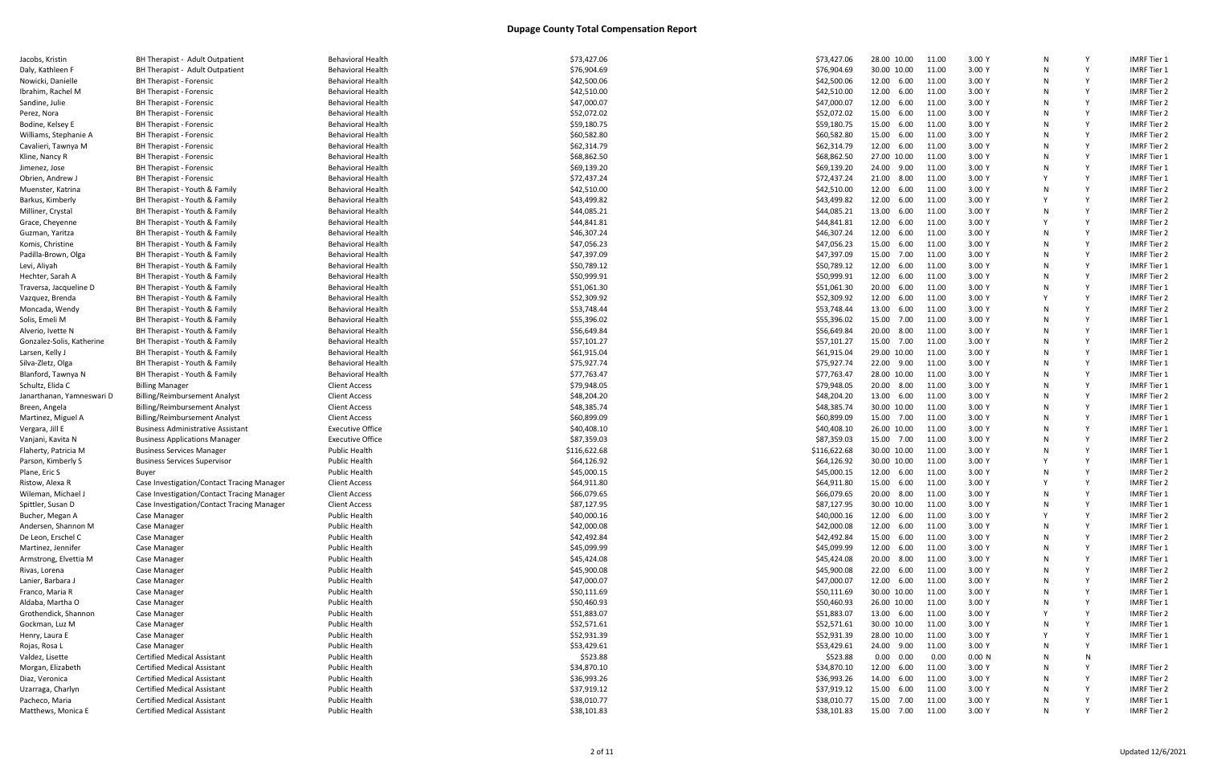| Jacobs, Kristin           |
|---------------------------|
| Daly, Kathleen F          |
| Nowicki, Danielle         |
| Ibrahim, Rachel M         |
| Sandine, Julie            |
|                           |
| Perez, Nora               |
| Bodine, Kelsey E          |
| Williams, Stephanie A     |
| Cavalieri, Tawnya M       |
| Kline, Nancy R            |
| Jimenez, Jose             |
| Obrien, Andrew J          |
| Muenster, Katrina         |
| Barkus, Kimberly          |
| Milliner, Crystal         |
| Grace, Cheyenne           |
| Guzman, Yaritza           |
| Komis, Christine          |
| Padilla-Brown, Olga       |
| Levi, Aliyah              |
| Hechter, Sarah A          |
| Traversa, Jacqueline D    |
| Vazquez, Brenda           |
| Moncada, Wendy            |
| Solis, Emeli M            |
| Alverio, Ivette N         |
|                           |
| Gonzalez-Solis, Katherine |
| Larsen, Kelly J           |
| Silva-Zletz, Olga         |
| Blanford, Tawnya N        |
| Schultz, Elida C          |
| Janarthanan, Yamneswari   |
| Breen, Angela             |
| Martinez, Miguel A        |
| Vergara, Jill E           |
| Vanjani, Kavita N         |
| Flaherty, Patricia M      |
| Parson, Kimberly S        |
| Plane, Eric S             |
| Ristow, Alexa R           |
| Wileman, Michael J        |
| Spittler, Susan D         |
| Bucher, Megan A           |
| Andersen, Shannon M       |
| De Leon, Erschel C        |
| Martinez, Jennifer        |
| Armstrong, Elvettia M     |
| Rivas, Lorena             |
| Lanier, Barbara J         |
|                           |
| Franco, Maria R           |
| Aldaba, Martha O          |
| Grothendick, Shannon      |
|                           |
| Gockman, Luz M            |
| Henry, Laura E            |
| Rojas, Rosa L             |
| Valdez, Lisette           |
| Morgan, Elizabeth         |
| Diaz, Veronica            |
| Uzarraga, Charlyn         |

| ιατουρ, κιτριπτ           | <b>Principlest</b> Agail Outpatient        | <b>DUTIONIOLAL LICAILI</b> | 773,727.00   | 773,427.00   | ∠∪.∪∪                    |       | J.vu |
|---------------------------|--------------------------------------------|----------------------------|--------------|--------------|--------------------------|-------|------|
| Daly, Kathleen F          | BH Therapist - Adult Outpatient            | <b>Behavioral Health</b>   | \$76,904.69  | \$76,904.69  | 30.00 10.00              | 11.00 | 3.00 |
| Nowicki, Danielle         | BH Therapist - Forensic                    | <b>Behavioral Health</b>   | \$42,500.06  | \$42,500.06  | 12.00 6.00               | 11.00 | 3.00 |
| Ibrahim, Rachel M         | BH Therapist - Forensic                    | <b>Behavioral Health</b>   | \$42,510.00  | \$42,510.00  | 12.00 6.00               | 11.00 | 3.00 |
| Sandine, Julie            | BH Therapist - Forensic                    | <b>Behavioral Health</b>   | \$47,000.07  | \$47,000.07  | 12.00 6.00               | 11.00 | 3.00 |
| Perez, Nora               | <b>BH Therapist - Forensic</b>             | <b>Behavioral Health</b>   | \$52,072.02  | \$52,072.02  | 15.00 6.00               | 11.00 | 3.00 |
| Bodine, Kelsey E          | <b>BH Therapist - Forensic</b>             | <b>Behavioral Health</b>   | \$59,180.75  | \$59,180.75  | 15.00<br>6.00            | 11.00 | 3.00 |
| Williams, Stephanie A     | BH Therapist - Forensic                    | <b>Behavioral Health</b>   | \$60,582.80  | \$60,582.80  | 15.00<br>6.00            | 11.00 | 3.00 |
| Cavalieri, Tawnya M       | BH Therapist - Forensic                    | <b>Behavioral Health</b>   | \$62,314.79  | \$62,314.79  | 12.00 6.00               | 11.00 | 3.00 |
| Kline, Nancy R            | <b>BH Therapist - Forensic</b>             | <b>Behavioral Health</b>   | \$68,862.50  | \$68,862.50  | 27.00 10.00              | 11.00 | 3.00 |
| Jimenez, Jose             | BH Therapist - Forensic                    | <b>Behavioral Health</b>   | \$69,139.20  | \$69,139.20  | 24.00 9.00               | 11.00 | 3.00 |
| Obrien, Andrew J          | <b>BH Therapist - Forensic</b>             | <b>Behavioral Health</b>   | \$72,437.24  | \$72,437.24  | 21.00 8.00               | 11.00 | 3.00 |
| Muenster, Katrina         | BH Therapist - Youth & Family              | <b>Behavioral Health</b>   | \$42,510.00  | \$42,510.00  | 12.00<br>6.00            | 11.00 | 3.00 |
| Barkus, Kimberly          | BH Therapist - Youth & Family              | <b>Behavioral Health</b>   | \$43,499.82  | \$43,499.82  | 12.00<br>6.00            | 11.00 | 3.00 |
| Milliner, Crystal         | BH Therapist - Youth & Family              | <b>Behavioral Health</b>   | \$44,085.21  | \$44,085.21  | 13.00 6.00               | 11.00 | 3.00 |
| Grace, Cheyenne           | BH Therapist - Youth & Family              | <b>Behavioral Health</b>   | \$44,841.81  | \$44,841.81  | 12.00 6.00               | 11.00 | 3.00 |
| Guzman, Yaritza           | BH Therapist - Youth & Family              | Behavioral Health          | \$46,307.24  | \$46,307.24  | 12.00 6.00               | 11.00 | 3.00 |
| Komis, Christine          | BH Therapist - Youth & Family              | <b>Behavioral Health</b>   | \$47,056.23  | \$47,056.23  | 15.00<br>6.00            | 11.00 | 3.00 |
| Padilla-Brown, Olga       | BH Therapist - Youth & Family              | <b>Behavioral Health</b>   | \$47,397.09  | \$47,397.09  | 15.00<br>7.00            | 11.00 | 3.00 |
| Levi, Aliyah              | BH Therapist - Youth & Family              | <b>Behavioral Health</b>   | \$50,789.12  | \$50,789.12  | 12.00<br>6.00            | 11.00 | 3.00 |
| Hechter, Sarah A          | BH Therapist - Youth & Family              | <b>Behavioral Health</b>   | \$50,999.91  | \$50,999.91  | 12.00 6.00               | 11.00 | 3.00 |
|                           |                                            |                            |              |              |                          |       | 3.00 |
| Traversa, Jacqueline D    | BH Therapist - Youth & Family              | <b>Behavioral Health</b>   | \$51,061.30  | \$51,061.30  | 20.00 6.00<br>12.00 6.00 | 11.00 |      |
| Vazquez, Brenda           | BH Therapist - Youth & Family              | Behavioral Health          | \$52,309.92  | \$52,309.92  |                          | 11.00 | 3.00 |
| Moncada, Wendy            | BH Therapist - Youth & Family              | <b>Behavioral Health</b>   | \$53,748.44  | \$53,748.44  | 13.00 6.00               | 11.00 | 3.00 |
| Solis, Emeli M            | BH Therapist - Youth & Family              | <b>Behavioral Health</b>   | \$55,396.02  | \$55,396.02  | 15.00 7.00               | 11.00 | 3.00 |
| Alverio, Ivette N         | BH Therapist - Youth & Family              | <b>Behavioral Health</b>   | \$56,649.84  | \$56,649.84  | 20.00<br>8.00            | 11.00 | 3.00 |
| Gonzalez-Solis, Katherine | BH Therapist - Youth & Family              | <b>Behavioral Health</b>   | \$57,101.27  | \$57,101.27  | 15.00 7.00               | 11.00 | 3.00 |
| Larsen, Kelly J           | BH Therapist - Youth & Family              | <b>Behavioral Health</b>   | \$61,915.04  | \$61,915.04  | 29.00 10.00              | 11.00 | 3.00 |
| Silva-Zletz, Olga         | BH Therapist - Youth & Family              | <b>Behavioral Health</b>   | \$75,927.74  | \$75,927.74  | 22.00 9.00               | 11.00 | 3.00 |
| Blanford, Tawnya N        | BH Therapist - Youth & Family              | <b>Behavioral Health</b>   | \$77,763.47  | \$77,763.47  | 28.00 10.00              | 11.00 | 3.00 |
| Schultz, Elida C          | <b>Billing Manager</b>                     | <b>Client Access</b>       | \$79,948.05  | \$79,948.05  | 20.00 8.00               | 11.00 | 3.00 |
| Janarthanan, Yamneswari D | Billing/Reimbursement Analyst              | <b>Client Access</b>       | \$48,204.20  | \$48,204.20  | 13.00 6.00               | 11.00 | 3.00 |
| Breen, Angela             | <b>Billing/Reimbursement Analyst</b>       | <b>Client Access</b>       | \$48,385.74  | \$48,385.74  | 30.00 10.00              | 11.00 | 3.00 |
| Martinez, Miguel A        | Billing/Reimbursement Analyst              | <b>Client Access</b>       | \$60,899.09  | \$60,899.09  | 15.00 7.00               | 11.00 | 3.00 |
| Vergara, Jill E           | <b>Business Administrative Assistant</b>   | <b>Executive Office</b>    | \$40,408.10  | \$40,408.10  | 26.00 10.00              | 11.00 | 3.00 |
| Vanjani, Kavita N         | <b>Business Applications Manager</b>       | <b>Executive Office</b>    | \$87,359.03  | \$87,359.03  | 15.00 7.00               | 11.00 | 3.00 |
| Flaherty, Patricia M      | <b>Business Services Manager</b>           | <b>Public Health</b>       | \$116,622.68 | \$116,622.68 | 30.00 10.00              | 11.00 | 3.00 |
| Parson, Kimberly S        | <b>Business Services Supervisor</b>        | <b>Public Health</b>       | \$64,126.92  | \$64,126.92  | 30.00 10.00              | 11.00 | 3.00 |
| Plane, Eric S             | Buyer                                      | <b>Public Health</b>       | \$45,000.15  | \$45,000.15  | 12.00 6.00               | 11.00 | 3.00 |
| Ristow, Alexa R           | Case Investigation/Contact Tracing Manager | <b>Client Access</b>       | \$64,911.80  | \$64,911.80  | 15.00 6.00               | 11.00 | 3.00 |
| Wileman, Michael.         | Case Investigation/Contact Tracing Manager | <b>Client Access</b>       | \$66,079.65  | \$66,079.65  | 20.00 8.00               | 11.00 | 3.00 |
| Spittler, Susan D         | Case Investigation/Contact Tracing Manager | <b>Client Access</b>       | \$87,127.95  | \$87,127.95  | 30.00 10.00              | 11.00 | 3.00 |
| Bucher, Megan A           | Case Manager                               | <b>Public Health</b>       | \$40,000.16  | \$40,000.16  | 12.00 6.00               | 11.00 | 3.00 |
| Andersen, Shannon M       | Case Manager                               | Public Health              | \$42,000.08  | \$42,000.08  | 12.00<br>6.00            | 11.00 | 3.00 |
| De Leon, Erschel C        | Case Manager                               | <b>Public Health</b>       | \$42,492.84  | \$42,492.84  | 15.00<br>6.00            | 11.00 | 3.00 |
| Martinez, Jennifer        | Case Manager                               | <b>Public Health</b>       | \$45,099.99  | \$45,099.99  | 12.00 6.00               | 11.00 | 3.00 |
| Armstrong, Elvettia M     | Case Manager                               | <b>Public Health</b>       | \$45,424.08  | \$45,424.08  | 20.00 8.00               | 11.00 | 3.00 |
| Rivas, Lorena             | Case Manager                               | <b>Public Health</b>       | \$45,900.08  | \$45,900.08  | 22.00 6.00               | 11.00 | 3.00 |
| Lanier, Barbara J         | Case Manager                               | <b>Public Health</b>       | \$47,000.07  | \$47,000.07  | 12.00 6.00               | 11.00 | 3.00 |
| Franco, Maria R           | Case Manager                               | <b>Public Health</b>       | \$50,111.69  | \$50,111.69  | 30.00 10.00              | 11.00 | 3.00 |
| Aldaba, Martha O          | Case Manager                               | <b>Public Health</b>       | \$50,460.93  | \$50,460.93  | 26.00 10.00              | 11.00 | 3.00 |
| Grothendick, Shannon      | Case Manager                               | <b>Public Health</b>       | \$51,883.07  | \$51,883.07  | 13.00 6.00               | 11.00 | 3.00 |
| Gockman, Luz M            | Case Manager                               | <b>Public Health</b>       | \$52,571.61  | \$52,571.61  | 30.00 10.00              | 11.00 | 3.00 |
| Henry, Laura E            | Case Manager                               | <b>Public Health</b>       | \$52,931.39  | \$52,931.39  | 28.00 10.00              | 11.00 | 3.00 |
| Rojas, Rosa L             | Case Manager                               | <b>Public Health</b>       | \$53,429.61  | \$53,429.61  | 24.00 9.00               | 11.00 | 3.00 |
| Valdez, Lisette           | <b>Certified Medical Assistant</b>         | <b>Public Health</b>       | \$523.88     | \$523.88     | $0.00 \quad 0.00$        | 0.00  | 0.00 |
| Morgan, Elizabeth         | <b>Certified Medical Assistant</b>         | <b>Public Health</b>       | \$34,870.10  | \$34,870.10  | 12.00<br>6.00            | 11.00 | 3.00 |
| Diaz, Veronica            | <b>Certified Medical Assistant</b>         | Public Health              | \$36,993.26  | \$36,993.26  | 14.00<br>6.00            | 11.00 | 3.00 |
| Uzarraga, Charlyn         | <b>Certified Medical Assistant</b>         | <b>Public Health</b>       | \$37,919.12  | \$37,919.12  | 15.00 6.00               | 11.00 | 3.00 |
| Pacheco, Maria            | <b>Certified Medical Assistant</b>         | <b>Public Health</b>       | \$38,010.77  | \$38,010.77  | 15.00 7.00               | 11.00 | 3.00 |
| Matthews, Monica E        | <b>Certified Medical Assistant</b>         | <b>Public Health</b>       | \$38,101.83  | \$38,101.83  | 15.00 7.00               | 11.00 | 3.00 |
|                           |                                            |                            |              |              |                          |       |      |
|                           |                                            |                            |              |              |                          |       |      |

|    | 0 10.00 | 11.00 | 3.00 Y | N | Υ | IMRF Tier 1        |
|----|---------|-------|--------|---|---|--------------------|
| Ю  | 10.00   | 11.00 | 3.00 Y | N | Υ | IMRF Tier 1        |
| Ю  | 6.00    | 11.00 | 3.00 Y | N | Υ | <b>IMRF Tier 2</b> |
| 0  | 6.00    | 11.00 | 3.00 Y | Ν | Υ | <b>IMRF Tier 2</b> |
| Ю  | 6.00    | 11.00 | 3.00 Y | Ν | Υ | IMRF Tier 2        |
| Ю  | 6.00    | 11.00 | 3.00 Y | Ν | Υ | IMRF Tier 2        |
| 0  | 6.00    | 11.00 | 3.00 Y | Ν | Υ | <b>IMRF Tier 2</b> |
|    | 6.00    | 11.00 | 3.00 Y | N | Υ | IMRF Tier 2        |
| Ю  |         |       |        |   |   |                    |
| Ю  | 6.00    | 11.00 | 3.00 Y | N | Υ | IMRF Tier 2        |
| 0  | 10.00   | 11.00 | 3.00 Y | Ν | Υ | IMRF Tier 1        |
| 0  | 9.00    | 11.00 | 3.00 Y | Ν | Υ | IMRF Tier 1        |
| Ю  | 8.00    | 11.00 | 3.00 Y | Υ | Υ | IMRF Tier 1        |
| 0  | 6.00    | 11.00 | 3.00 Y | Ν | Υ | <b>IMRF Tier 2</b> |
| 0  | 6.00    | 11.00 | 3.00 Y | Υ | Υ | IMRF Tier 2        |
| Ю  | 6.00    | 11.00 | 3.00 Y | N | Υ | <b>IMRF Tier 2</b> |
| 0  | 6.00    | 11.00 | 3.00 Y | Υ | Υ | IMRF Tier 2        |
| Ю  | 6.00    | 11.00 | 3.00 Y | N | Υ | IMRF Tier 2        |
| Ю  | 6.00    | 11.00 | 3.00 Y | Ν | Υ | IMRF Tier 2        |
| 0  | 7.00    | 11.00 | 3.00 Y | Ν | Υ | IMRF Tier 2        |
| 0  | 6.00    | 11.00 | 3.00 Y | Ν | Υ | IMRF Tier 1        |
| Ю  | 6.00    | 11.00 | 3.00 Y | Ν | Υ | <b>IMRF Tier 2</b> |
|    | 6.00    |       | 3.00 Y | N | Υ | IMRF Tier 1        |
| Ю  |         | 11.00 |        |   |   |                    |
| Ю  | 6.00    | 11.00 | 3.00 Y | Υ | Υ | IMRF Tier 2        |
| Ю  | 6.00    | 11.00 | 3.00 Y | Ν | Υ | IMRF Tier 2        |
| 0  | 7.00    | 11.00 | 3.00 Y | Ν | Υ | IMRF Tier 1        |
| 0  | 8.00    | 11.00 | 3.00 Y | Ν | Υ | IMRF Tier 1        |
| Ю  | 7.00    | 11.00 | 3.00 Y | N | Υ | IMRF Tier 2        |
| 0  | 10.00   | 11.00 | 3.00 Y | N | Υ | IMRF Tier 1        |
| 0  | 9.00    | 11.00 | 3.00 Y | N | Υ | IMRF Tier 1        |
| Ю  | 10.00   | 11.00 | 3.00 Y | Ν | Υ | IMRF Tier 1        |
| Ю  | 8.00    | 11.00 | 3.00 Y | Ν | Υ | IMRF Tier 1        |
| 0  | 6.00    | 11.00 | 3.00 Y | N | Υ | <b>IMRF Tier 2</b> |
| 0  | 10.00   | 11.00 | 3.00 Y | N | Υ | IMRF Tier 1        |
| Ю  | 7.00    | 11.00 | 3.00 Y | N | Υ | IMRF Tier 1        |
| 0  | 10.00   | 11.00 | 3.00 Y | Ν | Υ | IMRF Tier 1        |
| 0  | 7.00    | 11.00 | 3.00 Y | Ν | Υ | IMRF Tier 2        |
| Ю  | 10.00   | 11.00 | 3.00 Y | Ν | Υ | IMRF Tier 1        |
|    | 0 10.00 |       | 3.00 Y | Υ | Υ | IMRF Tier 1        |
|    |         | 11.00 |        |   |   |                    |
| 0  | 6.00    | 11.00 | 3.00 Y | N | Υ | <b>IMRF Tier 2</b> |
| 0  | 6.00    | 11.00 | 3.00 Y | Υ | Υ | <b>IMRF Tier 2</b> |
| Ю  | 8.00    | 11.00 | 3.00 Y | Ν | Υ | IMRF Tier 1        |
|    | 0 10.00 | 11.00 | 3.00 Y | N | Υ | IMRF Tier 1        |
| Ю  | 6.00    | 11.00 | 3.00 Y | Υ | Υ | IMRF Tier 2        |
| 0  | 6.00    | 11.00 | 3.00 Y | Ν | Υ | <b>IMRF Tier 1</b> |
| Ю  | 6.00    | 11.00 | 3.00 Y | Ν | Υ | <b>IMRF Tier 2</b> |
| Ю  | 6.00    | 11.00 | 3.00 Y | Ν | Υ | IMRF Tier 1        |
| Ю  | 8.00    | 11.00 | 3.00 Y | Ν | Υ | IMRF Tier 1        |
| Ю  | 6.00    | 11.00 | 3.00 Y | N | Υ | <b>IMRF Tier 2</b> |
| 10 | 6.00    | 11.00 | 3.00 Y | Ν | Υ | <b>IMRF Tier 2</b> |
|    | 0 10.00 | 11.00 | 3.00 Y | Ν | Υ | IMRF Tier 1        |
| Ю  | 10.00   | 11.00 | 3.00 Y | Ν | Υ | <b>IMRF Tier 1</b> |
| Ю  | 6.00    | 11.00 | 3.00 Y | Υ | Υ | <b>IMRF Tier 2</b> |
| Ю  | 10.00   | 11.00 | 3.00 Y | Ν | Υ | IMRF Tier 1        |
| 0  | 10.00   | 11.00 | 3.00 Y | Υ | Υ | <b>IMRF Tier 1</b> |
|    |         |       |        |   |   |                    |
| 0  | 9.00    | 11.00 | 3.00 Y | N | Υ | IMRF Tier 1        |
| Ю  | 0.00    | 0.00  | 0.00 N | Ν | Ν |                    |
| 0  | 6.00    | 11.00 | 3.00 Y | Ν | Υ | <b>IMRF Tier 2</b> |
| Ю  | 6.00    | 11.00 | 3.00 Y | Ν | Υ | <b>IMRF Tier 2</b> |
| Ю  | 6.00    | 11.00 | 3.00 Y | Ν | Υ | IMRF Tier 2        |
| Ю  | 7.00    | 11.00 | 3.00 Y | N | Υ | IMRF Tier 1        |
| Ю  | 7.00    | 11.00 | 3.00 Y | Ν | Υ | IMRF Tier 2        |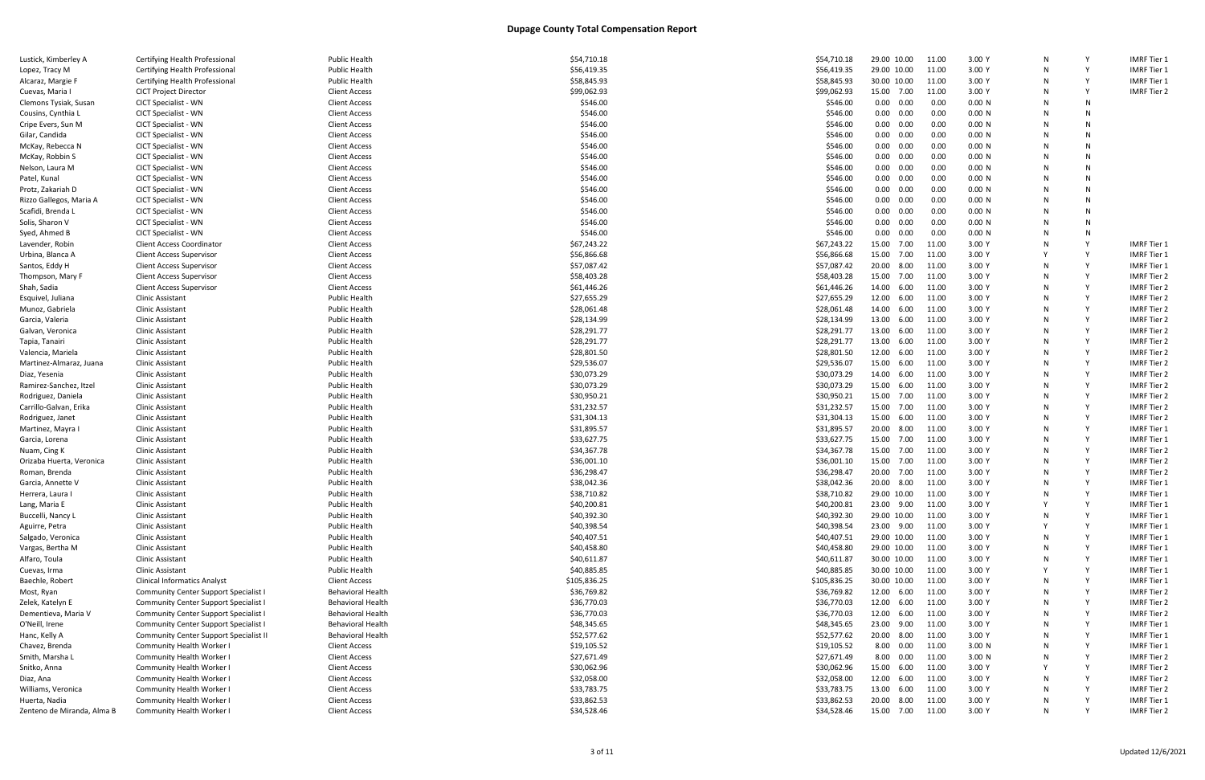| Lustick, Kimberley A       | Certifying Health Professional                | <b>Public Health</b>     | \$54,710.18  | \$54,710.18  | 29.00 10.00       | 11.00 | 3.00 Y | N |   | <b>IMRF Tier 1</b> |
|----------------------------|-----------------------------------------------|--------------------------|--------------|--------------|-------------------|-------|--------|---|---|--------------------|
| Lopez, Tracy M             | Certifying Health Professional                | Public Health            | \$56,419.35  | \$56,419.35  | 29.00 10.00       | 11.00 | 3.00 Y |   |   | <b>IMRF Tier 1</b> |
| Alcaraz, Margie F          | Certifying Health Professional                | Public Health            | \$58,845.93  | \$58,845.93  | 30.00 10.00       | 11.00 | 3.00 Y |   |   | IMRF Tier 1        |
| Cuevas, Maria I            | <b>CICT Project Director</b>                  | <b>Client Access</b>     | \$99,062.93  | \$99,062.93  | 15.00 7.00        | 11.00 | 3.00 Y | N |   | <b>IMRF Tier 2</b> |
| Clemons Tysiak, Susan      | <b>CICT Specialist - WN</b>                   | <b>Client Access</b>     | \$546.00     | \$546.00     | $0.00 \quad 0.00$ | 0.00  | 0.00 N |   | N |                    |
| Cousins, Cynthia L         | <b>CICT Specialist - WN</b>                   | Client Access            | \$546.00     | \$546.00     | $0.00 \quad 0.00$ | 0.00  | 0.00 N | N | N |                    |
| Cripe Evers, Sun M         | <b>CICT Specialist - WN</b>                   | <b>Client Access</b>     | \$546.00     | \$546.00     | 0.00<br>0.00      | 0.00  | 0.00 N | N | N |                    |
| Gilar, Candida             | <b>CICT Specialist - WN</b>                   | <b>Client Access</b>     | \$546.00     | \$546.00     | $0.00 \quad 0.00$ | 0.00  | 0.00 N |   | N |                    |
| McKay, Rebecca N           | <b>CICT Specialist - WN</b>                   | <b>Client Access</b>     | \$546.00     | \$546.00     | $0.00 \quad 0.00$ | 0.00  | 0.00 N |   | N |                    |
| McKay, Robbin S            | <b>CICT Specialist - WN</b>                   | <b>Client Access</b>     | \$546.00     | \$546.00     | $0.00\quad 0.00$  | 0.00  | 0.00 N | N | N |                    |
| Nelson, Laura M            | <b>CICT Specialist - WN</b>                   | <b>Client Access</b>     | \$546.00     | \$546.00     | $0.00 \quad 0.00$ | 0.00  | 0.00 N |   | N |                    |
| Patel, Kunal               | <b>CICT Specialist - WN</b>                   | <b>Client Access</b>     | \$546.00     | \$546.00     | $0.00 \quad 0.00$ | 0.00  | 0.00 N |   | N |                    |
| Protz, Zakariah D          | <b>CICT Specialist - WN</b>                   | <b>Client Access</b>     | \$546.00     | \$546.00     | $0.00 \quad 0.00$ | 0.00  | 0.00 N | N | N |                    |
| Rizzo Gallegos, Maria A    | <b>CICT Specialist - WN</b>                   | <b>Client Access</b>     | \$546.00     | \$546.00     | $0.00 \quad 0.00$ | 0.00  | 0.00 N |   | N |                    |
|                            |                                               |                          |              |              |                   |       |        |   |   |                    |
| Scafidi, Brenda L          | <b>CICT Specialist - WN</b>                   | <b>Client Access</b>     | \$546.00     | \$546.00     | $0.00 \quad 0.00$ | 0.00  | 0.00 N |   | N |                    |
| Solis, Sharon V            | <b>CICT Specialist - WN</b>                   | <b>Client Access</b>     | \$546.00     | \$546.00     | $0.00\quad 0.00$  | 0.00  | 0.00 N | N | N |                    |
| Syed, Ahmed B              | <b>CICT Specialist - WN</b>                   | <b>Client Access</b>     | \$546.00     | \$546.00     | $0.00 \quad 0.00$ | 0.00  | 0.00 N |   | N |                    |
| Lavender, Robin            | <b>Client Access Coordinator</b>              | <b>Client Access</b>     | \$67,243.22  | \$67,243.22  | 15.00 7.00        | 11.00 | 3.00 Y |   |   | <b>IMRF Tier 1</b> |
| Urbina, Blanca A           | <b>Client Access Supervisor</b>               | <b>Client Access</b>     | \$56,866.68  | \$56,866.68  | 15.00<br>7.00     | 11.00 | 3.00 Y |   |   | <b>IMRF Tier 1</b> |
| Santos, Eddy H             | <b>Client Access Supervisor</b>               | <b>Client Access</b>     | \$57,087.42  | \$57,087.42  | 20.00<br>8.00     | 11.00 | 3.00 Y |   |   | <b>IMRF Tier 1</b> |
| Thompson, Mary F           | <b>Client Access Supervisor</b>               | <b>Client Access</b>     | \$58,403.28  | \$58,403.28  | 15.00 7.00        | 11.00 | 3.00 Y |   |   | <b>IMRF Tier 2</b> |
| Shah, Sadia                | <b>Client Access Supervisor</b>               | <b>Client Access</b>     | \$61,446.26  | \$61,446.26  | 14.00 6.00        | 11.00 | 3.00 Y | N |   | <b>IMRF Tier 2</b> |
| Esquivel, Juliana          | Clinic Assistant                              | Public Health            | \$27,655.29  | \$27,655.29  | 12.00 6.00        | 11.00 | 3.00 Y | N |   | <b>IMRF Tier 2</b> |
| Munoz, Gabriela            | Clinic Assistant                              | <b>Public Health</b>     | \$28,061.48  | \$28,061.48  | 14.00 6.00        | 11.00 | 3.00 Y |   |   | <b>IMRF Tier 2</b> |
| Garcia, Valeria            | Clinic Assistant                              | <b>Public Health</b>     | \$28,134.99  | \$28,134.99  | 13.00 6.00        | 11.00 | 3.00 Y | N |   | <b>IMRF Tier 2</b> |
| Galvan, Veronica           | Clinic Assistant                              | <b>Public Health</b>     | \$28,291.77  | \$28,291.77  | 13.00<br>6.00     | 11.00 | 3.00 Y | N |   | <b>IMRF Tier 2</b> |
| Tapia, Tanairi             | Clinic Assistant                              | <b>Public Health</b>     | \$28,291.77  | \$28,291.77  | 13.00<br>6.00     | 11.00 | 3.00 Y |   |   | IMRF Tier 2        |
| Valencia, Mariela          | Clinic Assistant                              | <b>Public Health</b>     | \$28,801.50  | \$28,801.50  | 12.00 6.00        | 11.00 | 3.00 Y |   |   | <b>IMRF Tier 2</b> |
| Martinez-Almaraz, Juana    | Clinic Assistant                              | <b>Public Health</b>     | \$29,536.07  | \$29,536.07  | 15.00 6.00        | 11.00 | 3.00 Y | N |   | <b>IMRF Tier 2</b> |
| Diaz, Yesenia              | Clinic Assistant                              | <b>Public Health</b>     | \$30,073.29  | \$30,073.29  | 14.00 6.00        | 11.00 | 3.00 Y |   |   | <b>IMRF Tier 2</b> |
| Ramirez-Sanchez, Itzel     | Clinic Assistant                              | Public Health            | \$30,073.29  | \$30,073.29  | 15.00<br>6.00     | 11.00 | 3.00 Y | N |   | <b>IMRF Tier 2</b> |
| Rodriguez, Daniela         | Clinic Assistant                              | Public Health            | \$30,950.21  | \$30,950.21  | 15.00<br>7.00     | 11.00 | 3.00 Y | N |   | <b>IMRF Tier 2</b> |
| Carrillo-Galvan, Erika     | Clinic Assistant                              | <b>Public Health</b>     | \$31,232.57  | \$31,232.57  | 15.00 7.00        | 11.00 | 3.00 Y |   |   | <b>IMRF Tier 2</b> |
| Rodriguez, Janet           | Clinic Assistant                              | <b>Public Health</b>     | \$31,304.13  | \$31,304.13  | 15.00 6.00        | 11.00 | 3.00 Y |   |   | <b>IMRF Tier 2</b> |
| Martinez, Mayra            | Clinic Assistant                              | Public Health            | \$31,895.57  | \$31,895.57  | 20.00 8.00        | 11.00 | 3.00 Y | N |   | <b>IMRF</b> Tier 1 |
| Garcia, Lorena             | <b>Clinic Assistant</b>                       | <b>Public Health</b>     | \$33,627.75  | \$33,627.75  | 15.00 7.00        | 11.00 | 3.00 Y |   |   | <b>IMRF Tier 1</b> |
| Nuam, Cing K               | Clinic Assistant                              | <b>Public Health</b>     | \$34,367.78  | \$34,367.78  | 15.00 7.00        | 11.00 | 3.00 Y |   |   | <b>IMRF Tier 2</b> |
|                            |                                               |                          |              |              | 15.00 7.00        |       | 3.00 Y | N |   | <b>IMRF Tier 2</b> |
| Orizaba Huerta, Veronica   | Clinic Assistant                              | <b>Public Health</b>     | \$36,001.10  | \$36,001.10  |                   | 11.00 |        |   |   |                    |
| Roman, Brenda              | Clinic Assistant                              | <b>Public Health</b>     | \$36,298.47  | \$36,298.47  | 20.00 7.00        | 11.00 | 3.00 Y |   |   | <b>IMRF Tier 2</b> |
| Garcia, Annette V          | <b>Clinic Assistant</b>                       | <b>Public Health</b>     | \$38,042.36  | \$38,042.36  | 20.00 8.00        | 11.00 | 3.00 Y |   |   | <b>IMRF Tier 1</b> |
| Herrera, Laura I           | <b>Clinic Assistant</b>                       | Public Health            | \$38,710.82  | \$38,710.82  | 29.00 10.00       | 11.00 | 3.00 Y |   |   | <b>IMRF Tier 1</b> |
| Lang, Maria E              | Clinic Assistant                              | <b>Public Health</b>     | \$40,200.81  | \$40,200.81  | 23.00 9.00        | 11.00 | 3.00 Y |   |   | <b>IMRF Tier 1</b> |
| Buccelli, Nancy L          | Clinic Assistant                              | <b>Public Health</b>     | \$40,392.30  | \$40,392.30  | 29.00 10.00       | 11.00 | 3.00 Y |   |   | IMRF Tier 1        |
| Aguirre, Petra             | Clinic Assistant                              | <b>Public Health</b>     | \$40,398.54  | \$40,398.54  | 23.00 9.00        | 11.00 | 3.00 Y |   |   | <b>IMRF Tier 1</b> |
| Salgado, Veronica          | Clinic Assistant                              | Public Health            | \$40,407.51  | \$40,407.51  | 29.00 10.00       | 11.00 | 3.00 Y |   |   | IMRF Tier 1        |
| Vargas, Bertha M           | Clinic Assistant                              | <b>Public Health</b>     | \$40,458.80  | \$40,458.80  | 29.00 10.00       | 11.00 | 3.00 Y |   |   | IMRF Tier 1        |
| Alfaro, Toula              | Clinic Assistant                              | <b>Public Health</b>     | \$40,611.87  | \$40,611.87  | 30.00 10.00       | 11.00 | 3.00 Y |   |   | IMRF Tier 1        |
| Cuevas, Irma               | Clinic Assistant                              | <b>Public Health</b>     | \$40,885.85  | \$40,885.85  | 30.00 10.00       | 11.00 | 3.00 Y |   |   | IMRF Tier 1        |
| Baechle, Robert            | <b>Clinical Informatics Analyst</b>           | <b>Client Access</b>     | \$105,836.25 | \$105,836.25 | 30.00 10.00       | 11.00 | 3.00 Y |   |   | <b>IMRF Tier 1</b> |
| Most, Ryan                 | <b>Community Center Support Specialist I</b>  | <b>Behavioral Health</b> | \$36,769.82  | \$36,769.82  | 12.00 6.00        | 11.00 | 3.00 Y |   |   | IMRF Tier 2        |
| Zelek, Katelyn E           | <b>Community Center Support Specialist I</b>  | <b>Behavioral Health</b> | \$36,770.03  | \$36,770.03  | 12.00 6.00        | 11.00 | 3.00 Y |   |   | IMRF Tier 2        |
| Dementieva, Maria V        | <b>Community Center Support Specialist I</b>  | <b>Behavioral Health</b> | \$36,770.03  | \$36,770.03  | 12.00 6.00        | 11.00 | 3.00 Y |   |   | <b>IMRF Tier 2</b> |
| O'Neill, Irene             | <b>Community Center Support Specialist I</b>  | <b>Behavioral Health</b> | \$48,345.65  | \$48,345.65  | 23.00 9.00        | 11.00 | 3.00 Y |   |   | IMRF Tier 1        |
| Hanc, Kelly A              | <b>Community Center Support Specialist II</b> | <b>Behavioral Health</b> | \$52,577.62  | \$52,577.62  | 20.00 8.00        | 11.00 | 3.00 Y |   |   | IMRF Tier 1        |
| Chavez, Brenda             | <b>Community Health Worker I</b>              | <b>Client Access</b>     | \$19,105.52  | \$19,105.52  | 8.00 0.00         | 11.00 | 3.00 N |   |   | <b>IMRF Tier 1</b> |
| Smith, Marsha L            | Community Health Worker I                     | Client Access            | \$27,671.49  | \$27,671.49  | 8.00  0.00        | 11.00 | 3.00 N |   |   | IMRF Tier 2        |
| Snitko, Anna               | <b>Community Health Worker I</b>              | <b>Client Access</b>     | \$30,062.96  | \$30,062.96  | 15.00 6.00        | 11.00 | 3.00 Y |   |   | IMRF Tier 2        |
| Diaz, Ana                  | Community Health Worker I                     | <b>Client Access</b>     | \$32,058.00  | \$32,058.00  | 12.00 6.00        | 11.00 | 3.00 Y |   |   | <b>IMRF Tier 2</b> |
| Williams, Veronica         | <b>Community Health Worker I</b>              | Client Access            | \$33,783.75  | \$33,783.75  | 13.00 6.00        | 11.00 | 3.00 Y |   |   | <b>IMRF Tier 2</b> |
| Huerta, Nadia              | <b>Community Health Worker I</b>              | <b>Client Access</b>     | \$33,862.53  | \$33,862.53  | 20.00 8.00        | 11.00 | 3.00 Y | N |   | IMRF Tier 1        |
| Zenteno de Miranda, Alma B | <b>Community Health Worker I</b>              | <b>Client Access</b>     | \$34,528.46  | \$34,528.46  | 15.00 7.00        | 11.00 | 3.00 Y | N |   | <b>IMRF Tier 2</b> |
|                            |                                               |                          |              |              |                   |       |        |   |   |                    |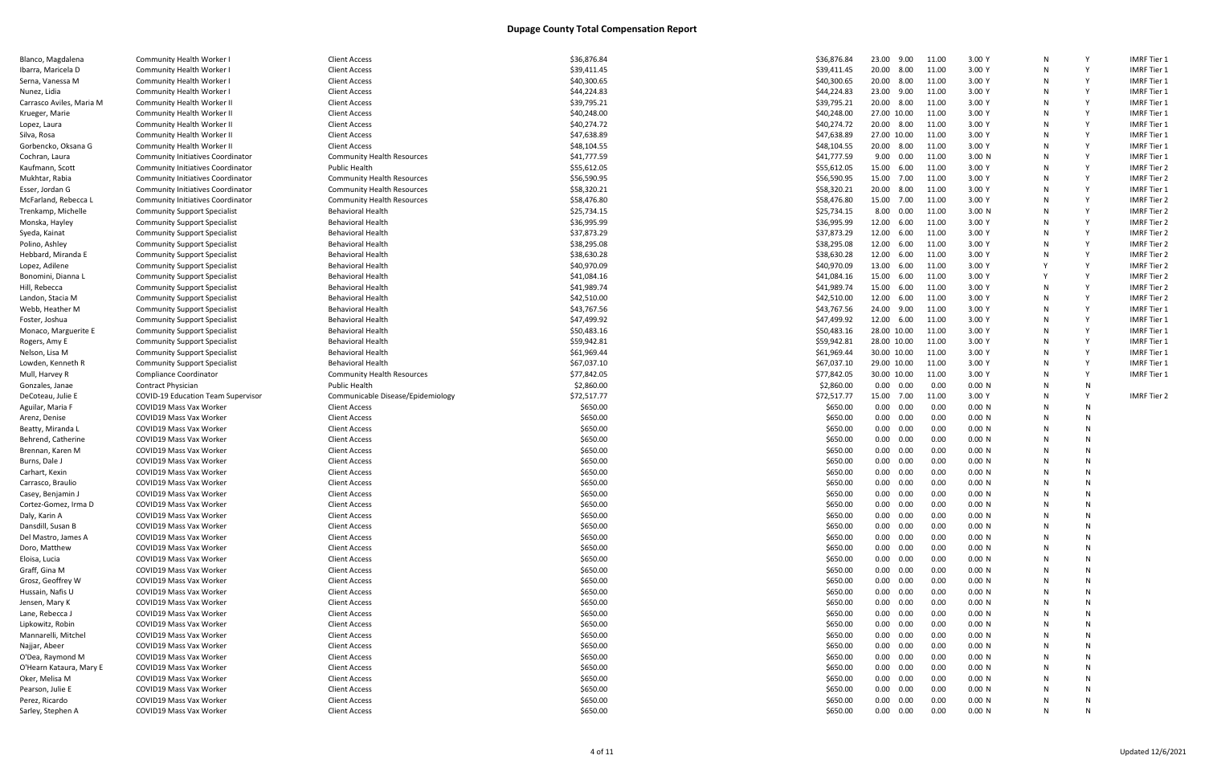| Blanco, Magdalena        | Community Health Worker                   | <b>Client Access</b>              | \$36,876.84 | \$36,876.84 | 23.00       | 9.00              | 11.00 | 3.00Y  |   |    | <b>IMRF Tier 1</b> |
|--------------------------|-------------------------------------------|-----------------------------------|-------------|-------------|-------------|-------------------|-------|--------|---|----|--------------------|
| Ibarra, Maricela D       | <b>Community Health Worker I</b>          | <b>Client Access</b>              | \$39,411.45 | \$39,411.45 |             | 20.00 8.00        | 11.00 | 3.00 Y |   |    | <b>IMRF Tier 1</b> |
| Serna, Vanessa M         | Community Health Worker I                 | <b>Client Access</b>              | \$40,300.65 | \$40,300.65 | 20.00 8.00  |                   | 11.00 | 3.00 Y |   | Y  | <b>IMRF Tier 1</b> |
| Nunez, Lidia             | <b>Community Health Worker I</b>          | <b>Client Access</b>              | \$44,224.83 | \$44,224.83 | 23.00 9.00  |                   | 11.00 | 3.00 Y |   | Y  | <b>IMRF Tier 1</b> |
| Carrasco Aviles, Maria M | <b>Community Health Worker II</b>         | <b>Client Access</b>              | \$39,795.21 | \$39,795.21 | 20.00 8.00  |                   | 11.00 | 3.00Y  |   |    | <b>IMRF Tier 1</b> |
| Krueger, Marie           | Community Health Worker II                | <b>Client Access</b>              | \$40,248.00 | \$40,248.00 | 27.00 10.00 |                   | 11.00 | 3.00Y  |   | Y  | <b>IMRF Tier 1</b> |
| Lopez, Laura             | <b>Community Health Worker II</b>         | <b>Client Access</b>              | \$40,274.72 | \$40,274.72 | 20.00 8.00  |                   | 11.00 | 3.00Y  |   | Y  | <b>IMRF Tier 1</b> |
| Silva, Rosa              | <b>Community Health Worker II</b>         | <b>Client Access</b>              | \$47,638.89 | \$47,638.89 | 27.00 10.00 |                   | 11.00 | 3.00 Y |   |    | <b>IMRF Tier 1</b> |
| Gorbencko, Oksana G      | Community Health Worker II                | <b>Client Access</b>              | \$48,104.55 | \$48,104.55 | 20.00 8.00  |                   | 11.00 | 3.00 Y |   | Y  | <b>IMRF Tier 1</b> |
| Cochran, Laura           | <b>Community Initiatives Coordinator</b>  | <b>Community Health Resources</b> | \$41,777.59 | \$41,777.59 |             | 9.00 0.00         | 11.00 | 3.00 N |   | Y  | <b>IMRF Tier 1</b> |
| Kaufmann, Scott          | <b>Community Initiatives Coordinator</b>  | <b>Public Health</b>              | \$55,612.05 | \$55,612.05 | 15.00 6.00  |                   | 11.00 | 3.00 Y |   |    | <b>IMRF Tier 2</b> |
| Mukhtar, Rabia           | <b>Community Initiatives Coordinator</b>  | <b>Community Health Resources</b> | \$56,590.95 | \$56,590.95 |             | 15.00 7.00        | 11.00 | 3.00Y  |   |    | <b>IMRF Tier 2</b> |
| Esser, Jordan G          | <b>Community Initiatives Coordinator</b>  | <b>Community Health Resources</b> | \$58,320.21 | \$58,320.21 | 20.00 8.00  |                   | 11.00 | 3.00 Y |   | Y  | <b>IMRF Tier 1</b> |
| McFarland, Rebecca L     | <b>Community Initiatives Coordinator</b>  | <b>Community Health Resources</b> | \$58,476.80 | \$58,476.80 | 15.00 7.00  |                   | 11.00 | 3.00 Y |   | Y  | <b>IMRF Tier 2</b> |
| Trenkamp, Michelle       | <b>Community Support Specialist</b>       | <b>Behavioral Health</b>          | \$25,734.15 | \$25,734.15 |             | 8.00 0.00         | 11.00 | 3.00 N |   | Y  | <b>IMRF Tier 2</b> |
| Monska, Hayley           | <b>Community Support Specialist</b>       | <b>Behavioral Health</b>          | \$36,995.99 | \$36,995.99 | 12.00 6.00  |                   | 11.00 | 3.00 Y |   | Y  | <b>IMRF Tier 2</b> |
| Syeda, Kainat            | <b>Community Support Specialist</b>       | <b>Behavioral Health</b>          | \$37,873.29 | \$37,873.29 | 12.00       | 6.00              | 11.00 | 3.00 Y |   |    | <b>IMRF Tier 2</b> |
| Polino, Ashley           | <b>Community Support Specialist</b>       | <b>Behavioral Health</b>          | \$38,295.08 | \$38,295.08 | 12.00       | 6.00              | 11.00 | 3.00Y  |   | Y  | <b>IMRF Tier 2</b> |
| Hebbard, Miranda E       | <b>Community Support Specialist</b>       | <b>Behavioral Health</b>          | \$38,630.28 | \$38,630.28 | 12.00 6.00  |                   | 11.00 | 3.00 Y | N | Y  | <b>IMRF Tier 2</b> |
| Lopez, Adilene           | <b>Community Support Specialist</b>       | <b>Behavioral Health</b>          | \$40,970.09 | \$40,970.09 | 13.00 6.00  |                   | 11.00 | 3.00 Y |   |    | <b>IMRF Tier 2</b> |
| Bonomini, Dianna L       | <b>Community Support Specialist</b>       | <b>Behavioral Health</b>          | \$41,084.16 | \$41,084.16 | 15.00 6.00  |                   | 11.00 | 3.00Y  |   |    | <b>IMRF Tier 2</b> |
| Hill, Rebecca            | <b>Community Support Specialist</b>       | <b>Behavioral Health</b>          | \$41,989.74 | \$41,989.74 | 15.00 6.00  |                   | 11.00 | 3.00 Y |   | Y  | <b>IMRF Tier 2</b> |
| Landon, Stacia M         | <b>Community Support Specialist</b>       | <b>Behavioral Health</b>          | \$42,510.00 | \$42,510.00 | 12.00       | 6.00              | 11.00 | 3.00 Y |   | Y  | <b>IMRF Tier 2</b> |
| Webb, Heather M          | <b>Community Support Specialist</b>       | <b>Behavioral Health</b>          | \$43,767.56 | \$43,767.56 | 24.00 9.00  |                   | 11.00 | 3.00 Y |   |    | <b>IMRF Tier 1</b> |
| Foster, Joshua           | <b>Community Support Specialist</b>       | <b>Behavioral Health</b>          | \$47,499.92 | \$47,499.92 | 12.00 6.00  |                   | 11.00 | 3.00 Y | N | Y  | <b>IMRF Tier 1</b> |
| Monaco, Marguerite E     | <b>Community Support Specialist</b>       | <b>Behavioral Health</b>          | \$50,483.16 | \$50,483.16 | 28.00 10.00 |                   | 11.00 | 3.00Y  |   | Y  | <b>IMRF Tier 1</b> |
| Rogers, Amy E            | <b>Community Support Specialist</b>       | <b>Behavioral Health</b>          | \$59,942.81 | \$59,942.81 | 28.00 10.00 |                   | 11.00 | 3.00 Y |   | Y  | <b>IMRF Tier 1</b> |
| Nelson, Lisa M           | <b>Community Support Specialist</b>       | <b>Behavioral Health</b>          | \$61,969.44 | \$61,969.44 | 30.00 10.00 |                   | 11.00 | 3.00 Y |   | Y  | <b>IMRF Tier 1</b> |
| Lowden, Kenneth R        | <b>Community Support Specialist</b>       | <b>Behavioral Health</b>          | \$67,037.10 | \$67,037.10 | 29.00 10.00 |                   | 11.00 | 3.00 Y |   | Y  | <b>IMRF Tier 1</b> |
| Mull, Harvey R           | Compliance Coordinator                    | <b>Community Health Resources</b> | \$77,842.05 | \$77,842.05 | 30.00 10.00 |                   | 11.00 | 3.00 Y |   |    | <b>IMRF Tier 1</b> |
| Gonzales, Janae          | <b>Contract Physician</b>                 | <b>Public Health</b>              | \$2,860.00  | \$2,860.00  |             | $0.00\quad 0.00$  | 0.00  | 0.00 N | N | N  |                    |
| DeCoteau, Julie E        | <b>COVID-19 Education Team Supervisor</b> | Communicable Disease/Epidemiology | \$72,517.77 | \$72,517.77 | 15.00 7.00  |                   | 11.00 | 3.00Y  | N | Y  | <b>IMRF Tier 2</b> |
| Aguilar, Maria F         | COVID19 Mass Vax Worker                   | <b>Client Access</b>              | \$650.00    | \$650.00    |             | $0.00\quad 0.00$  | 0.00  | 0.00 N |   | N  |                    |
| Arenz, Denise            | COVID19 Mass Vax Worker                   | <b>Client Access</b>              | \$650.00    | \$650.00    |             | $0.00\quad 0.00$  | 0.00  | 0.00 N |   | N  |                    |
| Beatty, Miranda L        | COVID19 Mass Vax Worker                   | <b>Client Access</b>              | \$650.00    | \$650.00    |             | $0.00\quad 0.00$  | 0.00  | 0.00 N |   | N  |                    |
| Behrend, Catherine       | COVID19 Mass Vax Worker                   | <b>Client Access</b>              | \$650.00    | \$650.00    |             | $0.00\quad 0.00$  | 0.00  | 0.00 N |   |    |                    |
| Brennan, Karen M         | COVID19 Mass Vax Worker                   | <b>Client Access</b>              | \$650.00    | \$650.00    |             | $0.00\quad 0.00$  | 0.00  | 0.00 N |   | N  |                    |
| Burns, Dale J            | COVID19 Mass Vax Worker                   | <b>Client Access</b>              | \$650.00    | \$650.00    |             | $0.00 \quad 0.00$ | 0.00  | 0.00 N |   | N  |                    |
| Carhart, Kexin           | COVID19 Mass Vax Worker                   | <b>Client Access</b>              | \$650.00    | \$650.00    |             | $0.00 \quad 0.00$ | 0.00  | 0.00 N |   | N  |                    |
| Carrasco, Braulio        | <b>COVID19 Mass Vax Worker</b>            | <b>Client Access</b>              | \$650.00    | \$650.00    |             | $0.00 \quad 0.00$ | 0.00  | 0.00 N |   | N  |                    |
| Casey, Benjamin .        | <b>COVID19 Mass Vax Worker</b>            | <b>Client Access</b>              | \$650.00    | \$650.00    | 0.00        | 0.00              | 0.00  | 0.00 N |   | N  |                    |
| Cortez-Gomez, Irma D     | COVID19 Mass Vax Worker                   | <b>Client Access</b>              | \$650.00    | \$650.00    |             | $0.00 \quad 0.00$ | 0.00  | 0.00 N |   | N  |                    |
| Daly, Karin A            | COVID19 Mass Vax Worker                   | <b>Client Access</b>              | \$650.00    | \$650.00    |             | $0.00 \quad 0.00$ | 0.00  | 0.00 N |   | N  |                    |
| Dansdill, Susan B        | COVID19 Mass Vax Worker                   | <b>Client Access</b>              | \$650.00    | \$650.00    |             | $0.00\quad 0.00$  | 0.00  | 0.00 N |   | N  |                    |
| Del Mastro, James A      | COVID19 Mass Vax Worker                   | <b>Client Access</b>              | \$650.00    | \$650.00    |             | $0.00 \quad 0.00$ | 0.00  | 0.00 N |   | N  |                    |
| Doro, Matthew            | COVID19 Mass Vax Worker                   | <b>Client Access</b>              | \$650.00    | \$650.00    |             | $0.00 \quad 0.00$ | 0.00  | 0.00 N |   | N  |                    |
| Eloisa, Lucia            | COVID19 Mass Vax Worker                   | <b>Client Access</b>              | \$650.00    | \$650.00    |             | $0.00 \quad 0.00$ | 0.00  | 0.00 N |   | N  |                    |
| Graff, Gina M            | COVID19 Mass Vax Worker                   | <b>Client Access</b>              | \$650.00    | \$650.00    |             | $0.00\quad 0.00$  | 0.00  | 0.00 N |   | N  |                    |
| Grosz, Geoffrey W        | COVID19 Mass Vax Worker                   | <b>Client Access</b>              | \$650.00    | \$650.00    |             | $0.00 \quad 0.00$ | 0.00  | 0.00 N |   | N  |                    |
| Hussain, Nafis U         | COVID19 Mass Vax Worker                   | <b>Client Access</b>              | \$650.00    | \$650.00    |             | $0.00\quad 0.00$  | 0.00  | 0.00 N |   | N  |                    |
| Jensen, Mary K           | COVID19 Mass Vax Worker                   | <b>Client Access</b>              | \$650.00    | \$650.00    |             | $0.00\quad 0.00$  | 0.00  | 0.00 N |   | N  |                    |
| Lane, Rebecca J          | COVID19 Mass Vax Worker                   | <b>Client Access</b>              | \$650.00    | \$650.00    |             | $0.00 \quad 0.00$ | 0.00  | 0.00 N |   | N  |                    |
| Lipkowitz, Robin         | COVID19 Mass Vax Worker                   | <b>Client Access</b>              | \$650.00    | \$650.00    |             | $0.00 \quad 0.00$ | 0.00  | 0.00 N |   | N  |                    |
| Mannarelli, Mitchel      | COVID19 Mass Vax Worker                   | <b>Client Access</b>              | \$650.00    | \$650.00    |             | $0.00\quad 0.00$  | 0.00  | 0.00 N |   | N  |                    |
| Najjar, Abeer            | COVID19 Mass Vax Worker                   | <b>Client Access</b>              | \$650.00    | \$650.00    |             | $0.00\quad 0.00$  | 0.00  | 0.00 N |   | N  |                    |
| O'Dea, Raymond M         | COVID19 Mass Vax Worker                   | <b>Client Access</b>              | \$650.00    | \$650.00    |             | $0.00\quad 0.00$  | 0.00  | 0.00 N |   | N  |                    |
| O'Hearn Kataura, Mary E  | COVID19 Mass Vax Worker                   | <b>Client Access</b>              | \$650.00    | \$650.00    |             | $0.00 \quad 0.00$ | 0.00  | 0.00 N |   | N  |                    |
| Oker, Melisa M           | COVID19 Mass Vax Worker                   | <b>Client Access</b>              | \$650.00    | \$650.00    |             | $0.00 \quad 0.00$ | 0.00  | 0.00 N |   | N. |                    |
| Pearson, Julie E         | COVID19 Mass Vax Worker                   | <b>Client Access</b>              | \$650.00    | \$650.00    |             | $0.00 \quad 0.00$ | 0.00  | 0.00 N |   | N  |                    |
| Perez, Ricardo           | COVID19 Mass Vax Worker                   | <b>Client Access</b>              | \$650.00    | \$650.00    |             | $0.00 \quad 0.00$ | 0.00  | 0.00 N |   | N  |                    |
| Sarley, Stephen A        | COVID19 Mass Vax Worker                   | <b>Client Access</b>              | \$650.00    | \$650.00    |             | $0.00\quad 0.00$  | 0.00  | 0.00 N | N | N  |                    |
|                          |                                           |                                   |             |             |             |                   |       |        |   |    |                    |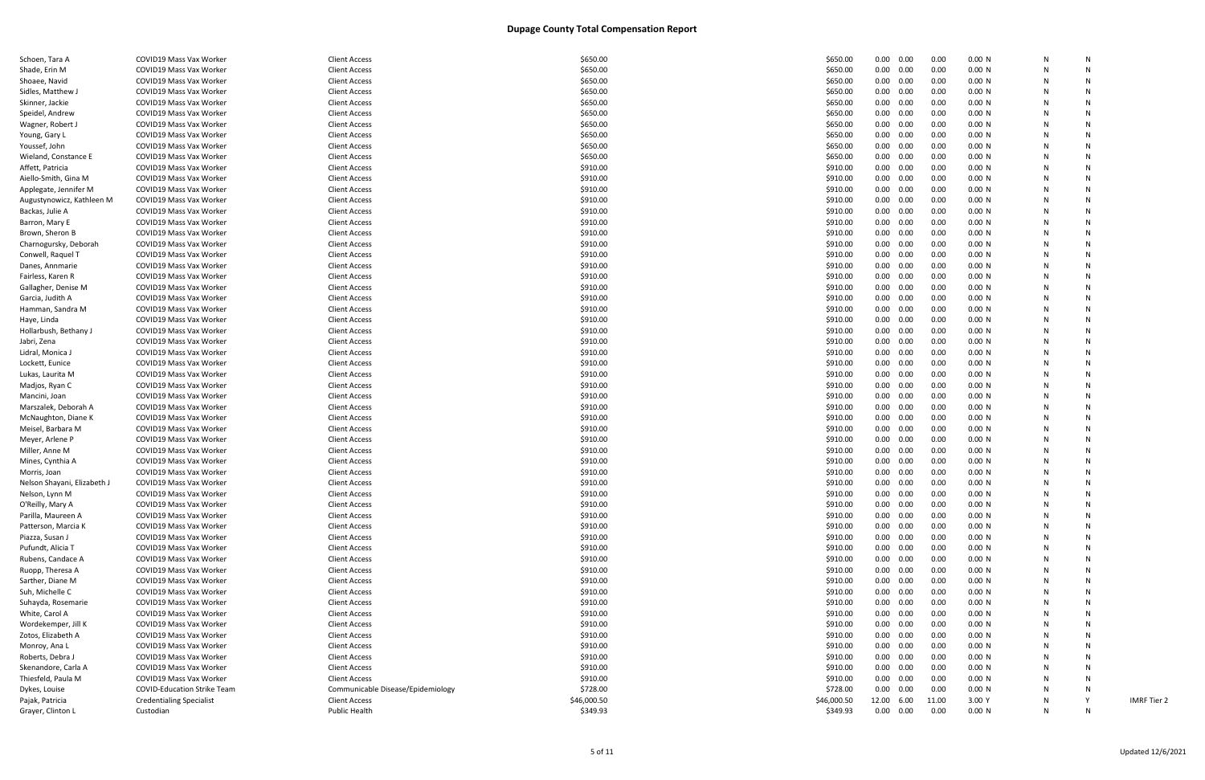| Schoen, Tara A                              | <b>COVID19 Mass Vax Worker</b>                     | <b>Client Access</b>                         | \$650.00             | \$650.00             | 0.00              | 0.00              | 0.00         | 0.00 N           | N      |   |
|---------------------------------------------|----------------------------------------------------|----------------------------------------------|----------------------|----------------------|-------------------|-------------------|--------------|------------------|--------|---|
| Shade, Erin M                               | <b>COVID19 Mass Vax Worker</b>                     | <b>Client Access</b>                         | \$650.00             | \$650.00             | $0.00 \quad 0.00$ |                   | 0.00         | 0.00 N           | N      |   |
| Shoaee, Navid                               | COVID19 Mass Vax Worker                            | <b>Client Access</b>                         | \$650.00             | \$650.00             |                   | $0.00 \quad 0.00$ | 0.00         | 0.00 N           | N      | N |
| Sidles, Matthew J                           | COVID19 Mass Vax Worker                            | <b>Client Access</b>                         | \$650.00             | \$650.00             | 0.00              | 0.00              | 0.00         | 0.00 N           | N      |   |
| Skinner, Jackie                             | COVID19 Mass Vax Worker                            | <b>Client Access</b>                         | \$650.00             | \$650.00             |                   | $0.00 \quad 0.00$ | 0.00         | 0.00 N           |        |   |
| Speidel, Andrew                             | COVID19 Mass Vax Worker                            | <b>Client Access</b>                         | \$650.00             | \$650.00             | 0.00              | 0.00              | 0.00         | 0.00 N           |        |   |
| Wagner, Robert J                            | COVID19 Mass Vax Worker                            | <b>Client Access</b>                         | \$650.00             | \$650.00             | 0.00              | 0.00              | 0.00         | 0.00 N           | N      |   |
| Young, Gary L                               | COVID19 Mass Vax Worker                            | <b>Client Access</b>                         | \$650.00             | \$650.00             | 0.00              | 0.00              | 0.00         | 0.00 N           |        |   |
| Youssef, John                               | COVID19 Mass Vax Worker                            | <b>Client Access</b>                         | \$650.00             | \$650.00             |                   | $0.00 \quad 0.00$ | 0.00         | 0.00 N           | N      |   |
| Wieland, Constance E                        | COVID19 Mass Vax Worker                            | <b>Client Access</b>                         | \$650.00             | \$650.00             | 0.00              | 0.00              | 0.00         | 0.00 N           |        |   |
| Affett, Patricia                            | COVID19 Mass Vax Worker                            | <b>Client Access</b>                         | \$910.00             | \$910.00             |                   | $0.00 \quad 0.00$ | 0.00         | 0.00 N           |        |   |
| Aiello-Smith, Gina M                        | COVID19 Mass Vax Worker                            | <b>Client Access</b>                         | \$910.00             | \$910.00             |                   | $0.00 \quad 0.00$ | 0.00         | 0.00 N           |        |   |
| Applegate, Jennifer M                       | COVID19 Mass Vax Worker                            | <b>Client Access</b>                         | \$910.00             | \$910.00             | 0.00              | 0.00              | 0.00         | 0.00 N           |        |   |
| Augustynowicz, Kathleen M                   | COVID19 Mass Vax Worker                            | <b>Client Access</b>                         | \$910.00             | \$910.00             | 0.00              | 0.00              | 0.00         | 0.00 N           | N      |   |
| Backas, Julie A                             | <b>COVID19 Mass Vax Worker</b>                     | <b>Client Access</b>                         | \$910.00             | \$910.00             |                   | $0.00 \quad 0.00$ | 0.00         | 0.00 N           | N      |   |
| Barron, Mary E                              | COVID19 Mass Vax Worker                            | <b>Client Access</b>                         | \$910.00             | \$910.00             |                   | $0.00 \quad 0.00$ | 0.00         | 0.00 N           | N      |   |
| Brown, Sheron B                             | COVID19 Mass Vax Worker                            | <b>Client Access</b>                         | \$910.00             | \$910.00             |                   | $0.00 \quad 0.00$ | 0.00         | 0.00 N           |        |   |
| Charnogursky, Deborah                       | COVID19 Mass Vax Worker                            | <b>Client Access</b>                         | \$910.00             | \$910.00             |                   | $0.00 \quad 0.00$ | 0.00         | 0.00 N           |        |   |
| Conwell, Raquel T                           | COVID19 Mass Vax Worker                            | <b>Client Access</b>                         | \$910.00             | \$910.00             | 0.00              | 0.00              | 0.00         | 0.00 N           |        |   |
| Danes, Annmarie                             | COVID19 Mass Vax Worker                            | <b>Client Access</b>                         | \$910.00             | \$910.00             | 0.00              | 0.00              | 0.00         | 0.00 N           | N      |   |
| Fairless, Karen R                           | <b>COVID19 Mass Vax Worker</b>                     | <b>Client Access</b>                         | \$910.00             | \$910.00             |                   | $0.00 \quad 0.00$ | 0.00         | 0.00 N           | N      |   |
| Gallagher, Denise M                         | COVID19 Mass Vax Worker                            | <b>Client Access</b>                         | \$910.00             | \$910.00             |                   | $0.00 \quad 0.00$ | 0.00         | 0.00 N           | N      |   |
| Garcia, Judith A                            | COVID19 Mass Vax Worker                            | <b>Client Access</b>                         | \$910.00             | \$910.00             |                   | $0.00 \quad 0.00$ | 0.00         | 0.00 N           | N      |   |
| Hamman, Sandra M                            | COVID19 Mass Vax Worker                            | <b>Client Access</b>                         | \$910.00             | \$910.00             |                   | $0.00 \quad 0.00$ | 0.00         | 0.00 N           |        |   |
| Haye, Linda                                 | COVID19 Mass Vax Worker                            | <b>Client Access</b>                         | \$910.00             | \$910.00             | 0.00              | 0.00              | 0.00         | 0.00 N           |        |   |
| Hollarbush, Bethany J                       | COVID19 Mass Vax Worker                            | <b>Client Access</b>                         | \$910.00             | \$910.00             | 0.00              | 0.00              | 0.00         | 0.00 N           | N      |   |
| Jabri, Zena                                 | COVID19 Mass Vax Worker                            | <b>Client Access</b>                         | \$910.00             | \$910.00             |                   | $0.00 \quad 0.00$ | 0.00         | 0.00 N           | N.     |   |
| Lidral, Monica J                            | COVID19 Mass Vax Worker                            | <b>Client Access</b>                         | \$910.00             | \$910.00             |                   | $0.00 \quad 0.00$ | 0.00         | 0.00 N           | N      |   |
| Lockett, Eunice                             | COVID19 Mass Vax Worker                            | <b>Client Access</b>                         | \$910.00             | \$910.00             |                   | $0.00 \quad 0.00$ | 0.00         | 0.00 N           | N      | N |
| Lukas, Laurita M                            | COVID19 Mass Vax Worker                            | <b>Client Access</b>                         | \$910.00             | \$910.00             |                   | $0.00 \quad 0.00$ | 0.00         | 0.00 N           |        |   |
| Madjos, Ryan C                              | COVID19 Mass Vax Worker                            | <b>Client Access</b>                         | \$910.00             | \$910.00             | 0.00              | 0.00              | 0.00         | 0.00 N           |        |   |
| Mancini, Joan                               | COVID19 Mass Vax Worker                            | <b>Client Access</b>                         | \$910.00             | \$910.00             | 0.00              | 0.00              | 0.00         | 0.00 N           |        |   |
| Marszalek, Deborah A                        | COVID19 Mass Vax Worker                            | <b>Client Access</b>                         | \$910.00             | \$910.00             |                   | $0.00 \quad 0.00$ | 0.00         | 0.00 N           |        |   |
| McNaughton, Diane K                         | COVID19 Mass Vax Worker                            | <b>Client Access</b>                         | \$910.00             | \$910.00             |                   | $0.00 \quad 0.00$ | 0.00         | 0.00 N           | N      |   |
| Meisel, Barbara M                           | COVID19 Mass Vax Worker                            | <b>Client Access</b>                         | \$910.00             | \$910.00             |                   | $0.00 \quad 0.00$ | 0.00         | 0.00 N           |        |   |
| Meyer, Arlene P                             | COVID19 Mass Vax Worker                            | <b>Client Access</b>                         | \$910.00             | \$910.00             |                   | $0.00 \quad 0.00$ | 0.00         | 0.00 N           |        |   |
| Miller, Anne M                              | COVID19 Mass Vax Worker                            | <b>Client Access</b>                         | \$910.00             | \$910.00             |                   | $0.00 \quad 0.00$ | 0.00         | 0.00 N           |        |   |
| Mines, Cynthia A                            | COVID19 Mass Vax Worker                            | <b>Client Access</b>                         | \$910.00             | \$910.00             | 0.00              | 0.00              | 0.00         | 0.00 N           |        |   |
|                                             |                                                    |                                              |                      |                      |                   |                   |              |                  |        |   |
| Morris, Joan<br>Nelson Shayani, Elizabeth J | COVID19 Mass Vax Worker<br>COVID19 Mass Vax Worker | <b>Client Access</b><br><b>Client Access</b> | \$910.00<br>\$910.00 | \$910.00<br>\$910.00 | 0.00<br>0.00      | 0.00              | 0.00<br>0.00 | 0.00 N<br>0.00 N | N      |   |
|                                             | COVID19 Mass Vax Worker                            |                                              | \$910.00             | \$910.00             | 0.00              | 0.00<br>0.00      | 0.00         | 0.00 N           | N      |   |
| Nelson, Lynn M                              |                                                    | <b>Client Access</b><br><b>Client Access</b> | \$910.00             |                      | 0.00              |                   |              |                  |        |   |
| O'Reilly, Mary A<br>Parilla, Maureen A      | COVID19 Mass Vax Worker<br>COVID19 Mass Vax Worker | <b>Client Access</b>                         | \$910.00             | \$910.00<br>\$910.00 | $0.00 \quad 0.00$ | 0.00              | 0.00<br>0.00 | 0.00 N<br>0.00 N | N<br>N |   |
|                                             |                                                    |                                              |                      |                      | 0.00              |                   |              |                  |        |   |
| Patterson, Marcia K                         | COVID19 Mass Vax Worker                            | <b>Client Access</b>                         | \$910.00             | \$910.00             |                   | 0.00              | 0.00         | 0.00 N           | N<br>N |   |
| Piazza, Susan J                             | COVID19 Mass Vax Worker                            | <b>Client Access</b>                         | \$910.00             | \$910.00             | 0.00              | 0.00              | 0.00         | 0.00 N           |        |   |
| Pufundt, Alicia T                           | COVID19 Mass Vax Worker                            | <b>Client Access</b>                         | \$910.00             | \$910.00             | $0.00 \quad 0.00$ |                   | 0.00         | 0.00 N           | N      |   |
| Rubens, Candace A                           | COVID19 Mass Vax Worker                            | <b>Client Access</b>                         | \$910.00             | \$910.00             | 0.00              | 0.00              | 0.00         | 0.00 N           | N      |   |
| Ruopp, Theresa A                            | COVID19 Mass Vax Worker                            | <b>Client Access</b>                         | \$910.00             | \$910.00             | 0.00              | 0.00              | 0.00         | 0.00 N           | N      |   |
| Sarther, Diane M                            | COVID19 Mass Vax Worker                            | <b>Client Access</b>                         | \$910.00             | \$910.00             |                   | $0.00 \quad 0.00$ | 0.00         | 0.00 N           |        |   |
| Suh, Michelle C                             | COVID19 Mass Vax Worker                            | <b>Client Access</b>                         | \$910.00             | \$910.00             | 0.00              | 0.00              | 0.00         | 0.00 N           |        |   |
| Suhayda, Rosemarie                          | COVID19 Mass Vax Worker                            | <b>Client Access</b>                         | \$910.00             | \$910.00             | 0.00              | 0.00              | 0.00         | 0.00 N           | N      |   |
| White, Carol A                              | COVID19 Mass Vax Worker                            | <b>Client Access</b>                         | \$910.00             | \$910.00             | $0.00 \quad 0.00$ |                   | 0.00         | 0.00 N           | N      |   |
| Wordekemper, Jill K                         | COVID19 Mass Vax Worker                            | <b>Client Access</b>                         | \$910.00             | \$910.00             | $0.00 \quad 0.00$ |                   | 0.00         | 0.00 N           | N      |   |
| Zotos, Elizabeth A                          | COVID19 Mass Vax Worker                            | <b>Client Access</b>                         | \$910.00             | \$910.00             |                   | $0.00 \quad 0.00$ | 0.00         | 0.00 N           | N      |   |
| Monroy, Ana L                               | COVID19 Mass Vax Worker                            | <b>Client Access</b>                         | \$910.00             | \$910.00             | $0.00 \quad 0.00$ |                   | 0.00         | 0.00 N           | N      |   |
| Roberts, Debra J                            | COVID19 Mass Vax Worker                            | <b>Client Access</b>                         | \$910.00             | \$910.00             |                   | $0.00 \quad 0.00$ | 0.00         | 0.00 N           | N      |   |
| Skenandore, Carla A                         | COVID19 Mass Vax Worker                            | <b>Client Access</b>                         | \$910.00             | \$910.00             | 0.00              | 0.00              | 0.00         | 0.00 N           | N      |   |
| Thiesfeld, Paula M                          | COVID19 Mass Vax Worker                            | <b>Client Access</b>                         | \$910.00             | \$910.00             | 0.00              | 0.00              | 0.00         | 0.00 N           | N      |   |
| Dykes, Louise                               | <b>COVID-Education Strike Team</b>                 | Communicable Disease/Epidemiology            | \$728.00             | \$728.00             | $0.00 \quad 0.00$ |                   | 0.00         | 0.00 N           | N      |   |
| Pajak, Patricia                             | <b>Credentialing Specialist</b>                    | <b>Client Access</b>                         | \$46,000.50          | \$46,000.50          | 12.00 6.00        |                   | 11.00        | 3.00 Y           | N      |   |
| Grayer, Clinton L                           | Custodian                                          | <b>Public Health</b>                         | \$349.93             | \$349.93             | $0.00\quad 0.00$  |                   | 0.00         | 0.00 N           | N      | N |
|                                             |                                                    |                                              |                      |                      |                   |                   |              |                  |        |   |

**IMRF Tier 2**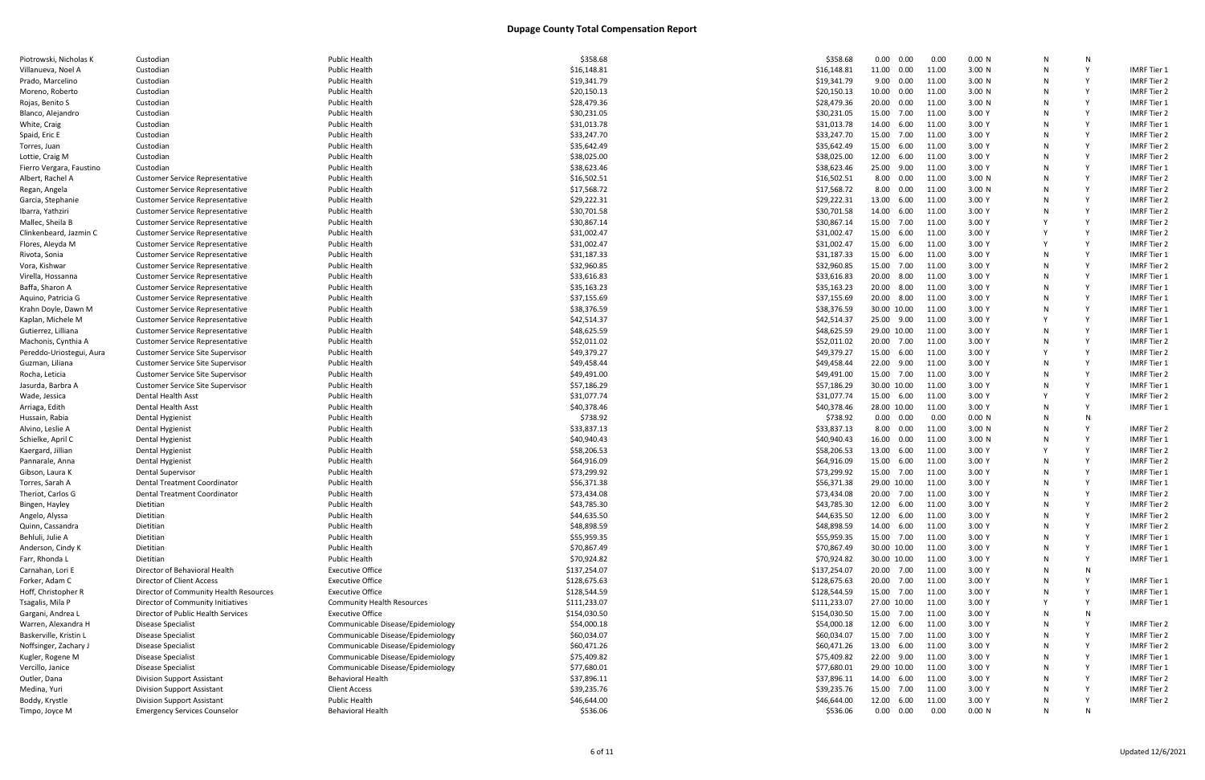| Piotrowski, Nicholas K   | Custodian                               | <b>Public Health</b>              | \$358.68     | \$358.68     | 0.00<br>0.00      | 0.00  | 0.00 N | N | N |                    |
|--------------------------|-----------------------------------------|-----------------------------------|--------------|--------------|-------------------|-------|--------|---|---|--------------------|
| Villanueva, Noel A       | Custodian                               | <b>Public Health</b>              | \$16,148.81  | \$16,148.81  | 11.00  0.00       | 11.00 | 3.00 N |   |   | <b>IMRF Tier 1</b> |
| Prado, Marcelino         | Custodian                               | <b>Public Health</b>              | \$19,341.79  | \$19,341.79  | 9.00<br>0.00      | 11.00 | 3.00 N | N |   | <b>IMRF Tier 2</b> |
| Moreno, Roberto          | Custodian                               | <b>Public Health</b>              | \$20,150.13  | \$20,150.13  | 10.00<br>$0.00\,$ | 11.00 | 3.00 N | N |   | <b>IMRF Tier 2</b> |
| Rojas, Benito S          | Custodian                               | <b>Public Health</b>              | \$28,479.36  | \$28,479.36  | 20.00<br>0.00     | 11.00 | 3.00 N |   |   | <b>IMRF</b> Tier 1 |
| Blanco, Alejandro        | Custodian                               | Public Health                     | \$30,231.05  | \$30,231.05  | 15.00 7.00        | 11.00 | 3.00 Y |   |   | <b>IMRF Tier 2</b> |
| White, Craig             | Custodian                               | <b>Public Health</b>              | \$31,013.78  | \$31,013.78  | 14.00 6.00        | 11.00 | 3.00Y  | N |   | IMRF Tier 1        |
| Spaid, Eric E            | Custodian                               | <b>Public Health</b>              | \$33,247.70  | \$33,247.70  | 15.00 7.00        | 11.00 | 3.00 Y |   |   | <b>IMRF Tier 2</b> |
|                          | Custodian                               | Public Health                     | \$35,642.49  | \$35,642.49  | 15.00 6.00        | 11.00 | 3.00 Y | N | Y | <b>IMRF Tier 2</b> |
| Torres, Juan             |                                         |                                   |              |              |                   |       |        |   |   |                    |
| Lottie, Craig M          | Custodian                               | Public Health                     | \$38,025.00  | \$38,025.00  | 12.00 6.00        | 11.00 | 3.00 Y |   |   | <b>IMRF Tier 2</b> |
| Fierro Vergara, Faustino | Custodian                               | <b>Public Health</b>              | \$38,623.46  | \$38,623.46  | 25.00 9.00        | 11.00 | 3.00 Y |   |   | <b>IMRF Tier 1</b> |
| Albert, Rachel A         | <b>Customer Service Representative</b>  | Public Health                     | \$16,502.51  | \$16,502.51  | 8.00<br>0.00      | 11.00 | 3.00 N |   |   | <b>IMRF Tier 2</b> |
| Regan, Angela            | <b>Customer Service Representative</b>  | <b>Public Health</b>              | \$17,568.72  | \$17,568.72  | 8.00<br>$0.00\,$  | 11.00 | 3.00 N | N |   | <b>IMRF Tier 2</b> |
| Garcia, Stephanie        | <b>Customer Service Representative</b>  | <b>Public Health</b>              | \$29,222.31  | \$29,222.31  | 13.00 6.00        | 11.00 | 3.00 Y |   |   | <b>IMRF Tier 2</b> |
| Ibarra, Yathziri         | <b>Customer Service Representative</b>  | Public Health                     | \$30,701.58  | \$30,701.58  | 14.00 6.00        | 11.00 | 3.00 Y |   |   | <b>IMRF Tier 2</b> |
| Mallec, Sheila B         | <b>Customer Service Representative</b>  | Public Health                     | \$30,867.14  | \$30,867.14  | 15.00<br>7.00     | 11.00 | 3.00 Y |   |   | <b>IMRF Tier 2</b> |
| Clinkenbeard, Jazmin C   | <b>Customer Service Representative</b>  | Public Health                     | \$31,002.47  | \$31,002.47  | 15.00<br>6.00     | 11.00 | 3.00 Y |   |   | <b>IMRF Tier 2</b> |
| Flores, Aleyda M         | <b>Customer Service Representative</b>  | Public Health                     | \$31,002.47  | \$31,002.47  | 15.00<br>6.00     | 11.00 | 3.00 Y | V | v | <b>IMRF Tier 2</b> |
| Rivota, Sonia            | <b>Customer Service Representative</b>  | <b>Public Health</b>              | \$31,187.33  | \$31,187.33  | 15.00 6.00        | 11.00 | 3.00 Y | N |   | <b>IMRF Tier 1</b> |
| Vora, Kishwar            | <b>Customer Service Representative</b>  | <b>Public Health</b>              | \$32,960.85  | \$32,960.85  | 15.00 7.00        | 11.00 | 3.00 Y | N |   | <b>IMRF Tier 2</b> |
| Virella, Hossanna        | <b>Customer Service Representative</b>  | <b>Public Health</b>              | \$33,616.83  | \$33,616.83  | 20.00 8.00        | 11.00 | 3.00 Y |   |   | IMRF Tier 1        |
| Baffa, Sharon A          | <b>Customer Service Representative</b>  | Public Health                     | \$35,163.23  | \$35,163.23  | 20.00 8.00        | 11.00 | 3.00 Y |   |   | <b>IMRF Tier 1</b> |
| Aquino, Patricia G       | Customer Service Representative         | Public Health                     | \$37,155.69  | \$37,155.69  | 20.00 8.00        | 11.00 | 3.00 Y | N |   | <b>IMRF Tier 1</b> |
| Krahn Doyle, Dawn M      | <b>Customer Service Representative</b>  | <b>Public Health</b>              | \$38,376.59  | \$38,376.59  | 30.00 10.00       | 11.00 | 3.00 Y |   |   | <b>IMRF Tier 1</b> |
|                          |                                         |                                   |              |              |                   |       |        |   |   | <b>IMRF</b> Tier 1 |
| Kaplan, Michele M        | <b>Customer Service Representative</b>  | <b>Public Health</b>              | \$42,514.37  | \$42,514.37  | 25.00 9.00        | 11.00 | 3.00 Y |   |   |                    |
| Gutierrez, Lilliana      | <b>Customer Service Representative</b>  | <b>Public Health</b>              | \$48,625.59  | \$48,625.59  | 29.00 10.00       | 11.00 | 3.00 Y | N |   | <b>IMRF Tier 1</b> |
| Machonis, Cynthia A      | <b>Customer Service Representative</b>  | <b>Public Health</b>              | \$52,011.02  | \$52,011.02  | 20.00 7.00        | 11.00 | 3.00 Y |   |   | <b>IMRF Tier 2</b> |
| Pereddo-Uriostegui, Aura | <b>Customer Service Site Supervisor</b> | <b>Public Health</b>              | \$49,379.27  | \$49,379.27  | 15.00 6.00        | 11.00 | 3.00 Y |   | Y | <b>IMRF Tier 2</b> |
| Guzman, Liliana          | <b>Customer Service Site Supervisor</b> | <b>Public Health</b>              | \$49,458.44  | \$49,458.44  | 22.00<br>9.00     | 11.00 | 3.00 Y | N |   | IMRF Tier 1        |
| Rocha, Leticia           | <b>Customer Service Site Supervisor</b> | <b>Public Health</b>              | \$49,491.00  | \$49,491.00  | 15.00 7.00        | 11.00 | 3.00 Y |   |   | <b>IMRF Tier 2</b> |
| Jasurda, Barbra A        | <b>Customer Service Site Supervisor</b> | <b>Public Health</b>              | \$57,186.29  | \$57,186.29  | 30.00 10.00       | 11.00 | 3.00 Y |   |   | <b>IMRF Tier 1</b> |
| Wade, Jessica            | Dental Health Asst                      | <b>Public Health</b>              | \$31,077.74  | \$31,077.74  | 15.00 6.00        | 11.00 | 3.00Y  |   |   | IMRF Tier 2        |
| Arriaga, Edith           | Dental Health Asst                      | <b>Public Health</b>              | \$40,378.46  | \$40,378.46  | 28.00 10.00       | 11.00 | 3.00 Y |   |   | <b>IMRF Tier 1</b> |
| Hussain, Rabia           | Dental Hygienist                        | Public Health                     | \$738.92     | \$738.92     | $0.00\quad 0.00$  | 0.00  | 0.00 N | N | N |                    |
| Alvino, Leslie A         | Dental Hygienist                        | Public Health                     | \$33,837.13  | \$33,837.13  | 8.00 0.00         | 11.00 | 3.00 N | N |   | IMRF Tier 2        |
| Schielke, April C        | Dental Hygienist                        | <b>Public Health</b>              | \$40,940.43  | \$40,940.43  | 16.00<br>0.00     | 11.00 | 3.00 N |   |   | IMRF Tier 1        |
| Kaergard, Jillian        | Dental Hygienist                        | <b>Public Health</b>              | \$58,206.53  | \$58,206.53  | 13.00 6.00        | 11.00 | 3.00 Y |   |   | <b>IMRF Tier 2</b> |
| Pannarale, Anna          | Dental Hygienist                        | <b>Public Health</b>              | \$64,916.09  | \$64,916.09  | 15.00 6.00        | 11.00 | 3.00 Y | N |   | <b>IMRF Tier 2</b> |
| Gibson, Laura K          | Dental Supervisor                       | <b>Public Health</b>              | \$73,299.92  | \$73,299.92  | 15.00 7.00        | 11.00 | 3.00 Y |   |   | <b>IMRF Tier 1</b> |
| Torres, Sarah A          | Dental Treatment Coordinator            | Public Health                     | \$56,371.38  | \$56,371.38  | 29.00 10.00       | 11.00 | 3.00 Y |   |   | IMRF Tier 1        |
| Theriot, Carlos G        | Dental Treatment Coordinator            | <b>Public Health</b>              | \$73,434.08  | \$73,434.08  | 20.00<br>7.00     | 11.00 | 3.00 Y | N |   | <b>IMRF Tier 2</b> |
| Bingen, Hayley           | Dietitian                               | <b>Public Health</b>              | \$43,785.30  | \$43,785.30  | 12.00<br>6.00     | 11.00 | 3.00 Y | N | Y | <b>IMRF Tier 2</b> |
| Angelo, Alyssa           | Dietitian                               | <b>Public Health</b>              | \$44,635.50  | \$44,635.50  | 12.00 6.00        | 11.00 | 3.00 Y |   |   | <b>IMRF Tier 2</b> |
| Quinn, Cassandra         | Dietitian                               | <b>Public Health</b>              | \$48,898.59  | \$48,898.59  | 14.00 6.00        | 11.00 | 3.00 Y | N |   | <b>IMRF Tier 2</b> |
|                          | Dietitian                               | <b>Public Health</b>              | \$55,959.35  | \$55,959.35  | 15.00 7.00        | 11.00 | 3.00 Y | N |   | <b>IMRF Tier 1</b> |
| Behluli, Julie A         |                                         |                                   |              |              |                   |       |        |   |   |                    |
| Anderson, Cindy K        | Dietitian                               | <b>Public Health</b>              | \$70,867.49  | \$70,867.49  | 30.00 10.00       | 11.00 | 3.00 Y |   |   | <b>IMRF Tier 1</b> |
| Farr, Rhonda L           | Dietitian                               | <b>Public Health</b>              | \$70,924.82  | \$70,924.82  | 30.00 10.00       | 11.00 | 3.00 Y |   |   | <b>IMRF Tier 1</b> |
| Carnahan, Lori E         | Director of Behavioral Health           | <b>Executive Office</b>           | \$137,254.07 | \$137,254.07 | 20.00 7.00        | 11.00 | 3.00 Y | N | N |                    |
| Forker, Adam C           | Director of Client Access               | <b>Executive Office</b>           | \$128,675.63 | \$128,675.63 | 20.00 7.00        | 11.00 | 3.00 Y |   |   | IMRF Tier 1        |
| Hoff, Christopher R      | Director of Community Health Resources  | <b>Executive Office</b>           | \$128,544.59 | \$128,544.59 | 15.00 7.00        | 11.00 | 3.00 Y | N |   | IMRF Tier 1        |
| Tsagalis, Mila P         | Director of Community Initiatives       | <b>Community Health Resources</b> | \$111,233.07 | \$111,233.07 | 27.00 10.00       | 11.00 | 3.00 Y |   |   | IMRF Tier 1        |
| Gargani, Andrea L        | Director of Public Health Services      | <b>Executive Office</b>           | \$154,030.50 | \$154,030.50 | 15.00 7.00        | 11.00 | 3.00 Y |   |   |                    |
| Warren, Alexandra H      | <b>Disease Specialist</b>               | Communicable Disease/Epidemiology | \$54,000.18  | \$54,000.18  | 12.00 6.00        | 11.00 | 3.00 Y | N |   | <b>IMRF Tier 2</b> |
| Baskerville, Kristin L   | Disease Specialist                      | Communicable Disease/Epidemiology | \$60,034.07  | \$60,034.07  | 15.00 7.00        | 11.00 | 3.00 Y | N |   | <b>IMRF Tier 2</b> |
| Noffsinger, Zachary J    | Disease Specialist                      | Communicable Disease/Epidemiology | \$60,471.26  | \$60,471.26  | 13.00 6.00        | 11.00 | 3.00 Y |   |   | <b>IMRF Tier 2</b> |
| Kugler, Rogene M         | Disease Specialist                      | Communicable Disease/Epidemiology | \$75,409.82  | \$75,409.82  | 22.00 9.00        | 11.00 | 3.00 Y | N |   | <b>IMRF Tier 1</b> |
| Vercillo, Janice         | Disease Specialist                      | Communicable Disease/Epidemiology | \$77,680.01  | \$77,680.01  | 29.00 10.00       | 11.00 | 3.00 Y | N |   | IMRF Tier 1        |
| Outler, Dana             | <b>Division Support Assistant</b>       | <b>Behavioral Health</b>          | \$37,896.11  | \$37,896.11  | 14.00 6.00        | 11.00 | 3.00 Y |   |   | <b>IMRF Tier 2</b> |
| Medina, Yuri             | <b>Division Support Assistant</b>       | <b>Client Access</b>              | \$39,235.76  | \$39,235.76  | 15.00 7.00        | 11.00 | 3.00 Y | N |   | <b>IMRF Tier 2</b> |
| Boddy, Krystle           | <b>Division Support Assistant</b>       | <b>Public Health</b>              | \$46,644.00  | \$46,644.00  | 12.00 6.00        | 11.00 | 3.00 Y |   |   | <b>IMRF Tier 2</b> |
| Timpo, Joyce M           | <b>Emergency Services Counselor</b>     | <b>Behavioral Health</b>          | \$536.06     | \$536.06     | $0.00\quad 0.00$  | 0.00  | 0.00 N | N | N |                    |
|                          |                                         |                                   |              |              |                   |       |        |   |   |                    |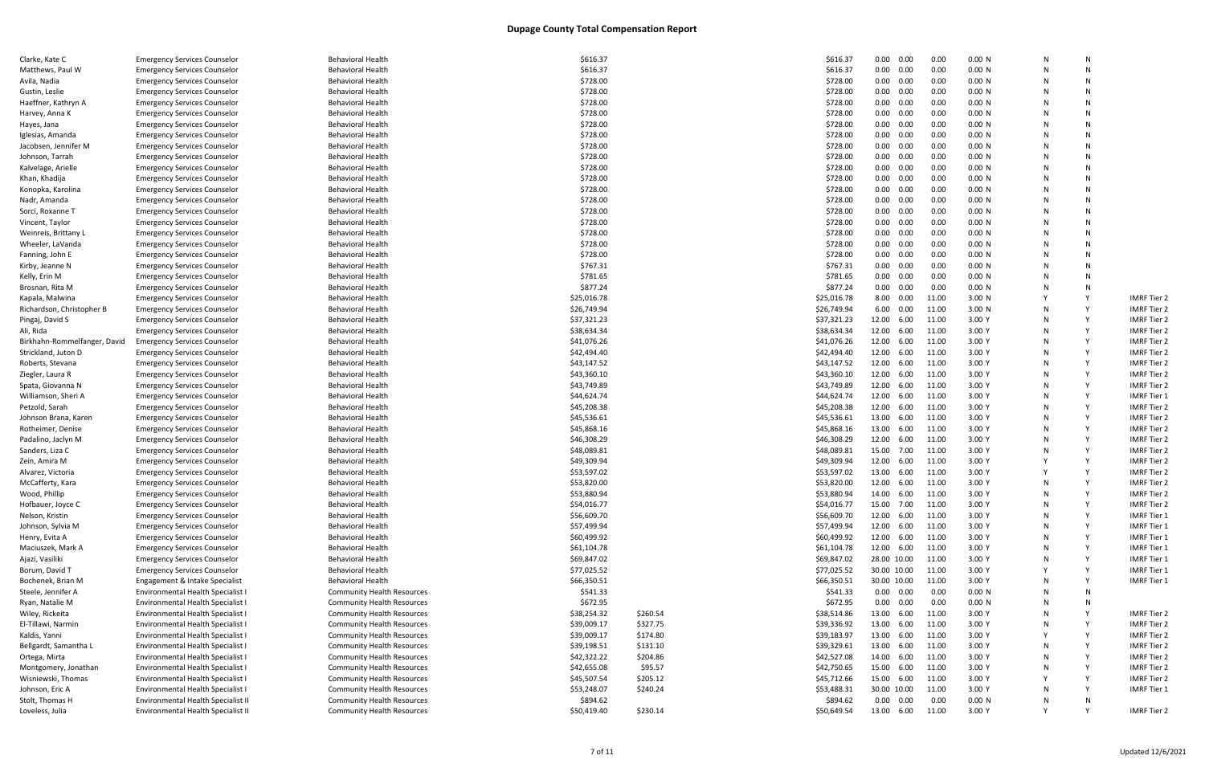| <b>Emergency Services Counselor</b>                                 | <b>Behavioral Health</b>                                                                                                                                                                                                                                                                                                                                                                                                                                                                                                                                                                                                                                                                                                                                                                                                                                                                                                                                                                                                                                                                                                                                                                                                                                                                                                                                                                                                                                                                                                                                                                                                                                                                                                                                                                                               | \$616.37                                                                                                                                                                                                                                                                                                                                                                                                                                                                                                                                                                                                                                                                                                                                                                                                                                                                                                                                                                                                                                                                                                                                |                                                                                                                                                                                                                                                                                                                                                                                                                                                                                                                                                                                                                                                          | \$616.37                                                                                                | $0.00 \quad 0.00$                                                                                                                                                                                                                                                                                                                                                                                                                                                                                                                                                                                                                                           | 0.00                                                                                                                                                                                                                                                                                                                                                                                                                                                                                                                                                                                                                                                                                                                                                                                        | 0.00 N                                                                                                                                                                                                                                                                                                                                                                | N                                                                                                                                                                                                                                                                                                                                                                                                                                                              | N                                         |                                                                |
|---------------------------------------------------------------------|------------------------------------------------------------------------------------------------------------------------------------------------------------------------------------------------------------------------------------------------------------------------------------------------------------------------------------------------------------------------------------------------------------------------------------------------------------------------------------------------------------------------------------------------------------------------------------------------------------------------------------------------------------------------------------------------------------------------------------------------------------------------------------------------------------------------------------------------------------------------------------------------------------------------------------------------------------------------------------------------------------------------------------------------------------------------------------------------------------------------------------------------------------------------------------------------------------------------------------------------------------------------------------------------------------------------------------------------------------------------------------------------------------------------------------------------------------------------------------------------------------------------------------------------------------------------------------------------------------------------------------------------------------------------------------------------------------------------------------------------------------------------------------------------------------------------|-----------------------------------------------------------------------------------------------------------------------------------------------------------------------------------------------------------------------------------------------------------------------------------------------------------------------------------------------------------------------------------------------------------------------------------------------------------------------------------------------------------------------------------------------------------------------------------------------------------------------------------------------------------------------------------------------------------------------------------------------------------------------------------------------------------------------------------------------------------------------------------------------------------------------------------------------------------------------------------------------------------------------------------------------------------------------------------------------------------------------------------------|----------------------------------------------------------------------------------------------------------------------------------------------------------------------------------------------------------------------------------------------------------------------------------------------------------------------------------------------------------------------------------------------------------------------------------------------------------------------------------------------------------------------------------------------------------------------------------------------------------------------------------------------------------|---------------------------------------------------------------------------------------------------------|-------------------------------------------------------------------------------------------------------------------------------------------------------------------------------------------------------------------------------------------------------------------------------------------------------------------------------------------------------------------------------------------------------------------------------------------------------------------------------------------------------------------------------------------------------------------------------------------------------------------------------------------------------------|---------------------------------------------------------------------------------------------------------------------------------------------------------------------------------------------------------------------------------------------------------------------------------------------------------------------------------------------------------------------------------------------------------------------------------------------------------------------------------------------------------------------------------------------------------------------------------------------------------------------------------------------------------------------------------------------------------------------------------------------------------------------------------------------|-----------------------------------------------------------------------------------------------------------------------------------------------------------------------------------------------------------------------------------------------------------------------------------------------------------------------------------------------------------------------|----------------------------------------------------------------------------------------------------------------------------------------------------------------------------------------------------------------------------------------------------------------------------------------------------------------------------------------------------------------------------------------------------------------------------------------------------------------|-------------------------------------------|----------------------------------------------------------------|
| <b>Emergency Services Counselor</b>                                 | <b>Behavioral Health</b>                                                                                                                                                                                                                                                                                                                                                                                                                                                                                                                                                                                                                                                                                                                                                                                                                                                                                                                                                                                                                                                                                                                                                                                                                                                                                                                                                                                                                                                                                                                                                                                                                                                                                                                                                                                               | \$616.37                                                                                                                                                                                                                                                                                                                                                                                                                                                                                                                                                                                                                                                                                                                                                                                                                                                                                                                                                                                                                                                                                                                                |                                                                                                                                                                                                                                                                                                                                                                                                                                                                                                                                                                                                                                                          | \$616.37                                                                                                | $0.00 \quad 0.00$                                                                                                                                                                                                                                                                                                                                                                                                                                                                                                                                                                                                                                           | 0.00                                                                                                                                                                                                                                                                                                                                                                                                                                                                                                                                                                                                                                                                                                                                                                                        | 0.00 N                                                                                                                                                                                                                                                                                                                                                                | N                                                                                                                                                                                                                                                                                                                                                                                                                                                              |                                           |                                                                |
| <b>Emergency Services Counselor</b>                                 | <b>Behavioral Health</b>                                                                                                                                                                                                                                                                                                                                                                                                                                                                                                                                                                                                                                                                                                                                                                                                                                                                                                                                                                                                                                                                                                                                                                                                                                                                                                                                                                                                                                                                                                                                                                                                                                                                                                                                                                                               |                                                                                                                                                                                                                                                                                                                                                                                                                                                                                                                                                                                                                                                                                                                                                                                                                                                                                                                                                                                                                                                                                                                                         |                                                                                                                                                                                                                                                                                                                                                                                                                                                                                                                                                                                                                                                          | \$728.00                                                                                                | $0.00 \quad 0.00$                                                                                                                                                                                                                                                                                                                                                                                                                                                                                                                                                                                                                                           | 0.00                                                                                                                                                                                                                                                                                                                                                                                                                                                                                                                                                                                                                                                                                                                                                                                        | 0.00 N                                                                                                                                                                                                                                                                                                                                                                |                                                                                                                                                                                                                                                                                                                                                                                                                                                                |                                           |                                                                |
|                                                                     | <b>Behavioral Health</b>                                                                                                                                                                                                                                                                                                                                                                                                                                                                                                                                                                                                                                                                                                                                                                                                                                                                                                                                                                                                                                                                                                                                                                                                                                                                                                                                                                                                                                                                                                                                                                                                                                                                                                                                                                                               |                                                                                                                                                                                                                                                                                                                                                                                                                                                                                                                                                                                                                                                                                                                                                                                                                                                                                                                                                                                                                                                                                                                                         |                                                                                                                                                                                                                                                                                                                                                                                                                                                                                                                                                                                                                                                          |                                                                                                         |                                                                                                                                                                                                                                                                                                                                                                                                                                                                                                                                                                                                                                                             |                                                                                                                                                                                                                                                                                                                                                                                                                                                                                                                                                                                                                                                                                                                                                                                             |                                                                                                                                                                                                                                                                                                                                                                       |                                                                                                                                                                                                                                                                                                                                                                                                                                                                | N                                         |                                                                |
|                                                                     |                                                                                                                                                                                                                                                                                                                                                                                                                                                                                                                                                                                                                                                                                                                                                                                                                                                                                                                                                                                                                                                                                                                                                                                                                                                                                                                                                                                                                                                                                                                                                                                                                                                                                                                                                                                                                        |                                                                                                                                                                                                                                                                                                                                                                                                                                                                                                                                                                                                                                                                                                                                                                                                                                                                                                                                                                                                                                                                                                                                         |                                                                                                                                                                                                                                                                                                                                                                                                                                                                                                                                                                                                                                                          |                                                                                                         |                                                                                                                                                                                                                                                                                                                                                                                                                                                                                                                                                                                                                                                             |                                                                                                                                                                                                                                                                                                                                                                                                                                                                                                                                                                                                                                                                                                                                                                                             |                                                                                                                                                                                                                                                                                                                                                                       |                                                                                                                                                                                                                                                                                                                                                                                                                                                                |                                           |                                                                |
|                                                                     |                                                                                                                                                                                                                                                                                                                                                                                                                                                                                                                                                                                                                                                                                                                                                                                                                                                                                                                                                                                                                                                                                                                                                                                                                                                                                                                                                                                                                                                                                                                                                                                                                                                                                                                                                                                                                        |                                                                                                                                                                                                                                                                                                                                                                                                                                                                                                                                                                                                                                                                                                                                                                                                                                                                                                                                                                                                                                                                                                                                         |                                                                                                                                                                                                                                                                                                                                                                                                                                                                                                                                                                                                                                                          |                                                                                                         |                                                                                                                                                                                                                                                                                                                                                                                                                                                                                                                                                                                                                                                             |                                                                                                                                                                                                                                                                                                                                                                                                                                                                                                                                                                                                                                                                                                                                                                                             |                                                                                                                                                                                                                                                                                                                                                                       |                                                                                                                                                                                                                                                                                                                                                                                                                                                                |                                           |                                                                |
|                                                                     |                                                                                                                                                                                                                                                                                                                                                                                                                                                                                                                                                                                                                                                                                                                                                                                                                                                                                                                                                                                                                                                                                                                                                                                                                                                                                                                                                                                                                                                                                                                                                                                                                                                                                                                                                                                                                        |                                                                                                                                                                                                                                                                                                                                                                                                                                                                                                                                                                                                                                                                                                                                                                                                                                                                                                                                                                                                                                                                                                                                         |                                                                                                                                                                                                                                                                                                                                                                                                                                                                                                                                                                                                                                                          |                                                                                                         |                                                                                                                                                                                                                                                                                                                                                                                                                                                                                                                                                                                                                                                             |                                                                                                                                                                                                                                                                                                                                                                                                                                                                                                                                                                                                                                                                                                                                                                                             |                                                                                                                                                                                                                                                                                                                                                                       |                                                                                                                                                                                                                                                                                                                                                                                                                                                                |                                           |                                                                |
|                                                                     |                                                                                                                                                                                                                                                                                                                                                                                                                                                                                                                                                                                                                                                                                                                                                                                                                                                                                                                                                                                                                                                                                                                                                                                                                                                                                                                                                                                                                                                                                                                                                                                                                                                                                                                                                                                                                        |                                                                                                                                                                                                                                                                                                                                                                                                                                                                                                                                                                                                                                                                                                                                                                                                                                                                                                                                                                                                                                                                                                                                         |                                                                                                                                                                                                                                                                                                                                                                                                                                                                                                                                                                                                                                                          |                                                                                                         |                                                                                                                                                                                                                                                                                                                                                                                                                                                                                                                                                                                                                                                             |                                                                                                                                                                                                                                                                                                                                                                                                                                                                                                                                                                                                                                                                                                                                                                                             |                                                                                                                                                                                                                                                                                                                                                                       |                                                                                                                                                                                                                                                                                                                                                                                                                                                                |                                           |                                                                |
|                                                                     |                                                                                                                                                                                                                                                                                                                                                                                                                                                                                                                                                                                                                                                                                                                                                                                                                                                                                                                                                                                                                                                                                                                                                                                                                                                                                                                                                                                                                                                                                                                                                                                                                                                                                                                                                                                                                        |                                                                                                                                                                                                                                                                                                                                                                                                                                                                                                                                                                                                                                                                                                                                                                                                                                                                                                                                                                                                                                                                                                                                         |                                                                                                                                                                                                                                                                                                                                                                                                                                                                                                                                                                                                                                                          |                                                                                                         |                                                                                                                                                                                                                                                                                                                                                                                                                                                                                                                                                                                                                                                             |                                                                                                                                                                                                                                                                                                                                                                                                                                                                                                                                                                                                                                                                                                                                                                                             |                                                                                                                                                                                                                                                                                                                                                                       |                                                                                                                                                                                                                                                                                                                                                                                                                                                                |                                           |                                                                |
|                                                                     |                                                                                                                                                                                                                                                                                                                                                                                                                                                                                                                                                                                                                                                                                                                                                                                                                                                                                                                                                                                                                                                                                                                                                                                                                                                                                                                                                                                                                                                                                                                                                                                                                                                                                                                                                                                                                        |                                                                                                                                                                                                                                                                                                                                                                                                                                                                                                                                                                                                                                                                                                                                                                                                                                                                                                                                                                                                                                                                                                                                         |                                                                                                                                                                                                                                                                                                                                                                                                                                                                                                                                                                                                                                                          |                                                                                                         |                                                                                                                                                                                                                                                                                                                                                                                                                                                                                                                                                                                                                                                             |                                                                                                                                                                                                                                                                                                                                                                                                                                                                                                                                                                                                                                                                                                                                                                                             |                                                                                                                                                                                                                                                                                                                                                                       |                                                                                                                                                                                                                                                                                                                                                                                                                                                                |                                           |                                                                |
|                                                                     |                                                                                                                                                                                                                                                                                                                                                                                                                                                                                                                                                                                                                                                                                                                                                                                                                                                                                                                                                                                                                                                                                                                                                                                                                                                                                                                                                                                                                                                                                                                                                                                                                                                                                                                                                                                                                        |                                                                                                                                                                                                                                                                                                                                                                                                                                                                                                                                                                                                                                                                                                                                                                                                                                                                                                                                                                                                                                                                                                                                         |                                                                                                                                                                                                                                                                                                                                                                                                                                                                                                                                                                                                                                                          |                                                                                                         |                                                                                                                                                                                                                                                                                                                                                                                                                                                                                                                                                                                                                                                             |                                                                                                                                                                                                                                                                                                                                                                                                                                                                                                                                                                                                                                                                                                                                                                                             |                                                                                                                                                                                                                                                                                                                                                                       |                                                                                                                                                                                                                                                                                                                                                                                                                                                                |                                           |                                                                |
|                                                                     |                                                                                                                                                                                                                                                                                                                                                                                                                                                                                                                                                                                                                                                                                                                                                                                                                                                                                                                                                                                                                                                                                                                                                                                                                                                                                                                                                                                                                                                                                                                                                                                                                                                                                                                                                                                                                        |                                                                                                                                                                                                                                                                                                                                                                                                                                                                                                                                                                                                                                                                                                                                                                                                                                                                                                                                                                                                                                                                                                                                         |                                                                                                                                                                                                                                                                                                                                                                                                                                                                                                                                                                                                                                                          |                                                                                                         |                                                                                                                                                                                                                                                                                                                                                                                                                                                                                                                                                                                                                                                             |                                                                                                                                                                                                                                                                                                                                                                                                                                                                                                                                                                                                                                                                                                                                                                                             |                                                                                                                                                                                                                                                                                                                                                                       |                                                                                                                                                                                                                                                                                                                                                                                                                                                                |                                           |                                                                |
|                                                                     |                                                                                                                                                                                                                                                                                                                                                                                                                                                                                                                                                                                                                                                                                                                                                                                                                                                                                                                                                                                                                                                                                                                                                                                                                                                                                                                                                                                                                                                                                                                                                                                                                                                                                                                                                                                                                        |                                                                                                                                                                                                                                                                                                                                                                                                                                                                                                                                                                                                                                                                                                                                                                                                                                                                                                                                                                                                                                                                                                                                         |                                                                                                                                                                                                                                                                                                                                                                                                                                                                                                                                                                                                                                                          |                                                                                                         |                                                                                                                                                                                                                                                                                                                                                                                                                                                                                                                                                                                                                                                             |                                                                                                                                                                                                                                                                                                                                                                                                                                                                                                                                                                                                                                                                                                                                                                                             |                                                                                                                                                                                                                                                                                                                                                                       |                                                                                                                                                                                                                                                                                                                                                                                                                                                                |                                           |                                                                |
|                                                                     |                                                                                                                                                                                                                                                                                                                                                                                                                                                                                                                                                                                                                                                                                                                                                                                                                                                                                                                                                                                                                                                                                                                                                                                                                                                                                                                                                                                                                                                                                                                                                                                                                                                                                                                                                                                                                        |                                                                                                                                                                                                                                                                                                                                                                                                                                                                                                                                                                                                                                                                                                                                                                                                                                                                                                                                                                                                                                                                                                                                         |                                                                                                                                                                                                                                                                                                                                                                                                                                                                                                                                                                                                                                                          |                                                                                                         |                                                                                                                                                                                                                                                                                                                                                                                                                                                                                                                                                                                                                                                             |                                                                                                                                                                                                                                                                                                                                                                                                                                                                                                                                                                                                                                                                                                                                                                                             |                                                                                                                                                                                                                                                                                                                                                                       |                                                                                                                                                                                                                                                                                                                                                                                                                                                                |                                           |                                                                |
|                                                                     |                                                                                                                                                                                                                                                                                                                                                                                                                                                                                                                                                                                                                                                                                                                                                                                                                                                                                                                                                                                                                                                                                                                                                                                                                                                                                                                                                                                                                                                                                                                                                                                                                                                                                                                                                                                                                        |                                                                                                                                                                                                                                                                                                                                                                                                                                                                                                                                                                                                                                                                                                                                                                                                                                                                                                                                                                                                                                                                                                                                         |                                                                                                                                                                                                                                                                                                                                                                                                                                                                                                                                                                                                                                                          |                                                                                                         |                                                                                                                                                                                                                                                                                                                                                                                                                                                                                                                                                                                                                                                             |                                                                                                                                                                                                                                                                                                                                                                                                                                                                                                                                                                                                                                                                                                                                                                                             |                                                                                                                                                                                                                                                                                                                                                                       |                                                                                                                                                                                                                                                                                                                                                                                                                                                                |                                           |                                                                |
|                                                                     |                                                                                                                                                                                                                                                                                                                                                                                                                                                                                                                                                                                                                                                                                                                                                                                                                                                                                                                                                                                                                                                                                                                                                                                                                                                                                                                                                                                                                                                                                                                                                                                                                                                                                                                                                                                                                        |                                                                                                                                                                                                                                                                                                                                                                                                                                                                                                                                                                                                                                                                                                                                                                                                                                                                                                                                                                                                                                                                                                                                         |                                                                                                                                                                                                                                                                                                                                                                                                                                                                                                                                                                                                                                                          |                                                                                                         |                                                                                                                                                                                                                                                                                                                                                                                                                                                                                                                                                                                                                                                             |                                                                                                                                                                                                                                                                                                                                                                                                                                                                                                                                                                                                                                                                                                                                                                                             |                                                                                                                                                                                                                                                                                                                                                                       |                                                                                                                                                                                                                                                                                                                                                                                                                                                                |                                           |                                                                |
|                                                                     |                                                                                                                                                                                                                                                                                                                                                                                                                                                                                                                                                                                                                                                                                                                                                                                                                                                                                                                                                                                                                                                                                                                                                                                                                                                                                                                                                                                                                                                                                                                                                                                                                                                                                                                                                                                                                        |                                                                                                                                                                                                                                                                                                                                                                                                                                                                                                                                                                                                                                                                                                                                                                                                                                                                                                                                                                                                                                                                                                                                         |                                                                                                                                                                                                                                                                                                                                                                                                                                                                                                                                                                                                                                                          |                                                                                                         |                                                                                                                                                                                                                                                                                                                                                                                                                                                                                                                                                                                                                                                             |                                                                                                                                                                                                                                                                                                                                                                                                                                                                                                                                                                                                                                                                                                                                                                                             |                                                                                                                                                                                                                                                                                                                                                                       |                                                                                                                                                                                                                                                                                                                                                                                                                                                                |                                           |                                                                |
|                                                                     |                                                                                                                                                                                                                                                                                                                                                                                                                                                                                                                                                                                                                                                                                                                                                                                                                                                                                                                                                                                                                                                                                                                                                                                                                                                                                                                                                                                                                                                                                                                                                                                                                                                                                                                                                                                                                        |                                                                                                                                                                                                                                                                                                                                                                                                                                                                                                                                                                                                                                                                                                                                                                                                                                                                                                                                                                                                                                                                                                                                         |                                                                                                                                                                                                                                                                                                                                                                                                                                                                                                                                                                                                                                                          |                                                                                                         |                                                                                                                                                                                                                                                                                                                                                                                                                                                                                                                                                                                                                                                             |                                                                                                                                                                                                                                                                                                                                                                                                                                                                                                                                                                                                                                                                                                                                                                                             |                                                                                                                                                                                                                                                                                                                                                                       |                                                                                                                                                                                                                                                                                                                                                                                                                                                                |                                           |                                                                |
|                                                                     |                                                                                                                                                                                                                                                                                                                                                                                                                                                                                                                                                                                                                                                                                                                                                                                                                                                                                                                                                                                                                                                                                                                                                                                                                                                                                                                                                                                                                                                                                                                                                                                                                                                                                                                                                                                                                        |                                                                                                                                                                                                                                                                                                                                                                                                                                                                                                                                                                                                                                                                                                                                                                                                                                                                                                                                                                                                                                                                                                                                         |                                                                                                                                                                                                                                                                                                                                                                                                                                                                                                                                                                                                                                                          |                                                                                                         |                                                                                                                                                                                                                                                                                                                                                                                                                                                                                                                                                                                                                                                             |                                                                                                                                                                                                                                                                                                                                                                                                                                                                                                                                                                                                                                                                                                                                                                                             |                                                                                                                                                                                                                                                                                                                                                                       |                                                                                                                                                                                                                                                                                                                                                                                                                                                                |                                           |                                                                |
|                                                                     |                                                                                                                                                                                                                                                                                                                                                                                                                                                                                                                                                                                                                                                                                                                                                                                                                                                                                                                                                                                                                                                                                                                                                                                                                                                                                                                                                                                                                                                                                                                                                                                                                                                                                                                                                                                                                        |                                                                                                                                                                                                                                                                                                                                                                                                                                                                                                                                                                                                                                                                                                                                                                                                                                                                                                                                                                                                                                                                                                                                         |                                                                                                                                                                                                                                                                                                                                                                                                                                                                                                                                                                                                                                                          |                                                                                                         |                                                                                                                                                                                                                                                                                                                                                                                                                                                                                                                                                                                                                                                             |                                                                                                                                                                                                                                                                                                                                                                                                                                                                                                                                                                                                                                                                                                                                                                                             |                                                                                                                                                                                                                                                                                                                                                                       |                                                                                                                                                                                                                                                                                                                                                                                                                                                                |                                           |                                                                |
|                                                                     |                                                                                                                                                                                                                                                                                                                                                                                                                                                                                                                                                                                                                                                                                                                                                                                                                                                                                                                                                                                                                                                                                                                                                                                                                                                                                                                                                                                                                                                                                                                                                                                                                                                                                                                                                                                                                        |                                                                                                                                                                                                                                                                                                                                                                                                                                                                                                                                                                                                                                                                                                                                                                                                                                                                                                                                                                                                                                                                                                                                         |                                                                                                                                                                                                                                                                                                                                                                                                                                                                                                                                                                                                                                                          |                                                                                                         |                                                                                                                                                                                                                                                                                                                                                                                                                                                                                                                                                                                                                                                             |                                                                                                                                                                                                                                                                                                                                                                                                                                                                                                                                                                                                                                                                                                                                                                                             |                                                                                                                                                                                                                                                                                                                                                                       |                                                                                                                                                                                                                                                                                                                                                                                                                                                                |                                           |                                                                |
|                                                                     |                                                                                                                                                                                                                                                                                                                                                                                                                                                                                                                                                                                                                                                                                                                                                                                                                                                                                                                                                                                                                                                                                                                                                                                                                                                                                                                                                                                                                                                                                                                                                                                                                                                                                                                                                                                                                        |                                                                                                                                                                                                                                                                                                                                                                                                                                                                                                                                                                                                                                                                                                                                                                                                                                                                                                                                                                                                                                                                                                                                         |                                                                                                                                                                                                                                                                                                                                                                                                                                                                                                                                                                                                                                                          |                                                                                                         |                                                                                                                                                                                                                                                                                                                                                                                                                                                                                                                                                                                                                                                             |                                                                                                                                                                                                                                                                                                                                                                                                                                                                                                                                                                                                                                                                                                                                                                                             |                                                                                                                                                                                                                                                                                                                                                                       |                                                                                                                                                                                                                                                                                                                                                                                                                                                                |                                           |                                                                |
|                                                                     |                                                                                                                                                                                                                                                                                                                                                                                                                                                                                                                                                                                                                                                                                                                                                                                                                                                                                                                                                                                                                                                                                                                                                                                                                                                                                                                                                                                                                                                                                                                                                                                                                                                                                                                                                                                                                        |                                                                                                                                                                                                                                                                                                                                                                                                                                                                                                                                                                                                                                                                                                                                                                                                                                                                                                                                                                                                                                                                                                                                         |                                                                                                                                                                                                                                                                                                                                                                                                                                                                                                                                                                                                                                                          |                                                                                                         |                                                                                                                                                                                                                                                                                                                                                                                                                                                                                                                                                                                                                                                             |                                                                                                                                                                                                                                                                                                                                                                                                                                                                                                                                                                                                                                                                                                                                                                                             |                                                                                                                                                                                                                                                                                                                                                                       |                                                                                                                                                                                                                                                                                                                                                                                                                                                                |                                           |                                                                |
|                                                                     | <b>Behavioral Health</b>                                                                                                                                                                                                                                                                                                                                                                                                                                                                                                                                                                                                                                                                                                                                                                                                                                                                                                                                                                                                                                                                                                                                                                                                                                                                                                                                                                                                                                                                                                                                                                                                                                                                                                                                                                                               |                                                                                                                                                                                                                                                                                                                                                                                                                                                                                                                                                                                                                                                                                                                                                                                                                                                                                                                                                                                                                                                                                                                                         |                                                                                                                                                                                                                                                                                                                                                                                                                                                                                                                                                                                                                                                          |                                                                                                         |                                                                                                                                                                                                                                                                                                                                                                                                                                                                                                                                                                                                                                                             | 11.00                                                                                                                                                                                                                                                                                                                                                                                                                                                                                                                                                                                                                                                                                                                                                                                       |                                                                                                                                                                                                                                                                                                                                                                       |                                                                                                                                                                                                                                                                                                                                                                                                                                                                |                                           | IMRF Tier 2                                                    |
| <b>Emergency Services Counselor</b>                                 | <b>Behavioral Health</b>                                                                                                                                                                                                                                                                                                                                                                                                                                                                                                                                                                                                                                                                                                                                                                                                                                                                                                                                                                                                                                                                                                                                                                                                                                                                                                                                                                                                                                                                                                                                                                                                                                                                                                                                                                                               |                                                                                                                                                                                                                                                                                                                                                                                                                                                                                                                                                                                                                                                                                                                                                                                                                                                                                                                                                                                                                                                                                                                                         |                                                                                                                                                                                                                                                                                                                                                                                                                                                                                                                                                                                                                                                          | \$26,749.94                                                                                             | 6.00 0.00                                                                                                                                                                                                                                                                                                                                                                                                                                                                                                                                                                                                                                                   | 11.00                                                                                                                                                                                                                                                                                                                                                                                                                                                                                                                                                                                                                                                                                                                                                                                       |                                                                                                                                                                                                                                                                                                                                                                       |                                                                                                                                                                                                                                                                                                                                                                                                                                                                |                                           | <b>IMRF Tier 2</b>                                             |
| <b>Emergency Services Counselor</b>                                 | <b>Behavioral Health</b>                                                                                                                                                                                                                                                                                                                                                                                                                                                                                                                                                                                                                                                                                                                                                                                                                                                                                                                                                                                                                                                                                                                                                                                                                                                                                                                                                                                                                                                                                                                                                                                                                                                                                                                                                                                               | \$37,321.23                                                                                                                                                                                                                                                                                                                                                                                                                                                                                                                                                                                                                                                                                                                                                                                                                                                                                                                                                                                                                                                                                                                             |                                                                                                                                                                                                                                                                                                                                                                                                                                                                                                                                                                                                                                                          | \$37,321.23                                                                                             | 12.00 6.00                                                                                                                                                                                                                                                                                                                                                                                                                                                                                                                                                                                                                                                  | 11.00                                                                                                                                                                                                                                                                                                                                                                                                                                                                                                                                                                                                                                                                                                                                                                                       | 3.00 Y                                                                                                                                                                                                                                                                                                                                                                | N                                                                                                                                                                                                                                                                                                                                                                                                                                                              |                                           | IMRF Tier 2                                                    |
| <b>Emergency Services Counselor</b>                                 | <b>Behavioral Health</b>                                                                                                                                                                                                                                                                                                                                                                                                                                                                                                                                                                                                                                                                                                                                                                                                                                                                                                                                                                                                                                                                                                                                                                                                                                                                                                                                                                                                                                                                                                                                                                                                                                                                                                                                                                                               | \$38,634.34                                                                                                                                                                                                                                                                                                                                                                                                                                                                                                                                                                                                                                                                                                                                                                                                                                                                                                                                                                                                                                                                                                                             |                                                                                                                                                                                                                                                                                                                                                                                                                                                                                                                                                                                                                                                          | \$38,634.34                                                                                             | 12.00 6.00                                                                                                                                                                                                                                                                                                                                                                                                                                                                                                                                                                                                                                                  | 11.00                                                                                                                                                                                                                                                                                                                                                                                                                                                                                                                                                                                                                                                                                                                                                                                       | 3.00 Y                                                                                                                                                                                                                                                                                                                                                                | N                                                                                                                                                                                                                                                                                                                                                                                                                                                              |                                           | IMRF Tier 2                                                    |
| Birkhahn-Rommelfanger, David<br><b>Emergency Services Counselor</b> | <b>Behavioral Health</b>                                                                                                                                                                                                                                                                                                                                                                                                                                                                                                                                                                                                                                                                                                                                                                                                                                                                                                                                                                                                                                                                                                                                                                                                                                                                                                                                                                                                                                                                                                                                                                                                                                                                                                                                                                                               | \$41,076.26                                                                                                                                                                                                                                                                                                                                                                                                                                                                                                                                                                                                                                                                                                                                                                                                                                                                                                                                                                                                                                                                                                                             |                                                                                                                                                                                                                                                                                                                                                                                                                                                                                                                                                                                                                                                          | \$41,076.26                                                                                             | 12.00 6.00                                                                                                                                                                                                                                                                                                                                                                                                                                                                                                                                                                                                                                                  | 11.00                                                                                                                                                                                                                                                                                                                                                                                                                                                                                                                                                                                                                                                                                                                                                                                       | 3.00 Y                                                                                                                                                                                                                                                                                                                                                                |                                                                                                                                                                                                                                                                                                                                                                                                                                                                |                                           | <b>IMRF Tier 2</b>                                             |
| <b>Emergency Services Counselor</b>                                 | <b>Behavioral Health</b>                                                                                                                                                                                                                                                                                                                                                                                                                                                                                                                                                                                                                                                                                                                                                                                                                                                                                                                                                                                                                                                                                                                                                                                                                                                                                                                                                                                                                                                                                                                                                                                                                                                                                                                                                                                               | \$42,494.40                                                                                                                                                                                                                                                                                                                                                                                                                                                                                                                                                                                                                                                                                                                                                                                                                                                                                                                                                                                                                                                                                                                             |                                                                                                                                                                                                                                                                                                                                                                                                                                                                                                                                                                                                                                                          | \$42,494.40                                                                                             | 12.00 6.00                                                                                                                                                                                                                                                                                                                                                                                                                                                                                                                                                                                                                                                  | 11.00                                                                                                                                                                                                                                                                                                                                                                                                                                                                                                                                                                                                                                                                                                                                                                                       | 3.00 Y                                                                                                                                                                                                                                                                                                                                                                | N                                                                                                                                                                                                                                                                                                                                                                                                                                                              |                                           | <b>IMRF Tier 2</b>                                             |
| <b>Emergency Services Counselor</b>                                 | <b>Behavioral Health</b>                                                                                                                                                                                                                                                                                                                                                                                                                                                                                                                                                                                                                                                                                                                                                                                                                                                                                                                                                                                                                                                                                                                                                                                                                                                                                                                                                                                                                                                                                                                                                                                                                                                                                                                                                                                               | \$43,147.52                                                                                                                                                                                                                                                                                                                                                                                                                                                                                                                                                                                                                                                                                                                                                                                                                                                                                                                                                                                                                                                                                                                             |                                                                                                                                                                                                                                                                                                                                                                                                                                                                                                                                                                                                                                                          | \$43,147.52                                                                                             | 12.00 6.00                                                                                                                                                                                                                                                                                                                                                                                                                                                                                                                                                                                                                                                  | 11.00                                                                                                                                                                                                                                                                                                                                                                                                                                                                                                                                                                                                                                                                                                                                                                                       | 3.00 Y                                                                                                                                                                                                                                                                                                                                                                |                                                                                                                                                                                                                                                                                                                                                                                                                                                                |                                           | <b>IMRF Tier 2</b>                                             |
| <b>Emergency Services Counselor</b>                                 | <b>Behavioral Health</b>                                                                                                                                                                                                                                                                                                                                                                                                                                                                                                                                                                                                                                                                                                                                                                                                                                                                                                                                                                                                                                                                                                                                                                                                                                                                                                                                                                                                                                                                                                                                                                                                                                                                                                                                                                                               | \$43,360.10                                                                                                                                                                                                                                                                                                                                                                                                                                                                                                                                                                                                                                                                                                                                                                                                                                                                                                                                                                                                                                                                                                                             |                                                                                                                                                                                                                                                                                                                                                                                                                                                                                                                                                                                                                                                          | \$43,360.10                                                                                             | 12.00 6.00                                                                                                                                                                                                                                                                                                                                                                                                                                                                                                                                                                                                                                                  | 11.00                                                                                                                                                                                                                                                                                                                                                                                                                                                                                                                                                                                                                                                                                                                                                                                       | 3.00 Y                                                                                                                                                                                                                                                                                                                                                                |                                                                                                                                                                                                                                                                                                                                                                                                                                                                |                                           | <b>IMRF Tier 2</b>                                             |
| <b>Emergency Services Counselor</b>                                 | <b>Behavioral Health</b>                                                                                                                                                                                                                                                                                                                                                                                                                                                                                                                                                                                                                                                                                                                                                                                                                                                                                                                                                                                                                                                                                                                                                                                                                                                                                                                                                                                                                                                                                                                                                                                                                                                                                                                                                                                               | \$43,749.89                                                                                                                                                                                                                                                                                                                                                                                                                                                                                                                                                                                                                                                                                                                                                                                                                                                                                                                                                                                                                                                                                                                             |                                                                                                                                                                                                                                                                                                                                                                                                                                                                                                                                                                                                                                                          | \$43,749.89                                                                                             | 12.00 6.00                                                                                                                                                                                                                                                                                                                                                                                                                                                                                                                                                                                                                                                  | 11.00                                                                                                                                                                                                                                                                                                                                                                                                                                                                                                                                                                                                                                                                                                                                                                                       | 3.00 Y                                                                                                                                                                                                                                                                                                                                                                |                                                                                                                                                                                                                                                                                                                                                                                                                                                                |                                           | <b>IMRF Tier 2</b>                                             |
| <b>Emergency Services Counselor</b>                                 | <b>Behavioral Health</b>                                                                                                                                                                                                                                                                                                                                                                                                                                                                                                                                                                                                                                                                                                                                                                                                                                                                                                                                                                                                                                                                                                                                                                                                                                                                                                                                                                                                                                                                                                                                                                                                                                                                                                                                                                                               | \$44,624.74                                                                                                                                                                                                                                                                                                                                                                                                                                                                                                                                                                                                                                                                                                                                                                                                                                                                                                                                                                                                                                                                                                                             |                                                                                                                                                                                                                                                                                                                                                                                                                                                                                                                                                                                                                                                          | \$44,624.74                                                                                             | 12.00 6.00                                                                                                                                                                                                                                                                                                                                                                                                                                                                                                                                                                                                                                                  | 11.00                                                                                                                                                                                                                                                                                                                                                                                                                                                                                                                                                                                                                                                                                                                                                                                       | 3.00 Y                                                                                                                                                                                                                                                                                                                                                                | N                                                                                                                                                                                                                                                                                                                                                                                                                                                              |                                           | <b>IMRF Tier 1</b>                                             |
| <b>Emergency Services Counselor</b>                                 | <b>Behavioral Health</b>                                                                                                                                                                                                                                                                                                                                                                                                                                                                                                                                                                                                                                                                                                                                                                                                                                                                                                                                                                                                                                                                                                                                                                                                                                                                                                                                                                                                                                                                                                                                                                                                                                                                                                                                                                                               | \$45,208.38                                                                                                                                                                                                                                                                                                                                                                                                                                                                                                                                                                                                                                                                                                                                                                                                                                                                                                                                                                                                                                                                                                                             |                                                                                                                                                                                                                                                                                                                                                                                                                                                                                                                                                                                                                                                          | \$45,208.38                                                                                             | 12.00 6.00                                                                                                                                                                                                                                                                                                                                                                                                                                                                                                                                                                                                                                                  | 11.00                                                                                                                                                                                                                                                                                                                                                                                                                                                                                                                                                                                                                                                                                                                                                                                       | 3.00 Y                                                                                                                                                                                                                                                                                                                                                                |                                                                                                                                                                                                                                                                                                                                                                                                                                                                |                                           | <b>IMRF Tier 2</b>                                             |
| <b>Emergency Services Counselor</b>                                 | <b>Behavioral Health</b>                                                                                                                                                                                                                                                                                                                                                                                                                                                                                                                                                                                                                                                                                                                                                                                                                                                                                                                                                                                                                                                                                                                                                                                                                                                                                                                                                                                                                                                                                                                                                                                                                                                                                                                                                                                               | \$45,536.61                                                                                                                                                                                                                                                                                                                                                                                                                                                                                                                                                                                                                                                                                                                                                                                                                                                                                                                                                                                                                                                                                                                             |                                                                                                                                                                                                                                                                                                                                                                                                                                                                                                                                                                                                                                                          | \$45,536.61                                                                                             | 13.00 6.00                                                                                                                                                                                                                                                                                                                                                                                                                                                                                                                                                                                                                                                  | 11.00                                                                                                                                                                                                                                                                                                                                                                                                                                                                                                                                                                                                                                                                                                                                                                                       | 3.00 Y                                                                                                                                                                                                                                                                                                                                                                | N                                                                                                                                                                                                                                                                                                                                                                                                                                                              |                                           | <b>IMRF Tier 2</b>                                             |
| <b>Emergency Services Counselor</b>                                 | <b>Behavioral Health</b>                                                                                                                                                                                                                                                                                                                                                                                                                                                                                                                                                                                                                                                                                                                                                                                                                                                                                                                                                                                                                                                                                                                                                                                                                                                                                                                                                                                                                                                                                                                                                                                                                                                                                                                                                                                               |                                                                                                                                                                                                                                                                                                                                                                                                                                                                                                                                                                                                                                                                                                                                                                                                                                                                                                                                                                                                                                                                                                                                         |                                                                                                                                                                                                                                                                                                                                                                                                                                                                                                                                                                                                                                                          |                                                                                                         |                                                                                                                                                                                                                                                                                                                                                                                                                                                                                                                                                                                                                                                             | 11.00                                                                                                                                                                                                                                                                                                                                                                                                                                                                                                                                                                                                                                                                                                                                                                                       | 3.00 Y                                                                                                                                                                                                                                                                                                                                                                | N                                                                                                                                                                                                                                                                                                                                                                                                                                                              |                                           | <b>IMRF Tier 2</b>                                             |
|                                                                     | <b>Behavioral Health</b>                                                                                                                                                                                                                                                                                                                                                                                                                                                                                                                                                                                                                                                                                                                                                                                                                                                                                                                                                                                                                                                                                                                                                                                                                                                                                                                                                                                                                                                                                                                                                                                                                                                                                                                                                                                               | \$46,308.29                                                                                                                                                                                                                                                                                                                                                                                                                                                                                                                                                                                                                                                                                                                                                                                                                                                                                                                                                                                                                                                                                                                             |                                                                                                                                                                                                                                                                                                                                                                                                                                                                                                                                                                                                                                                          |                                                                                                         |                                                                                                                                                                                                                                                                                                                                                                                                                                                                                                                                                                                                                                                             | 11.00                                                                                                                                                                                                                                                                                                                                                                                                                                                                                                                                                                                                                                                                                                                                                                                       | 3.00 Y                                                                                                                                                                                                                                                                                                                                                                |                                                                                                                                                                                                                                                                                                                                                                                                                                                                |                                           | <b>IMRF Tier 2</b>                                             |
| <b>Emergency Services Counselor</b>                                 | <b>Behavioral Health</b>                                                                                                                                                                                                                                                                                                                                                                                                                                                                                                                                                                                                                                                                                                                                                                                                                                                                                                                                                                                                                                                                                                                                                                                                                                                                                                                                                                                                                                                                                                                                                                                                                                                                                                                                                                                               |                                                                                                                                                                                                                                                                                                                                                                                                                                                                                                                                                                                                                                                                                                                                                                                                                                                                                                                                                                                                                                                                                                                                         |                                                                                                                                                                                                                                                                                                                                                                                                                                                                                                                                                                                                                                                          |                                                                                                         | 15.00 7.00                                                                                                                                                                                                                                                                                                                                                                                                                                                                                                                                                                                                                                                  | 11.00                                                                                                                                                                                                                                                                                                                                                                                                                                                                                                                                                                                                                                                                                                                                                                                       | 3.00 Y                                                                                                                                                                                                                                                                                                                                                                |                                                                                                                                                                                                                                                                                                                                                                                                                                                                |                                           | <b>IMRF Tier 2</b>                                             |
|                                                                     |                                                                                                                                                                                                                                                                                                                                                                                                                                                                                                                                                                                                                                                                                                                                                                                                                                                                                                                                                                                                                                                                                                                                                                                                                                                                                                                                                                                                                                                                                                                                                                                                                                                                                                                                                                                                                        |                                                                                                                                                                                                                                                                                                                                                                                                                                                                                                                                                                                                                                                                                                                                                                                                                                                                                                                                                                                                                                                                                                                                         |                                                                                                                                                                                                                                                                                                                                                                                                                                                                                                                                                                                                                                                          |                                                                                                         |                                                                                                                                                                                                                                                                                                                                                                                                                                                                                                                                                                                                                                                             |                                                                                                                                                                                                                                                                                                                                                                                                                                                                                                                                                                                                                                                                                                                                                                                             |                                                                                                                                                                                                                                                                                                                                                                       |                                                                                                                                                                                                                                                                                                                                                                                                                                                                |                                           | <b>IMRF Tier 2</b>                                             |
|                                                                     |                                                                                                                                                                                                                                                                                                                                                                                                                                                                                                                                                                                                                                                                                                                                                                                                                                                                                                                                                                                                                                                                                                                                                                                                                                                                                                                                                                                                                                                                                                                                                                                                                                                                                                                                                                                                                        |                                                                                                                                                                                                                                                                                                                                                                                                                                                                                                                                                                                                                                                                                                                                                                                                                                                                                                                                                                                                                                                                                                                                         |                                                                                                                                                                                                                                                                                                                                                                                                                                                                                                                                                                                                                                                          |                                                                                                         |                                                                                                                                                                                                                                                                                                                                                                                                                                                                                                                                                                                                                                                             |                                                                                                                                                                                                                                                                                                                                                                                                                                                                                                                                                                                                                                                                                                                                                                                             |                                                                                                                                                                                                                                                                                                                                                                       |                                                                                                                                                                                                                                                                                                                                                                                                                                                                |                                           | <b>IMRF Tier 2</b>                                             |
|                                                                     |                                                                                                                                                                                                                                                                                                                                                                                                                                                                                                                                                                                                                                                                                                                                                                                                                                                                                                                                                                                                                                                                                                                                                                                                                                                                                                                                                                                                                                                                                                                                                                                                                                                                                                                                                                                                                        |                                                                                                                                                                                                                                                                                                                                                                                                                                                                                                                                                                                                                                                                                                                                                                                                                                                                                                                                                                                                                                                                                                                                         |                                                                                                                                                                                                                                                                                                                                                                                                                                                                                                                                                                                                                                                          |                                                                                                         |                                                                                                                                                                                                                                                                                                                                                                                                                                                                                                                                                                                                                                                             |                                                                                                                                                                                                                                                                                                                                                                                                                                                                                                                                                                                                                                                                                                                                                                                             |                                                                                                                                                                                                                                                                                                                                                                       |                                                                                                                                                                                                                                                                                                                                                                                                                                                                |                                           | <b>IMRF Tier 2</b>                                             |
|                                                                     |                                                                                                                                                                                                                                                                                                                                                                                                                                                                                                                                                                                                                                                                                                                                                                                                                                                                                                                                                                                                                                                                                                                                                                                                                                                                                                                                                                                                                                                                                                                                                                                                                                                                                                                                                                                                                        |                                                                                                                                                                                                                                                                                                                                                                                                                                                                                                                                                                                                                                                                                                                                                                                                                                                                                                                                                                                                                                                                                                                                         |                                                                                                                                                                                                                                                                                                                                                                                                                                                                                                                                                                                                                                                          |                                                                                                         |                                                                                                                                                                                                                                                                                                                                                                                                                                                                                                                                                                                                                                                             |                                                                                                                                                                                                                                                                                                                                                                                                                                                                                                                                                                                                                                                                                                                                                                                             |                                                                                                                                                                                                                                                                                                                                                                       | N                                                                                                                                                                                                                                                                                                                                                                                                                                                              |                                           | <b>IMRF Tier 2</b>                                             |
|                                                                     |                                                                                                                                                                                                                                                                                                                                                                                                                                                                                                                                                                                                                                                                                                                                                                                                                                                                                                                                                                                                                                                                                                                                                                                                                                                                                                                                                                                                                                                                                                                                                                                                                                                                                                                                                                                                                        |                                                                                                                                                                                                                                                                                                                                                                                                                                                                                                                                                                                                                                                                                                                                                                                                                                                                                                                                                                                                                                                                                                                                         |                                                                                                                                                                                                                                                                                                                                                                                                                                                                                                                                                                                                                                                          |                                                                                                         |                                                                                                                                                                                                                                                                                                                                                                                                                                                                                                                                                                                                                                                             |                                                                                                                                                                                                                                                                                                                                                                                                                                                                                                                                                                                                                                                                                                                                                                                             |                                                                                                                                                                                                                                                                                                                                                                       |                                                                                                                                                                                                                                                                                                                                                                                                                                                                |                                           | <b>IMRF Tier 2</b>                                             |
|                                                                     |                                                                                                                                                                                                                                                                                                                                                                                                                                                                                                                                                                                                                                                                                                                                                                                                                                                                                                                                                                                                                                                                                                                                                                                                                                                                                                                                                                                                                                                                                                                                                                                                                                                                                                                                                                                                                        |                                                                                                                                                                                                                                                                                                                                                                                                                                                                                                                                                                                                                                                                                                                                                                                                                                                                                                                                                                                                                                                                                                                                         |                                                                                                                                                                                                                                                                                                                                                                                                                                                                                                                                                                                                                                                          |                                                                                                         |                                                                                                                                                                                                                                                                                                                                                                                                                                                                                                                                                                                                                                                             |                                                                                                                                                                                                                                                                                                                                                                                                                                                                                                                                                                                                                                                                                                                                                                                             |                                                                                                                                                                                                                                                                                                                                                                       |                                                                                                                                                                                                                                                                                                                                                                                                                                                                |                                           | <b>IMRF Tier 1</b>                                             |
|                                                                     |                                                                                                                                                                                                                                                                                                                                                                                                                                                                                                                                                                                                                                                                                                                                                                                                                                                                                                                                                                                                                                                                                                                                                                                                                                                                                                                                                                                                                                                                                                                                                                                                                                                                                                                                                                                                                        |                                                                                                                                                                                                                                                                                                                                                                                                                                                                                                                                                                                                                                                                                                                                                                                                                                                                                                                                                                                                                                                                                                                                         |                                                                                                                                                                                                                                                                                                                                                                                                                                                                                                                                                                                                                                                          |                                                                                                         |                                                                                                                                                                                                                                                                                                                                                                                                                                                                                                                                                                                                                                                             |                                                                                                                                                                                                                                                                                                                                                                                                                                                                                                                                                                                                                                                                                                                                                                                             |                                                                                                                                                                                                                                                                                                                                                                       |                                                                                                                                                                                                                                                                                                                                                                                                                                                                |                                           | <b>IMRF Tier 1</b>                                             |
|                                                                     |                                                                                                                                                                                                                                                                                                                                                                                                                                                                                                                                                                                                                                                                                                                                                                                                                                                                                                                                                                                                                                                                                                                                                                                                                                                                                                                                                                                                                                                                                                                                                                                                                                                                                                                                                                                                                        |                                                                                                                                                                                                                                                                                                                                                                                                                                                                                                                                                                                                                                                                                                                                                                                                                                                                                                                                                                                                                                                                                                                                         |                                                                                                                                                                                                                                                                                                                                                                                                                                                                                                                                                                                                                                                          |                                                                                                         |                                                                                                                                                                                                                                                                                                                                                                                                                                                                                                                                                                                                                                                             |                                                                                                                                                                                                                                                                                                                                                                                                                                                                                                                                                                                                                                                                                                                                                                                             |                                                                                                                                                                                                                                                                                                                                                                       |                                                                                                                                                                                                                                                                                                                                                                                                                                                                |                                           | <b>IMRF Tier 1</b>                                             |
|                                                                     |                                                                                                                                                                                                                                                                                                                                                                                                                                                                                                                                                                                                                                                                                                                                                                                                                                                                                                                                                                                                                                                                                                                                                                                                                                                                                                                                                                                                                                                                                                                                                                                                                                                                                                                                                                                                                        |                                                                                                                                                                                                                                                                                                                                                                                                                                                                                                                                                                                                                                                                                                                                                                                                                                                                                                                                                                                                                                                                                                                                         |                                                                                                                                                                                                                                                                                                                                                                                                                                                                                                                                                                                                                                                          |                                                                                                         |                                                                                                                                                                                                                                                                                                                                                                                                                                                                                                                                                                                                                                                             |                                                                                                                                                                                                                                                                                                                                                                                                                                                                                                                                                                                                                                                                                                                                                                                             |                                                                                                                                                                                                                                                                                                                                                                       |                                                                                                                                                                                                                                                                                                                                                                                                                                                                |                                           | <b>IMRF Tier 1</b>                                             |
|                                                                     |                                                                                                                                                                                                                                                                                                                                                                                                                                                                                                                                                                                                                                                                                                                                                                                                                                                                                                                                                                                                                                                                                                                                                                                                                                                                                                                                                                                                                                                                                                                                                                                                                                                                                                                                                                                                                        |                                                                                                                                                                                                                                                                                                                                                                                                                                                                                                                                                                                                                                                                                                                                                                                                                                                                                                                                                                                                                                                                                                                                         |                                                                                                                                                                                                                                                                                                                                                                                                                                                                                                                                                                                                                                                          |                                                                                                         |                                                                                                                                                                                                                                                                                                                                                                                                                                                                                                                                                                                                                                                             |                                                                                                                                                                                                                                                                                                                                                                                                                                                                                                                                                                                                                                                                                                                                                                                             |                                                                                                                                                                                                                                                                                                                                                                       |                                                                                                                                                                                                                                                                                                                                                                                                                                                                |                                           | <b>IMRF Tier 1</b>                                             |
|                                                                     |                                                                                                                                                                                                                                                                                                                                                                                                                                                                                                                                                                                                                                                                                                                                                                                                                                                                                                                                                                                                                                                                                                                                                                                                                                                                                                                                                                                                                                                                                                                                                                                                                                                                                                                                                                                                                        |                                                                                                                                                                                                                                                                                                                                                                                                                                                                                                                                                                                                                                                                                                                                                                                                                                                                                                                                                                                                                                                                                                                                         |                                                                                                                                                                                                                                                                                                                                                                                                                                                                                                                                                                                                                                                          |                                                                                                         |                                                                                                                                                                                                                                                                                                                                                                                                                                                                                                                                                                                                                                                             |                                                                                                                                                                                                                                                                                                                                                                                                                                                                                                                                                                                                                                                                                                                                                                                             |                                                                                                                                                                                                                                                                                                                                                                       |                                                                                                                                                                                                                                                                                                                                                                                                                                                                |                                           | <b>IMRF Tier 1</b>                                             |
|                                                                     |                                                                                                                                                                                                                                                                                                                                                                                                                                                                                                                                                                                                                                                                                                                                                                                                                                                                                                                                                                                                                                                                                                                                                                                                                                                                                                                                                                                                                                                                                                                                                                                                                                                                                                                                                                                                                        |                                                                                                                                                                                                                                                                                                                                                                                                                                                                                                                                                                                                                                                                                                                                                                                                                                                                                                                                                                                                                                                                                                                                         |                                                                                                                                                                                                                                                                                                                                                                                                                                                                                                                                                                                                                                                          |                                                                                                         |                                                                                                                                                                                                                                                                                                                                                                                                                                                                                                                                                                                                                                                             |                                                                                                                                                                                                                                                                                                                                                                                                                                                                                                                                                                                                                                                                                                                                                                                             |                                                                                                                                                                                                                                                                                                                                                                       |                                                                                                                                                                                                                                                                                                                                                                                                                                                                |                                           | <b>IMRF Tier 1</b>                                             |
|                                                                     |                                                                                                                                                                                                                                                                                                                                                                                                                                                                                                                                                                                                                                                                                                                                                                                                                                                                                                                                                                                                                                                                                                                                                                                                                                                                                                                                                                                                                                                                                                                                                                                                                                                                                                                                                                                                                        |                                                                                                                                                                                                                                                                                                                                                                                                                                                                                                                                                                                                                                                                                                                                                                                                                                                                                                                                                                                                                                                                                                                                         |                                                                                                                                                                                                                                                                                                                                                                                                                                                                                                                                                                                                                                                          |                                                                                                         |                                                                                                                                                                                                                                                                                                                                                                                                                                                                                                                                                                                                                                                             |                                                                                                                                                                                                                                                                                                                                                                                                                                                                                                                                                                                                                                                                                                                                                                                             |                                                                                                                                                                                                                                                                                                                                                                       |                                                                                                                                                                                                                                                                                                                                                                                                                                                                |                                           |                                                                |
|                                                                     |                                                                                                                                                                                                                                                                                                                                                                                                                                                                                                                                                                                                                                                                                                                                                                                                                                                                                                                                                                                                                                                                                                                                                                                                                                                                                                                                                                                                                                                                                                                                                                                                                                                                                                                                                                                                                        |                                                                                                                                                                                                                                                                                                                                                                                                                                                                                                                                                                                                                                                                                                                                                                                                                                                                                                                                                                                                                                                                                                                                         |                                                                                                                                                                                                                                                                                                                                                                                                                                                                                                                                                                                                                                                          |                                                                                                         |                                                                                                                                                                                                                                                                                                                                                                                                                                                                                                                                                                                                                                                             |                                                                                                                                                                                                                                                                                                                                                                                                                                                                                                                                                                                                                                                                                                                                                                                             |                                                                                                                                                                                                                                                                                                                                                                       |                                                                                                                                                                                                                                                                                                                                                                                                                                                                |                                           |                                                                |
|                                                                     |                                                                                                                                                                                                                                                                                                                                                                                                                                                                                                                                                                                                                                                                                                                                                                                                                                                                                                                                                                                                                                                                                                                                                                                                                                                                                                                                                                                                                                                                                                                                                                                                                                                                                                                                                                                                                        |                                                                                                                                                                                                                                                                                                                                                                                                                                                                                                                                                                                                                                                                                                                                                                                                                                                                                                                                                                                                                                                                                                                                         |                                                                                                                                                                                                                                                                                                                                                                                                                                                                                                                                                                                                                                                          |                                                                                                         |                                                                                                                                                                                                                                                                                                                                                                                                                                                                                                                                                                                                                                                             |                                                                                                                                                                                                                                                                                                                                                                                                                                                                                                                                                                                                                                                                                                                                                                                             |                                                                                                                                                                                                                                                                                                                                                                       |                                                                                                                                                                                                                                                                                                                                                                                                                                                                |                                           |                                                                |
|                                                                     |                                                                                                                                                                                                                                                                                                                                                                                                                                                                                                                                                                                                                                                                                                                                                                                                                                                                                                                                                                                                                                                                                                                                                                                                                                                                                                                                                                                                                                                                                                                                                                                                                                                                                                                                                                                                                        |                                                                                                                                                                                                                                                                                                                                                                                                                                                                                                                                                                                                                                                                                                                                                                                                                                                                                                                                                                                                                                                                                                                                         |                                                                                                                                                                                                                                                                                                                                                                                                                                                                                                                                                                                                                                                          |                                                                                                         |                                                                                                                                                                                                                                                                                                                                                                                                                                                                                                                                                                                                                                                             |                                                                                                                                                                                                                                                                                                                                                                                                                                                                                                                                                                                                                                                                                                                                                                                             |                                                                                                                                                                                                                                                                                                                                                                       |                                                                                                                                                                                                                                                                                                                                                                                                                                                                |                                           | <b>IMRF Tier 2</b>                                             |
|                                                                     |                                                                                                                                                                                                                                                                                                                                                                                                                                                                                                                                                                                                                                                                                                                                                                                                                                                                                                                                                                                                                                                                                                                                                                                                                                                                                                                                                                                                                                                                                                                                                                                                                                                                                                                                                                                                                        |                                                                                                                                                                                                                                                                                                                                                                                                                                                                                                                                                                                                                                                                                                                                                                                                                                                                                                                                                                                                                                                                                                                                         |                                                                                                                                                                                                                                                                                                                                                                                                                                                                                                                                                                                                                                                          |                                                                                                         |                                                                                                                                                                                                                                                                                                                                                                                                                                                                                                                                                                                                                                                             |                                                                                                                                                                                                                                                                                                                                                                                                                                                                                                                                                                                                                                                                                                                                                                                             |                                                                                                                                                                                                                                                                                                                                                                       |                                                                                                                                                                                                                                                                                                                                                                                                                                                                |                                           | <b>IMRF Tier 2</b>                                             |
|                                                                     |                                                                                                                                                                                                                                                                                                                                                                                                                                                                                                                                                                                                                                                                                                                                                                                                                                                                                                                                                                                                                                                                                                                                                                                                                                                                                                                                                                                                                                                                                                                                                                                                                                                                                                                                                                                                                        |                                                                                                                                                                                                                                                                                                                                                                                                                                                                                                                                                                                                                                                                                                                                                                                                                                                                                                                                                                                                                                                                                                                                         |                                                                                                                                                                                                                                                                                                                                                                                                                                                                                                                                                                                                                                                          |                                                                                                         |                                                                                                                                                                                                                                                                                                                                                                                                                                                                                                                                                                                                                                                             |                                                                                                                                                                                                                                                                                                                                                                                                                                                                                                                                                                                                                                                                                                                                                                                             |                                                                                                                                                                                                                                                                                                                                                                       |                                                                                                                                                                                                                                                                                                                                                                                                                                                                |                                           | <b>IMRF Tier 2</b>                                             |
|                                                                     |                                                                                                                                                                                                                                                                                                                                                                                                                                                                                                                                                                                                                                                                                                                                                                                                                                                                                                                                                                                                                                                                                                                                                                                                                                                                                                                                                                                                                                                                                                                                                                                                                                                                                                                                                                                                                        |                                                                                                                                                                                                                                                                                                                                                                                                                                                                                                                                                                                                                                                                                                                                                                                                                                                                                                                                                                                                                                                                                                                                         |                                                                                                                                                                                                                                                                                                                                                                                                                                                                                                                                                                                                                                                          |                                                                                                         |                                                                                                                                                                                                                                                                                                                                                                                                                                                                                                                                                                                                                                                             |                                                                                                                                                                                                                                                                                                                                                                                                                                                                                                                                                                                                                                                                                                                                                                                             |                                                                                                                                                                                                                                                                                                                                                                       |                                                                                                                                                                                                                                                                                                                                                                                                                                                                |                                           | <b>IMRF Tier 2</b>                                             |
|                                                                     |                                                                                                                                                                                                                                                                                                                                                                                                                                                                                                                                                                                                                                                                                                                                                                                                                                                                                                                                                                                                                                                                                                                                                                                                                                                                                                                                                                                                                                                                                                                                                                                                                                                                                                                                                                                                                        |                                                                                                                                                                                                                                                                                                                                                                                                                                                                                                                                                                                                                                                                                                                                                                                                                                                                                                                                                                                                                                                                                                                                         |                                                                                                                                                                                                                                                                                                                                                                                                                                                                                                                                                                                                                                                          |                                                                                                         |                                                                                                                                                                                                                                                                                                                                                                                                                                                                                                                                                                                                                                                             |                                                                                                                                                                                                                                                                                                                                                                                                                                                                                                                                                                                                                                                                                                                                                                                             |                                                                                                                                                                                                                                                                                                                                                                       | N                                                                                                                                                                                                                                                                                                                                                                                                                                                              |                                           | <b>IMRF Tier 2</b>                                             |
|                                                                     | <b>Community Health Resources</b>                                                                                                                                                                                                                                                                                                                                                                                                                                                                                                                                                                                                                                                                                                                                                                                                                                                                                                                                                                                                                                                                                                                                                                                                                                                                                                                                                                                                                                                                                                                                                                                                                                                                                                                                                                                      |                                                                                                                                                                                                                                                                                                                                                                                                                                                                                                                                                                                                                                                                                                                                                                                                                                                                                                                                                                                                                                                                                                                                         |                                                                                                                                                                                                                                                                                                                                                                                                                                                                                                                                                                                                                                                          |                                                                                                         |                                                                                                                                                                                                                                                                                                                                                                                                                                                                                                                                                                                                                                                             |                                                                                                                                                                                                                                                                                                                                                                                                                                                                                                                                                                                                                                                                                                                                                                                             |                                                                                                                                                                                                                                                                                                                                                                       | N                                                                                                                                                                                                                                                                                                                                                                                                                                                              |                                           | <b>IMRF Tier 2</b>                                             |
|                                                                     | <b>Community Health Resources</b>                                                                                                                                                                                                                                                                                                                                                                                                                                                                                                                                                                                                                                                                                                                                                                                                                                                                                                                                                                                                                                                                                                                                                                                                                                                                                                                                                                                                                                                                                                                                                                                                                                                                                                                                                                                      |                                                                                                                                                                                                                                                                                                                                                                                                                                                                                                                                                                                                                                                                                                                                                                                                                                                                                                                                                                                                                                                                                                                                         |                                                                                                                                                                                                                                                                                                                                                                                                                                                                                                                                                                                                                                                          |                                                                                                         |                                                                                                                                                                                                                                                                                                                                                                                                                                                                                                                                                                                                                                                             | 11.00                                                                                                                                                                                                                                                                                                                                                                                                                                                                                                                                                                                                                                                                                                                                                                                       |                                                                                                                                                                                                                                                                                                                                                                       |                                                                                                                                                                                                                                                                                                                                                                                                                                                                |                                           | <b>IMRF Tier 2</b>                                             |
| <b>Environmental Health Specialist I</b>                            | <b>Community Health Resources</b>                                                                                                                                                                                                                                                                                                                                                                                                                                                                                                                                                                                                                                                                                                                                                                                                                                                                                                                                                                                                                                                                                                                                                                                                                                                                                                                                                                                                                                                                                                                                                                                                                                                                                                                                                                                      |                                                                                                                                                                                                                                                                                                                                                                                                                                                                                                                                                                                                                                                                                                                                                                                                                                                                                                                                                                                                                                                                                                                                         |                                                                                                                                                                                                                                                                                                                                                                                                                                                                                                                                                                                                                                                          |                                                                                                         |                                                                                                                                                                                                                                                                                                                                                                                                                                                                                                                                                                                                                                                             | 11.00                                                                                                                                                                                                                                                                                                                                                                                                                                                                                                                                                                                                                                                                                                                                                                                       |                                                                                                                                                                                                                                                                                                                                                                       | N                                                                                                                                                                                                                                                                                                                                                                                                                                                              |                                           | <b>IMRF Tier 1</b>                                             |
|                                                                     | <b>Community Health Resources</b>                                                                                                                                                                                                                                                                                                                                                                                                                                                                                                                                                                                                                                                                                                                                                                                                                                                                                                                                                                                                                                                                                                                                                                                                                                                                                                                                                                                                                                                                                                                                                                                                                                                                                                                                                                                      |                                                                                                                                                                                                                                                                                                                                                                                                                                                                                                                                                                                                                                                                                                                                                                                                                                                                                                                                                                                                                                                                                                                                         |                                                                                                                                                                                                                                                                                                                                                                                                                                                                                                                                                                                                                                                          |                                                                                                         | $0.00 \quad 0.00$                                                                                                                                                                                                                                                                                                                                                                                                                                                                                                                                                                                                                                           |                                                                                                                                                                                                                                                                                                                                                                                                                                                                                                                                                                                                                                                                                                                                                                                             |                                                                                                                                                                                                                                                                                                                                                                       |                                                                                                                                                                                                                                                                                                                                                                                                                                                                | -N                                        |                                                                |
|                                                                     | <b>Community Health Resources</b>                                                                                                                                                                                                                                                                                                                                                                                                                                                                                                                                                                                                                                                                                                                                                                                                                                                                                                                                                                                                                                                                                                                                                                                                                                                                                                                                                                                                                                                                                                                                                                                                                                                                                                                                                                                      | \$50,419.40                                                                                                                                                                                                                                                                                                                                                                                                                                                                                                                                                                                                                                                                                                                                                                                                                                                                                                                                                                                                                                                                                                                             |                                                                                                                                                                                                                                                                                                                                                                                                                                                                                                                                                                                                                                                          |                                                                                                         |                                                                                                                                                                                                                                                                                                                                                                                                                                                                                                                                                                                                                                                             |                                                                                                                                                                                                                                                                                                                                                                                                                                                                                                                                                                                                                                                                                                                                                                                             |                                                                                                                                                                                                                                                                                                                                                                       |                                                                                                                                                                                                                                                                                                                                                                                                                                                                |                                           | <b>IMRF Tier 2</b>                                             |
|                                                                     | <b>Emergency Services Counselor</b><br><b>Emergency Services Counselor</b><br><b>Emergency Services Counselor</b><br><b>Emergency Services Counselor</b><br><b>Emergency Services Counselor</b><br><b>Emergency Services Counselor</b><br><b>Emergency Services Counselor</b><br><b>Emergency Services Counselor</b><br><b>Emergency Services Counselor</b><br><b>Emergency Services Counselor</b><br><b>Emergency Services Counselor</b><br><b>Emergency Services Counselor</b><br><b>Emergency Services Counselor</b><br><b>Emergency Services Counselor</b><br><b>Emergency Services Counselor</b><br><b>Emergency Services Counselor</b><br><b>Emergency Services Counselor</b><br><b>Emergency Services Counselor</b><br><b>Emergency Services Counselor</b><br><b>Emergency Services Counselor</b><br><b>Emergency Services Counselor</b><br><b>Emergency Services Counselor</b><br><b>Emergency Services Counselor</b><br><b>Emergency Services Counselor</b><br><b>Emergency Services Counselor</b><br><b>Emergency Services Counselor</b><br><b>Emergency Services Counselor</b><br><b>Emergency Services Counselor</b><br><b>Emergency Services Counselor</b><br><b>Emergency Services Counselor</b><br><b>Emergency Services Counselor</b><br><b>Emergency Services Counselor</b><br>Engagement & Intake Specialist<br><b>Environmental Health Specialist I</b><br><b>Environmental Health Specialist I</b><br><b>Environmental Health Specialist I</b><br><b>Environmental Health Specialist I</b><br><b>Environmental Health Specialist I</b><br><b>Environmental Health Specialist I</b><br><b>Environmental Health Specialist I</b><br><b>Environmental Health Specialist I</b><br><b>Environmental Health Specialist I</b><br>Environmental Health Specialist II<br>Environmental Health Specialist II | <b>Behavioral Health</b><br><b>Behavioral Health</b><br><b>Behavioral Health</b><br><b>Behavioral Health</b><br><b>Behavioral Health</b><br><b>Behavioral Health</b><br><b>Behavioral Health</b><br><b>Behavioral Health</b><br><b>Behavioral Health</b><br><b>Behavioral Health</b><br><b>Behavioral Health</b><br><b>Behavioral Health</b><br><b>Behavioral Health</b><br><b>Behavioral Health</b><br><b>Behavioral Health</b><br><b>Behavioral Health</b><br><b>Behavioral Health</b><br><b>Behavioral Health</b><br><b>Behavioral Health</b><br><b>Behavioral Health</b><br><b>Behavioral Health</b><br><b>Behavioral Health</b><br><b>Behavioral Health</b><br><b>Behavioral Health</b><br><b>Behavioral Health</b><br><b>Behavioral Health</b><br><b>Behavioral Health</b><br><b>Behavioral Health</b><br><b>Behavioral Health</b><br><b>Behavioral Health</b><br><b>Community Health Resources</b><br><b>Community Health Resources</b><br><b>Community Health Resources</b><br><b>Community Health Resources</b><br><b>Community Health Resources</b><br><b>Community Health Resources</b><br><b>Community Health Resources</b> | \$728.00<br>\$728.00<br>\$728.00<br>\$728.00<br>\$728.00<br>\$728.00<br>\$728.00<br>\$728.00<br>\$728.00<br>\$728.00<br>\$728.00<br>\$728.00<br>\$728.00<br>\$728.00<br>\$728.00<br>\$728.00<br>\$728.00<br>\$767.31<br>\$781.65<br>\$877.24<br>\$25,016.78<br>\$26,749.94<br>\$45,868.16<br>\$48,089.81<br>\$49,309.94<br>\$53,597.02<br>\$53,820.00<br>\$53,880.94<br>\$54,016.77<br>\$56,609.70<br>\$57,499.94<br>\$60,499.92<br>\$61,104.78<br>\$69,847.02<br>\$77,025.52<br>\$66,350.51<br>\$541.33<br>\$672.95<br>\$38,254.32<br>\$39,009.17<br>\$39,009.17<br>\$39,198.51<br>\$42,322.22<br>\$42,655.08<br>\$45,507.54<br>\$53,248.07<br>\$894.62 | \$260.54<br>\$327.75<br>\$174.80<br>\$131.10<br>\$204.86<br>\$95.57<br>\$205.12<br>\$240.24<br>\$230.14 | \$728.00<br>\$728.00<br>\$728.00<br>\$728.00<br>\$728.00<br>\$728.00<br>\$728.00<br>\$728.00<br>\$728.00<br>\$728.00<br>\$728.00<br>\$728.00<br>\$728.00<br>\$728.00<br>\$728.00<br>\$728.00<br>\$767.31<br>\$781.65<br>\$877.24<br>\$25,016.78<br>\$45,868.16<br>\$46,308.29<br>\$48,089.81<br>\$49,309.94<br>\$53,597.02<br>\$53,820.00<br>\$53,880.94<br>\$54,016.77<br>\$56,609.70<br>\$57,499.94<br>\$60,499.92<br>\$61,104.78<br>\$69,847.02<br>\$77,025.52<br>\$66,350.51<br>\$541.33<br>\$672.95<br>\$38,514.86<br>\$39,336.92<br>\$39,183.97<br>\$39,329.61<br>\$42,527.08<br>\$42,750.65<br>\$45,712.66<br>\$53,488.31<br>\$894.62<br>\$50,649.54 | $0.00 \quad 0.00$<br>$0.00 \quad 0.00$<br>$0.00 \quad 0.00$<br>$0.00 \quad 0.00$<br>$0.00 \quad 0.00$<br>$0.00 \quad 0.00$<br>$0.00 \quad 0.00$<br>$0.00 \quad 0.00$<br>$0.00 \quad 0.00$<br>$0.00 \quad 0.00$<br>$0.00 \quad 0.00$<br>$0.00 \quad 0.00$<br>$0.00 \quad 0.00$<br>$0.00 \quad 0.00$<br>$0.00 \quad 0.00$<br>$0.00 \quad 0.00$<br>$0.00 \quad 0.00$<br>$0.00 \quad 0.00$<br>$0.00 \quad 0.00$<br>8.00  0.00<br>13.00 6.00<br>12.00 6.00<br>12.00 6.00<br>13.00 6.00<br>12.00 6.00<br>14.00 6.00<br>15.00 7.00<br>12.00 6.00<br>12.00 6.00<br>12.00 6.00<br>12.00 6.00<br>28.00 10.00<br>30.00 10.00<br>30.00 10.00<br>$0.00 \quad 0.00$<br>$0.00 \quad 0.00$<br>13.00 6.00<br>13.00 6.00<br>13.00 6.00<br>13.00 6.00<br>14.00 6.00<br>15.00 6.00<br>15.00 6.00<br>30.00 10.00 | 0.00<br>0.00<br>0.00<br>0.00<br>0.00<br>0.00<br>0.00<br>0.00<br>0.00<br>0.00<br>0.00<br>0.00<br>0.00<br>0.00<br>0.00<br>0.00<br>0.00<br>0.00<br>0.00<br>11.00<br>11.00<br>11.00<br>11.00<br>11.00<br>11.00<br>11.00<br>11.00<br>11.00<br>11.00<br>11.00<br>11.00<br>0.00<br>0.00<br>11.00<br>11.00<br>11.00<br>11.00<br>11.00<br>11.00<br>0.00<br>13.00 6.00<br>11.00 | 0.00 N<br>0.00 N<br>0.00 N<br>0.00 N<br>0.00 N<br>0.00 N<br>0.00 N<br>0.00 N<br>0.00 N<br>0.00 N<br>0.00 N<br>0.00 N<br>0.00 N<br>0.00 N<br>0.00 N<br>0.00 N<br>0.00 N<br>0.00 N<br>0.00 N<br>3.00 N<br>3.00 N<br>3.00 Y<br>3.00 Y<br>3.00 Y<br>3.00 Y<br>3.00 Y<br>3.00 Y<br>3.00 Y<br>3.00 Y<br>3.00 Y<br>3.00 Y<br>3.00 Y<br>3.00 Y<br>0.00 N<br>0.00 N<br>3.00 Y<br>3.00 Y<br>3.00 Y<br>3.00 Y<br>3.00 Y<br>3.00 Y<br>3.00 Y<br>3.00 Y<br>0.00 N<br>3.00 Y | N<br>N<br>N<br>N<br>N<br>N<br>N<br>N<br>N | N<br>N<br>N<br>N<br>N<br>N<br>N<br>N<br>N<br>N<br>N<br>N<br>N. |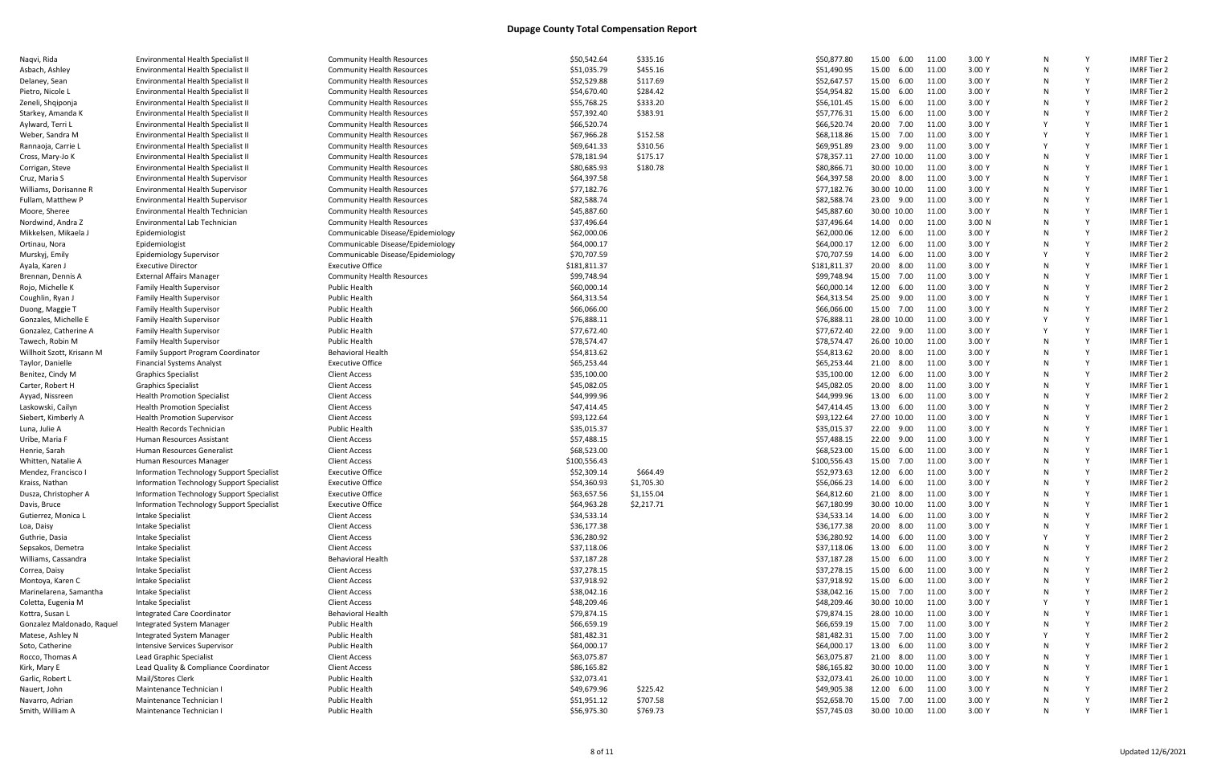| Naqvi, Rida                | Environmental Health Specialist II        | <b>Community Health Resources</b>                  | \$50,542.64  | \$335.16   | \$50,877.80  | 15.00 6.00  | 11.00 | 3.00 Y            |   | <b>IMRF Tier 2</b> |
|----------------------------|-------------------------------------------|----------------------------------------------------|--------------|------------|--------------|-------------|-------|-------------------|---|--------------------|
| Asbach, Ashley             | Environmental Health Specialist II        | <b>Community Health Resources</b>                  | \$51,035.79  | \$455.16   | \$51,490.95  | 15.00 6.00  | 11.00 | 3.00 Y            | N | <b>IMRF Tier 2</b> |
| Delaney, Sean              | Environmental Health Specialist II        | <b>Community Health Resources</b>                  | \$52,529.88  | \$117.69   | \$52,647.57  | 15.00 6.00  | 11.00 | 3.00 Y            | N | <b>IMRF Tier 2</b> |
| Pietro, Nicole L           | Environmental Health Specialist II        | <b>Community Health Resources</b>                  | \$54,670.40  | \$284.42   | \$54,954.82  | 15.00 6.00  | 11.00 | 3.00 Y            |   | <b>IMRF Tier 2</b> |
| Zeneli, Shqiponja          | Environmental Health Specialist II        | <b>Community Health Resources</b>                  | \$55,768.25  | \$333.20   | \$56,101.45  | 15.00 6.00  | 11.00 | 3.00 Y            | N | <b>IMRF Tier 2</b> |
| Starkey, Amanda K          | Environmental Health Specialist II        | <b>Community Health Resources</b>                  | \$57,392.40  | \$383.91   | \$57,776.31  | 15.00 6.00  | 11.00 | 3.00 Y            |   | <b>IMRF Tier 2</b> |
| Aylward, Terri L           | Environmental Health Specialist II        | <b>Community Health Resources</b>                  | \$66,520.74  |            | \$66,520.74  | 20.00 7.00  | 11.00 | 3.00 Y            |   | <b>IMRF Tier 1</b> |
| Weber, Sandra M            | Environmental Health Specialist II        | <b>Community Health Resources</b>                  | \$67,966.28  | \$152.58   | \$68,118.86  | 15.00 7.00  | 11.00 | 3.00 Y            |   | <b>IMRF Tier 1</b> |
| Rannaoja, Carrie L         | Environmental Health Specialist II        | <b>Community Health Resources</b>                  | \$69,641.33  | \$310.56   | \$69,951.89  | 23.00 9.00  | 11.00 | 3.00Y             |   | <b>IMRF Tier 1</b> |
| Cross, Mary-Jo K           | Environmental Health Specialist II        | <b>Community Health Resources</b>                  | \$78,181.94  | \$175.17   | \$78,357.11  | 27.00 10.00 | 11.00 | 3.00Y             | N | <b>IMRF Tier 1</b> |
| Corrigan, Steve            | Environmental Health Specialist II        | <b>Community Health Resources</b>                  | \$80,685.93  | \$180.78   | \$80,866.71  | 30.00 10.00 | 11.00 | 3.00 Y            | N | <b>IMRF Tier 1</b> |
| Cruz, Maria S              | <b>Environmental Health Supervisor</b>    | <b>Community Health Resources</b>                  | \$64,397.58  |            | \$64,397.58  | 20.00 8.00  | 11.00 | 3.00 Y            | N | <b>IMRF Tier 1</b> |
| Williams, Dorisanne R      | <b>Environmental Health Supervisor</b>    | <b>Community Health Resources</b>                  | \$77,182.76  |            | \$77,182.76  | 30.00 10.00 | 11.00 | 3.00 Y            |   | <b>IMRF Tier 1</b> |
| Fullam, Matthew P          | <b>Environmental Health Supervisor</b>    | <b>Community Health Resources</b>                  | \$82,588.74  |            | \$82,588.74  | 23.00 9.00  | 11.00 | 3.00 Y            |   | <b>IMRF Tier 1</b> |
| Moore, Sheree              | Environmental Health Technician           | <b>Community Health Resources</b>                  | \$45,887.60  |            | \$45,887.60  | 30.00 10.00 | 11.00 | 3.00 Y            | N | <b>IMRF Tier 1</b> |
| Nordwind, Andra Z          | Environmental Lab Technician              | <b>Community Health Resources</b>                  | \$37,496.64  |            | \$37,496.64  | 14.00 0.00  | 11.00 | 3.00 <sub>N</sub> |   | <b>IMRF Tier 1</b> |
|                            |                                           |                                                    |              |            |              |             |       |                   |   |                    |
| Mikkelsen, Mikaela J       | Epidemiologist                            | Communicable Disease/Epidemiology                  | \$62,000.06  |            | \$62,000.06  | 12.00 6.00  | 11.00 | 3.00 Y            |   | <b>IMRF Tier 2</b> |
| Ortinau, Nora              | Epidemiologist                            | Communicable Disease/Epidemiology                  | \$64,000.17  |            | \$64,000.17  | 12.00 6.00  | 11.00 | 3.00 Y            | N | <b>IMRF Tier 2</b> |
| Murskyj, Emily             | <b>Epidemiology Supervisor</b>            | Communicable Disease/Epidemiology                  | \$70,707.59  |            | \$70,707.59  | 14.00 6.00  | 11.00 | 3.00 Y            |   | <b>IMRF Tier 2</b> |
| Ayala, Karen .             | <b>Executive Director</b>                 | <b>Executive Office</b>                            | \$181,811.37 |            | \$181,811.37 | 20.00 8.00  | 11.00 | 3.00 Y            |   | <b>IMRF Tier 1</b> |
| Brennan, Dennis A          | <b>External Affairs Manager</b>           | <b>Community Health Resources</b>                  | \$99,748.94  |            | \$99,748.94  | 15.00 7.00  | 11.00 | 3.00 Y            | N | <b>IMRF Tier 1</b> |
| Rojo, Michelle K           | <b>Family Health Supervisor</b>           | Public Health                                      | \$60,000.14  |            | \$60,000.14  | 12.00 6.00  | 11.00 | 3.00Y             | N | <b>IMRF Tier 2</b> |
| Coughlin, Ryan J           | <b>Family Health Supervisor</b>           | <b>Public Health</b>                               | \$64,313.54  |            | \$64,313.54  | 25.00 9.00  | 11.00 | 3.00 Y            |   | <b>IMRF Tier 1</b> |
| Duong, Maggie 1            | <b>Family Health Supervisor</b>           | <b>Public Health</b>                               | \$66,066.00  |            | \$66,066.00  | 15.00 7.00  | 11.00 | 3.00 Y            | N | <b>IMRF Tier 2</b> |
| Gonzales, Michelle E       | <b>Family Health Supervisor</b>           | <b>Public Health</b>                               | \$76,888.11  |            | \$76,888.11  | 28.00 10.00 | 11.00 | 3.00 Y            |   | <b>IMRF Tier 1</b> |
| Gonzalez, Catherine A      | <b>Family Health Supervisor</b>           | <b>Public Health</b>                               | \$77,672.40  |            | \$77,672.40  | 22.00 9.00  | 11.00 | 3.00 Y            |   | <b>IMRF Tier 1</b> |
| Tawech, Robin M            | <b>Family Health Supervisor</b>           | Public Health                                      | \$78,574.47  |            | \$78,574.47  | 26.00 10.00 | 11.00 | 3.00Y             | N | <b>IMRF Tier 1</b> |
| Willhoit Szott, Krisann M  | <b>Family Support Program Coordinator</b> | <b>Behavioral Health</b>                           | \$54,813.62  |            | \$54,813.62  | 20.00 8.00  | 11.00 | 3.00 Y            | N | <b>IMRF Tier 1</b> |
| Taylor, Danielle           | <b>Financial Systems Analyst</b>          | <b>Executive Office</b>                            | \$65,253.44  |            | \$65,253.44  | 21.00 8.00  | 11.00 | 3.00 Y            |   | <b>IMRF Tier 1</b> |
| Benitez, Cindy M           | <b>Graphics Specialist</b>                | <b>Client Access</b>                               | \$35,100.00  |            | \$35,100.00  | 12.00 6.00  | 11.00 | 3.00 Y            |   | <b>IMRF Tier 2</b> |
| Carter, Robert H           | <b>Graphics Specialist</b>                | <b>Client Access</b>                               | \$45,082.05  |            | \$45,082.05  | 20.00 8.00  | 11.00 | 3.00 Y            |   | <b>IMRF Tier 1</b> |
| Ayyad, Nissreen            | <b>Health Promotion Specialist</b>        | <b>Client Access</b>                               | \$44,999.96  |            | \$44,999.96  | 13.00 6.00  | 11.00 | 3.00 Y            |   | <b>IMRF Tier 2</b> |
| Laskowski, Cailyn          | <b>Health Promotion Specialist</b>        | <b>Client Access</b>                               | \$47,414.45  |            | \$47,414.45  | 13.00 6.00  | 11.00 | 3.00Y             |   | <b>IMRF Tier 2</b> |
| Siebert, Kimberly A        | <b>Health Promotion Supervisor</b>        | <b>Client Access</b>                               | \$93,122.64  |            | \$93,122.64  | 27.00 10.00 | 11.00 | 3.00 Y            | N | <b>IMRF Tier 1</b> |
| Luna, Julie A              | <b>Health Records Technician</b>          | Public Health                                      | \$35,015.37  |            | \$35,015.37  | 22.00 9.00  | 11.00 | 3.00 Y            | N | <b>IMRF Tier 1</b> |
| Uribe, Maria F             | Human Resources Assistant                 | <b>Client Access</b>                               | \$57,488.15  |            | \$57,488.15  | 22.00 9.00  | 11.00 | 3.00Y             | N | <b>IMRF Tier 1</b> |
| Henrie, Sarah              | Human Resources Generalist                | <b>Client Access</b>                               | \$68,523.00  |            | \$68,523.00  | 15.00 6.00  | 11.00 | 3.00 Y            | N | <b>IMRF Tier 1</b> |
| Whitten, Natalie A         | Human Resources Manager                   | <b>Client Access</b>                               | \$100,556.43 |            | \$100,556.43 | 15.00 7.00  | 11.00 | 3.00 Y            |   | <b>IMRF Tier 1</b> |
|                            |                                           | <b>Executive Office</b>                            |              | \$664.49   |              | 12.00 6.00  | 11.00 | 3.00 Y            |   | <b>IMRF Tier 2</b> |
| Mendez, Francisco I        | Information Technology Support Specialist |                                                    | \$52,309.14  |            | \$52,973.63  |             |       | 3.00 Y            |   |                    |
| Kraiss, Nathan             | Information Technology Support Specialist | <b>Executive Office</b><br><b>Executive Office</b> | \$54,360.93  | \$1,705.30 | \$56,066.23  | 14.00 6.00  | 11.00 |                   |   | <b>IMRF Tier 2</b> |
| Dusza, Christopher A       | Information Technology Support Specialist |                                                    | \$63,657.56  | \$1,155.04 | \$64,812.60  | 21.00 8.00  | 11.00 | 3.00 Y            |   | <b>IMRF Tier 1</b> |
| Davis, Bruce               | Information Technology Support Specialist | <b>Executive Office</b>                            | \$64,963.28  | \$2,217.71 | \$67,180.99  | 30.00 10.00 | 11.00 | 3.00 Y            |   | <b>IMRF Tier 1</b> |
| Gutierrez, Monica L        | Intake Specialist                         | Client Access                                      | \$34,533.14  |            | \$34,533.14  | 14.00 6.00  | 11.00 | 3.00 Y            | N | <b>IMRF Tier 2</b> |
| Loa, Daisy                 | Intake Specialist                         | Client Access                                      | \$36,177.38  |            | \$36,177.38  | 20.00 8.00  | 11.00 | 3.00 Y            |   | IMRF Tier 1        |
| Guthrie, Dasia             | Intake Specialist                         | <b>Client Access</b>                               | \$36,280.92  |            | \$36,280.92  | 14.00 6.00  | 11.00 | 3.00 Y            |   | <b>IMRF Tier 2</b> |
| Sepsakos, Demetra          | Intake Specialist                         | <b>Client Access</b>                               | \$37,118.06  |            | \$37,118.06  | 13.00 6.00  | 11.00 | 3.00 Y            |   | <b>IMRF Tier 2</b> |
| Williams, Cassandra        | Intake Specialist                         | <b>Behavioral Health</b>                           | \$37,187.28  |            | \$37,187.28  | 15.00 6.00  | 11.00 | 3.00 Y            |   | <b>IMRF Tier 2</b> |
| Correa, Daisy              | Intake Specialist                         | <b>Client Access</b>                               | \$37,278.15  |            | \$37,278.15  | 15.00 6.00  | 11.00 | 3.00 Y            |   | <b>IMRF Tier 2</b> |
| Montoya, Karen C           | Intake Specialist                         | Client Access                                      | \$37,918.92  |            | \$37,918.92  | 15.00 6.00  | 11.00 | 3.00 Y            |   | <b>IMRF Tier 2</b> |
| Marinelarena, Samantha     | Intake Specialist                         | Client Access                                      | \$38,042.16  |            | \$38,042.16  | 15.00 7.00  | 11.00 | 3.00 Y            |   | <b>IMRF Tier 2</b> |
| Coletta, Eugenia M         | Intake Specialist                         | <b>Client Access</b>                               | \$48,209.46  |            | \$48,209.46  | 30.00 10.00 | 11.00 | 3.00 Y            |   | <b>IMRF Tier 1</b> |
| Kottra, Susan L            | Integrated Care Coordinator               | <b>Behavioral Health</b>                           | \$79,874.15  |            | \$79,874.15  | 28.00 10.00 | 11.00 | 3.00 Y            |   | <b>IMRF Tier 1</b> |
| Gonzalez Maldonado, Raquel | Integrated System Manager                 | Public Health                                      | \$66,659.19  |            | \$66,659.19  | 15.00 7.00  | 11.00 | 3.00 Y            |   | <b>IMRF Tier 2</b> |
| Matese, Ashley N           | Integrated System Manager                 | Public Health                                      | \$81,482.31  |            | \$81,482.31  | 15.00 7.00  | 11.00 | 3.00 Y            |   | <b>IMRF Tier 2</b> |
| Soto, Catherine            | Intensive Services Supervisor             | Public Health                                      | \$64,000.17  |            | \$64,000.17  | 13.00 6.00  | 11.00 | 3.00 Y            |   | <b>IMRF Tier 2</b> |
| Rocco, Thomas A            | Lead Graphic Specialist                   | Client Access                                      | \$63,075.87  |            | \$63,075.87  | 21.00 8.00  | 11.00 | 3.00 Y            |   | <b>IMRF Tier 1</b> |
| Kirk, Mary E               | Lead Quality & Compliance Coordinator     | Client Access                                      | \$86,165.82  |            | \$86,165.82  | 30.00 10.00 | 11.00 | 3.00 Y            |   | <b>IMRF Tier 1</b> |
| Garlic, Robert L           | Mail/Stores Clerk                         | Public Health                                      | \$32,073.41  |            | \$32,073.41  | 26.00 10.00 | 11.00 | 3.00 Y            |   | <b>IMRF Tier 1</b> |
| Nauert, John               | Maintenance Technician I                  | Public Health                                      | \$49,679.96  | \$225.42   | \$49,905.38  | 12.00 6.00  | 11.00 | 3.00 Y            |   | <b>IMRF Tier 2</b> |
| Navarro, Adrian            | Maintenance Technician                    | Public Health                                      | \$51,951.12  | \$707.58   | \$52,658.70  | 15.00 7.00  | 11.00 | 3.00 Y            |   | <b>IMRF Tier 2</b> |
| Smith, William A           | Maintenance Technician I                  | <b>Public Health</b>                               | \$56,975.30  | \$769.73   | \$57,745.03  | 30.00 10.00 | 11.00 | 3.00 Y            | N | IMRF Tier 1        |
|                            |                                           |                                                    |              |            |              |             |       |                   |   |                    |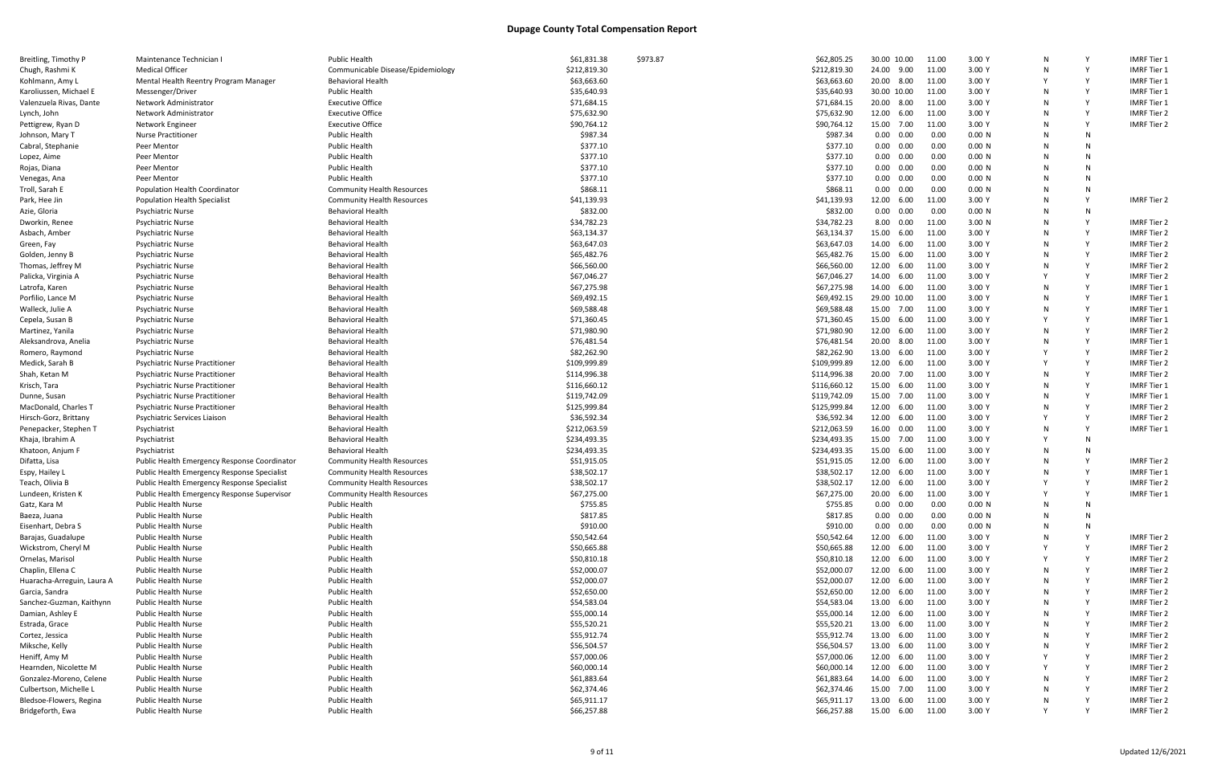| Breitling, Timothy P       | Maintenance Technician I                     | <b>Public Health</b>              | \$61,831.38  | \$973.87 | \$62,805.25  | 30.00 10.00       | 11.00 | 3.00 Y | N        |   | <b>IMRF Tier 1</b> |
|----------------------------|----------------------------------------------|-----------------------------------|--------------|----------|--------------|-------------------|-------|--------|----------|---|--------------------|
| Chugh, Rashmi K            | <b>Medical Officer</b>                       | Communicable Disease/Epidemiology | \$212,819.30 |          | \$212,819.30 | 24.00 9.00        | 11.00 | 3.00 Y | N        |   | <b>IMRF Tier 1</b> |
| Kohlmann, Amy L            | Mental Health Reentry Program Manager        | <b>Behavioral Health</b>          | \$63,663.60  |          | \$63,663.60  | 20.00 8.00        | 11.00 | 3.00 Y |          |   | <b>IMRF Tier 1</b> |
| Karoliussen, Michael E     | Messenger/Driver                             | <b>Public Health</b>              | \$35,640.93  |          | \$35,640.93  | 30.00 10.00       | 11.00 | 3.00 Y | N        |   | <b>IMRF Tier 1</b> |
| Valenzuela Rivas, Dante    | Network Administrator                        | <b>Executive Office</b>           | \$71,684.15  |          | \$71,684.15  | 20.00 8.00        | 11.00 | 3.00 Y | N        |   | <b>IMRF Tier 1</b> |
| Lynch, John                | Network Administrator                        | <b>Executive Office</b>           | \$75,632.90  |          | \$75,632.90  | 12.00<br>6.00     | 11.00 | 3.00 Y |          |   | <b>IMRF Tier 2</b> |
| Pettigrew, Ryan D          | Network Engineer                             | <b>Executive Office</b>           | \$90,764.12  |          | \$90,764.12  | 15.00 7.00        | 11.00 | 3.00 Y | N        |   | <b>IMRF Tier 2</b> |
| Johnson, Mary T            | <b>Nurse Practitioner</b>                    | <b>Public Health</b>              | \$987.34     |          | \$987.34     | $0.00\quad 0.00$  | 0.00  | 0.00 N | N        | N |                    |
| Cabral, Stephanie          | Peer Mentor                                  | <b>Public Health</b>              | \$377.10     |          | \$377.10     | $0.00 \quad 0.00$ | 0.00  | 0.00 N | N        | N |                    |
| Lopez, Aime                | Peer Mentor                                  | <b>Public Health</b>              | \$377.10     |          | \$377.10     | $0.00 \quad 0.00$ | 0.00  | 0.00 N |          | N |                    |
| Rojas, Diana               | Peer Mentor                                  | <b>Public Health</b>              | \$377.10     |          | \$377.10     | $0.00 \quad 0.00$ | 0.00  | 0.00 N | N        | N |                    |
| Venegas, Ana               | Peer Mentor                                  | <b>Public Health</b>              | \$377.10     |          | \$377.10     | $0.00 \quad 0.00$ | 0.00  | 0.00 N | N        | N |                    |
| Troll, Sarah E             | Population Health Coordinator                | <b>Community Health Resources</b> | \$868.11     |          | \$868.11     | 0.00<br>0.00      | 0.00  | 0.00 N | N        | N |                    |
| Park, Hee Jin              | <b>Population Health Specialist</b>          | <b>Community Health Resources</b> | \$41,139.93  |          | \$41,139.93  | 12.00 6.00        | 11.00 | 3.00 Y | N        |   | <b>IMRF Tier 2</b> |
| Azie, Gloria               | <b>Psychiatric Nurse</b>                     | <b>Behavioral Health</b>          | \$832.00     |          | \$832.00     | $0.00 \quad 0.00$ | 0.00  | 0.00 N |          |   |                    |
| Dworkin, Renee             | <b>Psychiatric Nurse</b>                     | <b>Behavioral Health</b>          | \$34,782.23  |          | \$34,782.23  | 8.00 0.00         | 11.00 | 3.00 N |          |   | IMRF Tier 2        |
| Asbach, Amber              | <b>Psychiatric Nurse</b>                     | <b>Behavioral Health</b>          | \$63,134.37  |          | \$63,134.37  | 15.00<br>6.00     | 11.00 | 3.00 Y | N        |   | <b>IMRF Tier 2</b> |
|                            | <b>Psychiatric Nurse</b>                     | <b>Behavioral Health</b>          | \$63,647.03  |          | \$63,647.03  | 14.00<br>6.00     | 11.00 | 3.00 Y | N        |   | <b>IMRF Tier 2</b> |
| Green, Fay                 |                                              |                                   |              |          |              |                   |       |        |          |   |                    |
| Golden, Jenny B            | <b>Psychiatric Nurse</b>                     | <b>Behavioral Health</b>          | \$65,482.76  |          | \$65,482.76  | 15.00<br>6.00     | 11.00 | 3.00 Y |          |   | <b>IMRF Tier 2</b> |
| Thomas, Jeffrey M          | <b>Psychiatric Nurse</b>                     | <b>Behavioral Health</b>          | \$66,560.00  |          | \$66,560.00  | 12.00 6.00        | 11.00 | 3.00 Y | N        |   | <b>IMRF Tier 2</b> |
| Palicka, Virginia A        | <b>Psychiatric Nurse</b>                     | <b>Behavioral Health</b>          | \$67,046.27  |          | \$67,046.27  | 14.00<br>6.00     | 11.00 | 3.00 Y |          |   | <b>IMRF Tier 2</b> |
| Latrofa, Karen             | <b>Psychiatric Nurse</b>                     | <b>Behavioral Health</b>          | \$67,275.98  |          | \$67,275.98  | 14.00<br>6.00     | 11.00 | 3.00 Y |          |   | <b>IMRF Tier 1</b> |
| Porfilio, Lance M          | <b>Psychiatric Nurse</b>                     | <b>Behavioral Health</b>          | \$69,492.15  |          | \$69,492.15  | 29.00 10.00       | 11.00 | 3.00 Y | N        |   | <b>IMRF Tier 1</b> |
| Walleck, Julie A           | <b>Psychiatric Nurse</b>                     | <b>Behavioral Health</b>          | \$69,588.48  |          | \$69,588.48  | 15.00<br>7.00     | 11.00 | 3.00 Y | N        |   | <b>IMRF Tier 1</b> |
| Cepela, Susan B            | <b>Psychiatric Nurse</b>                     | <b>Behavioral Health</b>          | \$71,360.45  |          | \$71,360.45  | 15.00<br>6.00     | 11.00 | 3.00 Y | <b>V</b> |   | <b>IMRF Tier 1</b> |
| Martinez, Yanila           | <b>Psychiatric Nurse</b>                     | <b>Behavioral Health</b>          | \$71,980.90  |          | \$71,980.90  | 12.00<br>6.00     | 11.00 | 3.00 Y | N        |   | <b>IMRF Tier 2</b> |
| Aleksandrova, Anelia       | <b>Psychiatric Nurse</b>                     | <b>Behavioral Health</b>          | \$76,481.54  |          | \$76,481.54  | 20.00 8.00        | 11.00 | 3.00 Y | N        |   | <b>IMRF Tier 1</b> |
| Romero, Raymond            | <b>Psychiatric Nurse</b>                     | <b>Behavioral Health</b>          | \$82,262.90  |          | \$82,262.90  | 13.00 6.00        | 11.00 | 3.00 Y |          |   | <b>IMRF Tier 2</b> |
| Medick, Sarah B            | <b>Psychiatric Nurse Practitioner</b>        | <b>Behavioral Health</b>          | \$109,999.89 |          | \$109,999.89 | 12.00 6.00        | 11.00 | 3.00 Y | <b>V</b> |   | <b>IMRF Tier 2</b> |
| Shah, Ketan M              | <b>Psychiatric Nurse Practitioner</b>        | <b>Behavioral Health</b>          | \$114,996.38 |          | \$114,996.38 | 20.00 7.00        | 11.00 | 3.00 Y | N        |   | <b>IMRF Tier 2</b> |
| Krisch, Tara               | <b>Psychiatric Nurse Practitioner</b>        | <b>Behavioral Health</b>          | \$116,660.12 |          | \$116,660.12 | 15.00<br>6.00     | 11.00 | 3.00 Y |          |   | <b>IMRF Tier 1</b> |
| Dunne, Susan               | <b>Psychiatric Nurse Practitioner</b>        | <b>Behavioral Health</b>          | \$119,742.09 |          | \$119,742.09 | 15.00 7.00        | 11.00 | 3.00 Y | N        |   | <b>IMRF Tier 1</b> |
| MacDonald, Charles T       | <b>Psychiatric Nurse Practitioner</b>        | <b>Behavioral Health</b>          | \$125,999.84 |          | \$125,999.84 | 12.00 6.00        | 11.00 | 3.00 Y | N        |   | <b>IMRF Tier 2</b> |
| Hirsch-Gorz, Brittany      | Psychiatric Services Liaison                 | <b>Behavioral Health</b>          | \$36,592.34  |          | \$36,592.34  | 12.00 6.00        | 11.00 | 3.00 Y |          |   | <b>IMRF Tier 2</b> |
| Penepacker, Stephen T      | Psychiatrist                                 | <b>Behavioral Health</b>          | \$212,063.59 |          | \$212,063.59 | 16.00 0.00        | 11.00 | 3.00 Y | N        |   | <b>IMRF Tier 1</b> |
| Khaja, Ibrahim A           | Psychiatrist                                 | <b>Behavioral Health</b>          | \$234,493.35 |          | \$234,493.35 | 15.00<br>7.00     | 11.00 | 3.00 Y |          | N |                    |
|                            |                                              | <b>Behavioral Health</b>          |              |          | \$234,493.35 | 15.00<br>6.00     | 11.00 | 3.00 Y | N        | N |                    |
| Khatoon, Anjum F           | Psychiatrist                                 |                                   | \$234,493.35 |          |              |                   |       |        |          |   |                    |
| Difatta, Lisa              | Public Health Emergency Response Coordinator | <b>Community Health Resources</b> | \$51,915.05  |          | \$51,915.05  | 12.00<br>6.00     | 11.00 | 3.00 Y |          |   | <b>IMRF Tier 2</b> |
| Espy, Hailey L             | Public Health Emergency Response Specialist  | <b>Community Health Resources</b> | \$38,502.17  |          | \$38,502.17  | 12.00<br>6.00     | 11.00 | 3.00 Y | N        |   | <b>IMRF</b> Tier 1 |
| Teach, Olivia B            | Public Health Emergency Response Specialist  | <b>Community Health Resources</b> | \$38,502.17  |          | \$38,502.17  | 12.00 6.00        | 11.00 | 3.00 Y |          |   | <b>IMRF Tier 2</b> |
| Lundeen, Kristen K         | Public Health Emergency Response Supervisor  | <b>Community Health Resources</b> | \$67,275.00  |          | \$67,275.00  | 20.00<br>6.00     | 11.00 | 3.00 Y |          |   | IMRF Tier 1        |
| Gatz, Kara M               | <b>Public Health Nurse</b>                   | Public Health                     | \$755.85     |          | \$755.85     | $0.00\quad 0.00$  | 0.00  | 0.00 N | N.       |   |                    |
| Baeza, Juana               | <b>Public Health Nurse</b>                   | <b>Public Health</b>              | \$817.85     |          | \$817.85     | $0.00\quad 0.00$  | 0.00  | 0.00 N | N        |   |                    |
| Eisenhart, Debra S         | <b>Public Health Nurse</b>                   | <b>Public Health</b>              | \$910.00     |          | \$910.00     | $0.00\quad 0.00$  | 0.00  | 0.00 N |          |   |                    |
| Barajas, Guadalupe         | <b>Public Health Nurse</b>                   | <b>Public Health</b>              | \$50,542.64  |          | \$50,542.64  | 12.00 6.00        | 11.00 | 3.00 Y | N        |   | IMRF Tier 2        |
| Wickstrom, Cheryl M        | <b>Public Health Nurse</b>                   | <b>Public Health</b>              | \$50,665.88  |          | \$50,665.88  | 12.00 6.00        | 11.00 | 3.00 Y |          |   | <b>IMRF Tier 2</b> |
| Ornelas, Marisol           | <b>Public Health Nurse</b>                   | <b>Public Health</b>              | \$50,810.18  |          | \$50,810.18  | 12.00 6.00        | 11.00 | 3.00 Y |          |   | <b>IMRF Tier 2</b> |
| Chaplin, Ellena C          | <b>Public Health Nurse</b>                   | <b>Public Health</b>              | \$52,000.07  |          | \$52,000.07  | 12.00 6.00        | 11.00 | 3.00 Y | N        |   | <b>IMRF Tier 2</b> |
| Huaracha-Arreguin, Laura A | <b>Public Health Nurse</b>                   | <b>Public Health</b>              | \$52,000.07  |          | \$52,000.07  | 12.00 6.00        | 11.00 | 3.00 Y | N        |   | <b>IMRF Tier 2</b> |
| Garcia, Sandra             | <b>Public Health Nurse</b>                   | <b>Public Health</b>              | \$52,650.00  |          | \$52,650.00  | 12.00 6.00        | 11.00 | 3.00 Y | N        |   | <b>IMRF Tier 2</b> |
| Sanchez-Guzman, Kaithynn   | <b>Public Health Nurse</b>                   | <b>Public Health</b>              | \$54,583.04  |          | \$54,583.04  | 13.00 6.00        | 11.00 | 3.00 Y | N        |   | <b>IMRF Tier 2</b> |
| Damian, Ashley E           | Public Health Nurse                          | <b>Public Health</b>              | \$55,000.14  |          | \$55,000.14  | 12.00 6.00        | 11.00 | 3.00 Y | N        |   | <b>IMRF Tier 2</b> |
| Estrada, Grace             | <b>Public Health Nurse</b>                   | <b>Public Health</b>              | \$55,520.21  |          | \$55,520.21  | 13.00 6.00        | 11.00 | 3.00 Y |          |   | <b>IMRF Tier 2</b> |
| Cortez, Jessica            | <b>Public Health Nurse</b>                   | <b>Public Health</b>              | \$55,912.74  |          | \$55,912.74  | 13.00 6.00        | 11.00 | 3.00 Y | N        |   | <b>IMRF Tier 2</b> |
| Miksche, Kelly             | <b>Public Health Nurse</b>                   | <b>Public Health</b>              | \$56,504.57  |          | \$56,504.57  | 13.00 6.00        | 11.00 | 3.00 Y | N        |   | <b>IMRF Tier 2</b> |
| Heniff, Amy M              | <b>Public Health Nurse</b>                   | <b>Public Health</b>              | \$57,000.06  |          | \$57,000.06  | 12.00 6.00        | 11.00 | 3.00 Y |          |   | IMRF Tier 2        |
| Hearnden, Nicolette M      | <b>Public Health Nurse</b>                   | <b>Public Health</b>              | \$60,000.14  |          | \$60,000.14  | 12.00 6.00        | 11.00 | 3.00 Y |          |   | <b>IMRF Tier 2</b> |
| Gonzalez-Moreno, Celene    | <b>Public Health Nurse</b>                   | <b>Public Health</b>              | \$61,883.64  |          | \$61,883.64  | 14.00 6.00        | 11.00 | 3.00 Y | N        |   | IMRF Tier 2        |
| Culbertson, Michelle L     | Public Health Nurse                          | <b>Public Health</b>              | \$62,374.46  |          | \$62,374.46  | 15.00 7.00        | 11.00 | 3.00 Y | N        |   | <b>IMRF Tier 2</b> |
|                            |                                              |                                   |              |          |              |                   |       |        |          |   |                    |
| Bledsoe-Flowers, Regina    | <b>Public Health Nurse</b>                   | Public Health                     | \$65,911.17  |          | \$65,911.17  | 13.00 6.00        | 11.00 | 3.00 Y |          |   | IMRF Tier 2        |
| Bridgeforth, Ewa           | Public Health Nurse                          | <b>Public Health</b>              | \$66,257.88  |          | \$66,257.88  | 15.00 6.00 11.00  |       | 3.00 Y |          |   | IMRF Tier 2        |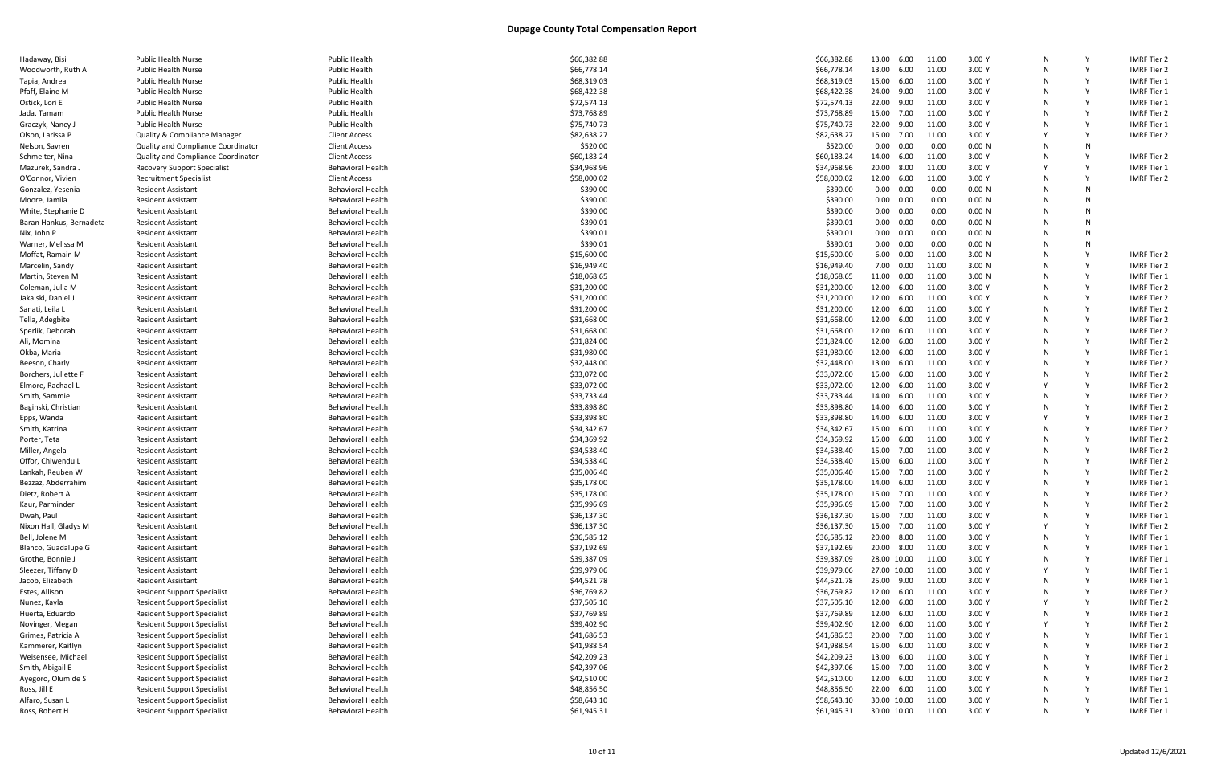| Hadaway, Bisi           | <b>Public Health Nurse</b>                | <b>Public Health</b>     | \$66,382.88 | \$66,382.88 | 13.00 6.00        | 3.00 Y<br>11.00            |   |   | <b>IMRF Tier 2</b> |
|-------------------------|-------------------------------------------|--------------------------|-------------|-------------|-------------------|----------------------------|---|---|--------------------|
| Woodworth, Ruth A       | <b>Public Health Nurse</b>                | <b>Public Health</b>     | \$66,778.14 | \$66,778.14 | 13.00 6.00        | 11.00<br>3.00 Y            |   |   | <b>IMRF Tier 2</b> |
| Tapia, Andrea           | <b>Public Health Nurse</b>                | <b>Public Health</b>     | \$68,319.03 | \$68,319.03 | 15.00 6.00        | 3.00 Y<br>11.00            | N |   | <b>IMRF Tier 1</b> |
| Pfaff, Elaine M         | <b>Public Health Nurse</b>                | <b>Public Health</b>     | \$68,422.38 | \$68,422.38 | 24.00 9.00        | 11.00<br>3.00 Y            |   |   | <b>IMRF Tier 1</b> |
| Ostick, Lori E          | <b>Public Health Nurse</b>                | <b>Public Health</b>     | \$72,574.13 | \$72,574.13 | 22.00 9.00        | 11.00<br>3.00 Y            |   |   | <b>IMRF Tier 1</b> |
| Jada, Tamam             | <b>Public Health Nurse</b>                | Public Health            | \$73,768.89 | \$73,768.89 | 15.00 7.00        | 3.00 Y<br>11.00            |   |   | <b>IMRF Tier 2</b> |
| Graczyk, Nancy J        | <b>Public Health Nurse</b>                | Public Health            | \$75,740.73 | \$75,740.73 | 22.00 9.00        | 3.00 Y<br>11.00            |   |   | <b>IMRF Tier 1</b> |
| Olson, Larissa P        | <b>Quality &amp; Compliance Manager</b>   | <b>Client Access</b>     | \$82,638.27 | \$82,638.27 | 15.00 7.00        | 11.00<br>3.00 Y            |   |   | <b>IMRF Tier 2</b> |
| Nelson, Savren          | <b>Quality and Compliance Coordinator</b> | <b>Client Access</b>     | \$520.00    | \$520.00    | $0.00 \quad 0.00$ | 0.00<br>0.00 N             | N | N |                    |
| Schmelter, Nina         | <b>Quality and Compliance Coordinator</b> | <b>Client Access</b>     | \$60,183.24 | \$60,183.24 | 14.00 6.00        | 11.00<br>3.00 Y            | N |   | <b>IMRF Tier 2</b> |
| Mazurek, Sandra J       | <b>Recovery Support Specialist</b>        | <b>Behavioral Health</b> | \$34,968.96 | \$34,968.96 | 20.00 8.00        | 11.00<br>3.00 Y            |   |   | <b>IMRF Tier 1</b> |
| O'Connor, Vivien        | <b>Recruitment Specialist</b>             | <b>Client Access</b>     | \$58,000.02 | \$58,000.02 | 12.00 6.00        | 3.00 Y<br>11.00            | N |   | <b>IMRF Tier 2</b> |
| Gonzalez, Yesenia       | <b>Resident Assistant</b>                 | <b>Behavioral Health</b> | \$390.00    | \$390.00    | $0.00 \quad 0.00$ | 0.00<br>0.00 N             | N |   |                    |
|                         |                                           |                          |             |             |                   |                            |   |   |                    |
| Moore, Jamila           | <b>Resident Assistant</b>                 | <b>Behavioral Health</b> | \$390.00    | \$390.00    | $0.00 \quad 0.00$ | 0.00<br>0.00 N             |   |   |                    |
| White, Stephanie D      | <b>Resident Assistant</b>                 | <b>Behavioral Health</b> | \$390.00    | \$390.00    | $0.00 \quad 0.00$ | 0.00<br>0.00 N             | N |   |                    |
| Baran Hankus, Bernadeta | <b>Resident Assistant</b>                 | <b>Behavioral Health</b> | \$390.01    | \$390.01    | $0.00 \quad 0.00$ | 0.00<br>0.00 N             | N |   |                    |
| Nix, John P             | <b>Resident Assistant</b>                 | <b>Behavioral Health</b> | \$390.01    | \$390.01    | $0.00 \quad 0.00$ | 0.00<br>0.00 N             |   | N |                    |
| Warner, Melissa M       | <b>Resident Assistant</b>                 | <b>Behavioral Health</b> | \$390.01    | \$390.01    | $0.00 \quad 0.00$ | 0.00<br>0.00 N             |   |   |                    |
| Moffat, Ramain M        | <b>Resident Assistant</b>                 | <b>Behavioral Health</b> | \$15,600.00 | \$15,600.00 | 6.00 0.00         | 11.00<br>3.00 <sub>N</sub> |   |   | <b>IMRF Tier 2</b> |
| Marcelin, Sandy         | <b>Resident Assistant</b>                 | <b>Behavioral Health</b> | \$16,949.40 | \$16,949.40 | 7.00 0.00         | 11.00<br>3.00 <sub>N</sub> |   |   | <b>IMRF Tier 2</b> |
| Martin, Steven M        | <b>Resident Assistant</b>                 | <b>Behavioral Health</b> | \$18,068.65 | \$18,068.65 | 11.00  0.00       | 11.00<br>3.00 <sub>N</sub> |   |   | <b>IMRF Tier 1</b> |
| Coleman, Julia M        | <b>Resident Assistant</b>                 | <b>Behavioral Health</b> | \$31,200.00 | \$31,200.00 | 12.00 6.00        | 11.00<br>3.00 Y            | N |   | <b>IMRF Tier 2</b> |
| Jakalski, Daniel .      | <b>Resident Assistant</b>                 | <b>Behavioral Health</b> | \$31,200.00 | \$31,200.00 | 12.00 6.00        | 11.00<br>3.00 Y            |   |   | <b>IMRF Tier 2</b> |
| Sanati, Leila L         | <b>Resident Assistant</b>                 | <b>Behavioral Health</b> | \$31,200.00 | \$31,200.00 | 12.00 6.00        | 11.00<br>3.00Y             |   |   | <b>IMRF Tier 2</b> |
| Tella, Adegbite         | <b>Resident Assistant</b>                 | <b>Behavioral Health</b> | \$31,668.00 | \$31,668.00 | 12.00 6.00        | 3.00 Y<br>11.00            | N |   | <b>IMRF Tier 2</b> |
| Sperlik, Deborah        | <b>Resident Assistant</b>                 | <b>Behavioral Health</b> | \$31,668.00 | \$31,668.00 | 12.00 6.00        | 11.00<br>3.00 Y            |   |   | <b>IMRF Tier 2</b> |
| Ali, Momina             | <b>Resident Assistant</b>                 | <b>Behavioral Health</b> | \$31,824.00 | \$31,824.00 | 12.00 6.00        | 11.00<br>3.00Y             |   |   | <b>IMRF Tier 2</b> |
|                         |                                           |                          |             |             | 12.00 6.00        | 3.00 Y                     |   |   | <b>IMRF Tier 1</b> |
| Okba, Maria             | <b>Resident Assistant</b>                 | <b>Behavioral Health</b> | \$31,980.00 | \$31,980.00 |                   | 11.00                      | N |   |                    |
| Beeson, Charly          | <b>Resident Assistant</b>                 | <b>Behavioral Health</b> | \$32,448.00 | \$32,448.00 | 13.00 6.00        | 11.00<br>3.00 Y            |   |   | <b>IMRF Tier 2</b> |
| Borchers, Juliette I    | <b>Resident Assistant</b>                 | <b>Behavioral Health</b> | \$33,072.00 | \$33,072.00 | 15.00 6.00        | 3.00 Y<br>11.00            |   |   | <b>IMRF Tier 2</b> |
| Elmore, Rachael L       | <b>Resident Assistant</b>                 | <b>Behavioral Health</b> | \$33,072.00 | \$33,072.00 | 12.00 6.00        | 3.00 Y<br>11.00            |   |   | <b>IMRF Tier 2</b> |
| Smith, Sammie           | <b>Resident Assistant</b>                 | <b>Behavioral Health</b> | \$33,733.44 | \$33,733.44 | 14.00 6.00        | 11.00<br>3.00 Y            |   |   | <b>IMRF Tier 2</b> |
| Baginski, Christian     | <b>Resident Assistant</b>                 | <b>Behavioral Health</b> | \$33,898.80 | \$33,898.80 | 14.00 6.00        | 3.00 Y<br>11.00            |   |   | <b>IMRF Tier 2</b> |
| Epps, Wanda             | <b>Resident Assistant</b>                 | <b>Behavioral Health</b> | \$33,898.80 | \$33,898.80 | 14.00 6.00        | 3.00 Y<br>11.00            |   |   | <b>IMRF Tier 2</b> |
| Smith, Katrina          | <b>Resident Assistant</b>                 | <b>Behavioral Health</b> | \$34,342.67 | \$34,342.67 | 15.00 6.00        | 11.00<br>3.00 Y            | N |   | <b>IMRF Tier 2</b> |
| Porter, Teta            | <b>Resident Assistant</b>                 | <b>Behavioral Health</b> | \$34,369.92 | \$34,369.92 | 15.00 6.00        | 11.00<br>3.00 Y            |   |   | <b>IMRF Tier 2</b> |
| Miller, Angela          | <b>Resident Assistant</b>                 | <b>Behavioral Health</b> | \$34,538.40 | \$34,538.40 | 15.00 7.00        | 11.00<br>3.00 Y            | N |   | <b>IMRF Tier 2</b> |
| Offor, Chiwendu L       | <b>Resident Assistant</b>                 | <b>Behavioral Health</b> | \$34,538.40 | \$34,538.40 | 15.00 6.00        | 11.00<br>3.00 Y            |   |   | <b>IMRF Tier 2</b> |
| Lankah, Reuben W        | <b>Resident Assistant</b>                 | <b>Behavioral Health</b> | \$35,006.40 | \$35,006.40 | 15.00 7.00        | 3.00 Y<br>11.00            |   |   | <b>IMRF Tier 2</b> |
| Bezzaz, Abderrahim      | <b>Resident Assistant</b>                 | <b>Behavioral Health</b> | \$35,178.00 | \$35,178.00 | 14.00 6.00        | 11.00<br>3.00 Y            | N |   | <b>IMRF Tier 1</b> |
| Dietz, Robert A         | <b>Resident Assistant</b>                 | <b>Behavioral Health</b> | \$35,178.00 | \$35,178.00 | 15.00 7.00 11.00  | 3.00 Y                     | N |   | <b>IMRF Tier 2</b> |
| Kaur, Parminder         | <b>Resident Assistant</b>                 | <b>Behavioral Health</b> | \$35,996.69 | \$35,996.69 | 15.00 7.00        | 3.00 Y<br>11.00            |   |   | <b>IMRF Tier 2</b> |
| Dwah, Paul              | <b>Resident Assistant</b>                 | <b>Behavioral Health</b> | \$36,137.30 | \$36,137.30 | 15.00 7.00        | 11.00<br>3.00 Y            |   |   | <b>IMRF Tier 1</b> |
| Nixon Hall, Gladys M    | <b>Resident Assistant</b>                 | <b>Behavioral Health</b> | \$36,137.30 | \$36,137.30 | 15.00 7.00        | 3.00 Y<br>11.00            |   |   | IMRF Tier 2        |
| Bell, Jolene M          | <b>Resident Assistant</b>                 | <b>Behavioral Health</b> | \$36,585.12 | \$36,585.12 | 20.00 8.00        | 3.00 Y<br>11.00            |   |   | <b>IMRF Tier 1</b> |
|                         |                                           |                          |             |             |                   |                            |   |   |                    |
| Blanco, Guadalupe G     | <b>Resident Assistant</b>                 | <b>Behavioral Health</b> | \$37,192.69 | \$37,192.69 | 20.00 8.00        | 11.00<br>3.00 Y            |   |   | <b>IMRF Tier 1</b> |
| Grothe, Bonnie J        | <b>Resident Assistant</b>                 | <b>Behavioral Health</b> | \$39,387.09 | \$39,387.09 | 28.00 10.00       | 11.00<br>3.00 Y            |   |   | <b>IMRF Tier 1</b> |
| Sleezer, Tiffany D      | <b>Resident Assistant</b>                 | <b>Behavioral Health</b> | \$39,979.06 | \$39,979.06 | 27.00 10.00       | 11.00<br>3.00 Y            |   |   | <b>IMRF Tier 1</b> |
| Jacob, Elizabeth        | <b>Resident Assistant</b>                 | <b>Behavioral Health</b> | \$44,521.78 | \$44,521.78 | 25.00 9.00        | 11.00<br>3.00 Y            |   |   | <b>IMRF Tier 1</b> |
| Estes, Allison          | <b>Resident Support Specialist</b>        | <b>Behavioral Health</b> | \$36,769.82 | \$36,769.82 | 12.00 6.00        | 3.00 Y<br>11.00            |   |   | <b>IMRF Tier 2</b> |
| Nunez, Kayla            | <b>Resident Support Specialist</b>        | <b>Behavioral Health</b> | \$37,505.10 | \$37,505.10 | 12.00 6.00        | 11.00<br>3.00 Y            |   |   | <b>IMRF Tier 2</b> |
| Huerta, Eduardo         | <b>Resident Support Specialist</b>        | <b>Behavioral Health</b> | \$37,769.89 | \$37,769.89 | 12.00 6.00        | 11.00<br>3.00 Y            |   |   | <b>IMRF Tier 2</b> |
| Novinger, Megan         | <b>Resident Support Specialist</b>        | <b>Behavioral Health</b> | \$39,402.90 | \$39,402.90 | 12.00 6.00        | 11.00<br>3.00 Y            |   |   | <b>IMRF Tier 2</b> |
| Grimes, Patricia A      | <b>Resident Support Specialist</b>        | <b>Behavioral Health</b> | \$41,686.53 | \$41,686.53 | 20.00 7.00        | 11.00<br>3.00 Y            |   |   | <b>IMRF Tier 1</b> |
| Kammerer, Kaitlyn       | <b>Resident Support Specialist</b>        | <b>Behavioral Health</b> | \$41,988.54 | \$41,988.54 | 15.00 6.00        | 11.00<br>3.00 Y            |   |   | <b>IMRF Tier 2</b> |
| Weisensee, Michael      | <b>Resident Support Specialist</b>        | <b>Behavioral Health</b> | \$42,209.23 | \$42,209.23 | 13.00 6.00        | 11.00<br>3.00 Y            |   |   | <b>IMRF Tier 1</b> |
| Smith, Abigail E        | <b>Resident Support Specialist</b>        | <b>Behavioral Health</b> | \$42,397.06 | \$42,397.06 | 15.00 7.00        | 11.00<br>3.00 Y            |   |   | <b>IMRF Tier 2</b> |
| Ayegoro, Olumide S      | <b>Resident Support Specialist</b>        | <b>Behavioral Health</b> | \$42,510.00 | \$42,510.00 | 12.00 6.00        | 11.00<br>3.00 Y            |   |   | <b>IMRF Tier 2</b> |
| Ross, Jill E            | <b>Resident Support Specialist</b>        | <b>Behavioral Health</b> | \$48,856.50 | \$48,856.50 | 22.00 6.00        | 11.00<br>3.00 Y            |   |   | <b>IMRF Tier 1</b> |
| Alfaro, Susan L         | <b>Resident Support Specialist</b>        | <b>Behavioral Health</b> | \$58,643.10 | \$58,643.10 | 30.00 10.00       | 11.00<br>3.00 Y            |   |   | <b>IMRF Tier 1</b> |
| Ross, Robert H          | <b>Resident Support Specialist</b>        | <b>Behavioral Health</b> | \$61,945.31 | \$61,945.31 | 30.00 10.00       | 3.00 Y<br>11.00            | N |   | <b>IMRF Tier 1</b> |
|                         |                                           |                          |             |             |                   |                            |   |   |                    |